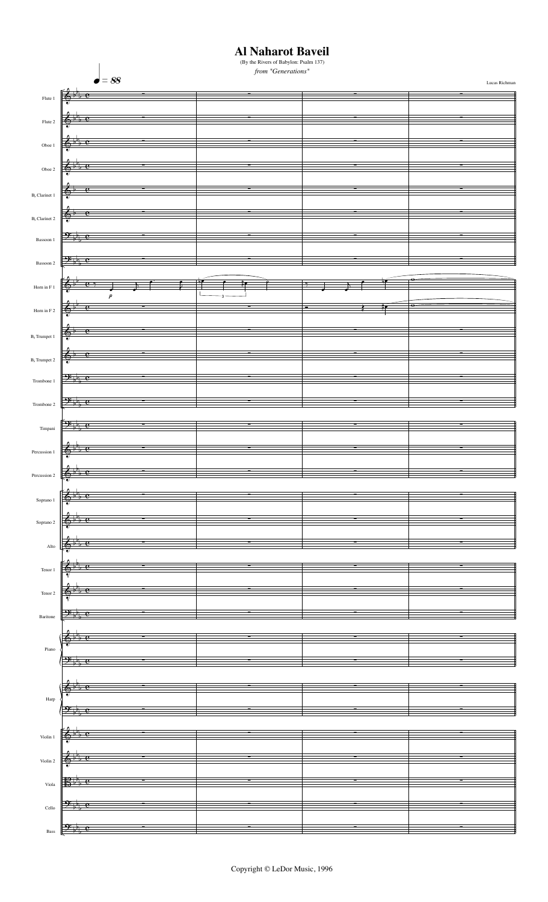## **Al Naharot Baveil**

(By the Rivers of Babylon: Psalm 137)

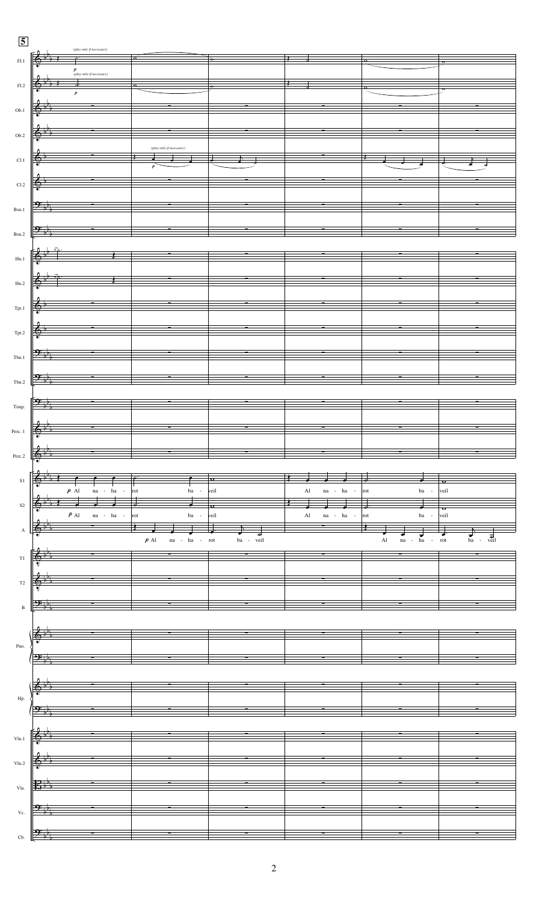| $\overline{5}$         |                                                                                                                                                                                                                                                                                                                                                     | (play only if necessary)                                                                                                                                                                                                                                                                                                                                                                                             |                                                                                                                                                                                                                                                                                                                                                           |               |                                           |                                                                                  |                                                         |
|------------------------|-----------------------------------------------------------------------------------------------------------------------------------------------------------------------------------------------------------------------------------------------------------------------------------------------------------------------------------------------------|----------------------------------------------------------------------------------------------------------------------------------------------------------------------------------------------------------------------------------------------------------------------------------------------------------------------------------------------------------------------------------------------------------------------|-----------------------------------------------------------------------------------------------------------------------------------------------------------------------------------------------------------------------------------------------------------------------------------------------------------------------------------------------------------|---------------|-------------------------------------------|----------------------------------------------------------------------------------|---------------------------------------------------------|
| $\rm{Fl.1}$            |                                                                                                                                                                                                                                                                                                                                                     |                                                                                                                                                                                                                                                                                                                                                                                                                      |                                                                                                                                                                                                                                                                                                                                                           | ত             |                                           |                                                                                  |                                                         |
|                        | $\boldsymbol{p}$                                                                                                                                                                                                                                                                                                                                    | $(play\ only\ if\ necessary)$                                                                                                                                                                                                                                                                                                                                                                                        |                                                                                                                                                                                                                                                                                                                                                           |               |                                           |                                                                                  |                                                         |
| F1.2                   |                                                                                                                                                                                                                                                                                                                                                     |                                                                                                                                                                                                                                                                                                                                                                                                                      |                                                                                                                                                                                                                                                                                                                                                           |               |                                           |                                                                                  | ਨ                                                       |
| Ob.1                   |                                                                                                                                                                                                                                                                                                                                                     |                                                                                                                                                                                                                                                                                                                                                                                                                      |                                                                                                                                                                                                                                                                                                                                                           |               |                                           |                                                                                  |                                                         |
|                        |                                                                                                                                                                                                                                                                                                                                                     |                                                                                                                                                                                                                                                                                                                                                                                                                      |                                                                                                                                                                                                                                                                                                                                                           |               |                                           |                                                                                  |                                                         |
| $_{\rm Ob.2}$          |                                                                                                                                                                                                                                                                                                                                                     |                                                                                                                                                                                                                                                                                                                                                                                                                      |                                                                                                                                                                                                                                                                                                                                                           |               |                                           |                                                                                  |                                                         |
|                        |                                                                                                                                                                                                                                                                                                                                                     |                                                                                                                                                                                                                                                                                                                                                                                                                      | (play only if necessary)                                                                                                                                                                                                                                                                                                                                  |               |                                           |                                                                                  |                                                         |
| CL1                    |                                                                                                                                                                                                                                                                                                                                                     |                                                                                                                                                                                                                                                                                                                                                                                                                      |                                                                                                                                                                                                                                                                                                                                                           |               |                                           |                                                                                  |                                                         |
| Cl.2                   |                                                                                                                                                                                                                                                                                                                                                     |                                                                                                                                                                                                                                                                                                                                                                                                                      |                                                                                                                                                                                                                                                                                                                                                           |               |                                           |                                                                                  |                                                         |
| $_{\rm Bsn.1}$         |                                                                                                                                                                                                                                                                                                                                                     |                                                                                                                                                                                                                                                                                                                                                                                                                      |                                                                                                                                                                                                                                                                                                                                                           |               |                                           |                                                                                  |                                                         |
| Bsn.2                  |                                                                                                                                                                                                                                                                                                                                                     |                                                                                                                                                                                                                                                                                                                                                                                                                      |                                                                                                                                                                                                                                                                                                                                                           |               |                                           |                                                                                  |                                                         |
|                        |                                                                                                                                                                                                                                                                                                                                                     |                                                                                                                                                                                                                                                                                                                                                                                                                      |                                                                                                                                                                                                                                                                                                                                                           |               |                                           |                                                                                  |                                                         |
| Hn.1                   |                                                                                                                                                                                                                                                                                                                                                     |                                                                                                                                                                                                                                                                                                                                                                                                                      |                                                                                                                                                                                                                                                                                                                                                           |               |                                           |                                                                                  |                                                         |
| Hn.2                   |                                                                                                                                                                                                                                                                                                                                                     |                                                                                                                                                                                                                                                                                                                                                                                                                      |                                                                                                                                                                                                                                                                                                                                                           |               |                                           |                                                                                  |                                                         |
|                        |                                                                                                                                                                                                                                                                                                                                                     |                                                                                                                                                                                                                                                                                                                                                                                                                      |                                                                                                                                                                                                                                                                                                                                                           |               |                                           |                                                                                  |                                                         |
| $_\mathrm{Tpt.1}$      |                                                                                                                                                                                                                                                                                                                                                     |                                                                                                                                                                                                                                                                                                                                                                                                                      |                                                                                                                                                                                                                                                                                                                                                           |               |                                           |                                                                                  |                                                         |
| $\operatorname{Tpt.2}$ |                                                                                                                                                                                                                                                                                                                                                     |                                                                                                                                                                                                                                                                                                                                                                                                                      |                                                                                                                                                                                                                                                                                                                                                           |               |                                           |                                                                                  |                                                         |
| Tbn.1                  |                                                                                                                                                                                                                                                                                                                                                     |                                                                                                                                                                                                                                                                                                                                                                                                                      |                                                                                                                                                                                                                                                                                                                                                           |               |                                           |                                                                                  |                                                         |
|                        |                                                                                                                                                                                                                                                                                                                                                     |                                                                                                                                                                                                                                                                                                                                                                                                                      |                                                                                                                                                                                                                                                                                                                                                           |               |                                           |                                                                                  |                                                         |
| Tbn.2                  |                                                                                                                                                                                                                                                                                                                                                     |                                                                                                                                                                                                                                                                                                                                                                                                                      |                                                                                                                                                                                                                                                                                                                                                           |               |                                           |                                                                                  |                                                         |
| Timp.                  | $\frac{1}{2}$                                                                                                                                                                                                                                                                                                                                       |                                                                                                                                                                                                                                                                                                                                                                                                                      |                                                                                                                                                                                                                                                                                                                                                           |               |                                           |                                                                                  |                                                         |
|                        |                                                                                                                                                                                                                                                                                                                                                     |                                                                                                                                                                                                                                                                                                                                                                                                                      |                                                                                                                                                                                                                                                                                                                                                           |               |                                           |                                                                                  |                                                         |
| Perc. 1                |                                                                                                                                                                                                                                                                                                                                                     |                                                                                                                                                                                                                                                                                                                                                                                                                      |                                                                                                                                                                                                                                                                                                                                                           |               |                                           |                                                                                  |                                                         |
| Perc.2 $\qquad$        |                                                                                                                                                                                                                                                                                                                                                     |                                                                                                                                                                                                                                                                                                                                                                                                                      |                                                                                                                                                                                                                                                                                                                                                           |               |                                           |                                                                                  |                                                         |
| $\overline{S1}$        |                                                                                                                                                                                                                                                                                                                                                     |                                                                                                                                                                                                                                                                                                                                                                                                                      | $\begin{array}{ c c c c c }\n\hline\n\text{P Al} & \text{na - ha -} & \text{rot} & \text{ba - } \text{veil}\n\hline\n\end{array}$                                                                                                                                                                                                                         |               |                                           |                                                                                  | $\mathbf{o}$                                            |
|                        |                                                                                                                                                                                                                                                                                                                                                     |                                                                                                                                                                                                                                                                                                                                                                                                                      |                                                                                                                                                                                                                                                                                                                                                           |               | $\mathop{\rm Al}\nolimits$<br>$na - ha -$ | ba -<br> rot                                                                     | veil                                                    |
| S <sub>2</sub>         |                                                                                                                                                                                                                                                                                                                                                     |                                                                                                                                                                                                                                                                                                                                                                                                                      | $\begin{array}{ c c c c c c c c c } \hline \begin{array}{c} \mathbf{a} & \mathbf{b} & \mathbf{b} & \mathbf{c} & \mathbf{c} & \mathbf{c} \\ \hline \mathbf{b} & \mathbf{b} & \mathbf{c} & \mathbf{c} & \mathbf{c} & \mathbf{c} \\ \hline \mathbf{c} & \mathbf{b} & \mathbf{c} & \mathbf{c} & \mathbf{c} & \mathbf{c} & \mathbf{c} \end{array} \end{array}$ |               | ${\rm Al}$<br>$na - ha - rot$             | $ba -$ veil                                                                      | $\mathbf{o}$                                            |
| $\mathbf A$            |                                                                                                                                                                                                                                                                                                                                                     |                                                                                                                                                                                                                                                                                                                                                                                                                      | $\equiv$ $\pm$                                                                                                                                                                                                                                                                                                                                            | $\rightarrow$ |                                           | ₹                                                                                |                                                         |
|                        |                                                                                                                                                                                                                                                                                                                                                     |                                                                                                                                                                                                                                                                                                                                                                                                                      | $\pmb{p}$ Al<br>na - ha - rot                                                                                                                                                                                                                                                                                                                             | ba - veil     |                                           | $\overrightarrow{n}$ $\overrightarrow{n}$ $\overrightarrow{n}$<br>$\frac{1}{A1}$ | $\sum_{\text{ba}}$<br>$\overrightarrow{e}_{\text{rel}}$ |
| $\rm T1$               |                                                                                                                                                                                                                                                                                                                                                     | $\frac{1}{\sqrt{1-\frac{1}{2}}\sqrt{1-\frac{1}{2}}\sqrt{1-\frac{1}{2}}\sqrt{1-\frac{1}{2}}\sqrt{1-\frac{1}{2}}\sqrt{1-\frac{1}{2}}\sqrt{1-\frac{1}{2}}\sqrt{1-\frac{1}{2}}\sqrt{1-\frac{1}{2}}\sqrt{1-\frac{1}{2}}\sqrt{1-\frac{1}{2}}\sqrt{1-\frac{1}{2}}\sqrt{1-\frac{1}{2}}\sqrt{1-\frac{1}{2}}\sqrt{1-\frac{1}{2}}\sqrt{1-\frac{1}{2}}\sqrt{1-\frac{1}{2}}\sqrt{1-\frac{1}{2}}\sqrt{1-\frac{1}{2}}\sqrt{1-\frac$ |                                                                                                                                                                                                                                                                                                                                                           |               |                                           |                                                                                  |                                                         |
|                        | $T2$ $\left[\begin{array}{ccc} \frac{1}{2} & \frac{1}{2} \\ \frac{1}{2} & \frac{1}{2} \end{array}\right]$                                                                                                                                                                                                                                           |                                                                                                                                                                                                                                                                                                                                                                                                                      |                                                                                                                                                                                                                                                                                                                                                           |               |                                           |                                                                                  |                                                         |
|                        | $\mathbb{P}_{\mathbb{H}}$                                                                                                                                                                                                                                                                                                                           |                                                                                                                                                                                                                                                                                                                                                                                                                      |                                                                                                                                                                                                                                                                                                                                                           |               |                                           |                                                                                  |                                                         |
| $\, {\bf B}$           |                                                                                                                                                                                                                                                                                                                                                     |                                                                                                                                                                                                                                                                                                                                                                                                                      |                                                                                                                                                                                                                                                                                                                                                           |               |                                           |                                                                                  |                                                         |
|                        | $\begin{picture}(120,10) \put(0,0){\line(1,0){15}} \put(15,0){\line(1,0){15}} \put(15,0){\line(1,0){15}} \put(15,0){\line(1,0){15}} \put(15,0){\line(1,0){15}} \put(15,0){\line(1,0){15}} \put(15,0){\line(1,0){15}} \put(15,0){\line(1,0){15}} \put(15,0){\line(1,0){15}} \put(15,0){\line(1,0){15}} \put(15,0){\line(1,0){15}} \put(15,0){\line($ | <u>startin</u>                                                                                                                                                                                                                                                                                                                                                                                                       |                                                                                                                                                                                                                                                                                                                                                           |               |                                           |                                                                                  |                                                         |
| $\mathbf{Pno.}$        | $\mathbb{P}$                                                                                                                                                                                                                                                                                                                                        |                                                                                                                                                                                                                                                                                                                                                                                                                      |                                                                                                                                                                                                                                                                                                                                                           |               |                                           |                                                                                  |                                                         |
|                        |                                                                                                                                                                                                                                                                                                                                                     |                                                                                                                                                                                                                                                                                                                                                                                                                      |                                                                                                                                                                                                                                                                                                                                                           |               |                                           |                                                                                  |                                                         |
|                        | $\frac{2}{3}$                                                                                                                                                                                                                                                                                                                                       |                                                                                                                                                                                                                                                                                                                                                                                                                      |                                                                                                                                                                                                                                                                                                                                                           |               |                                           |                                                                                  |                                                         |
| $_{\rm Hp.}$           |                                                                                                                                                                                                                                                                                                                                                     |                                                                                                                                                                                                                                                                                                                                                                                                                      |                                                                                                                                                                                                                                                                                                                                                           |               |                                           |                                                                                  |                                                         |
|                        | $\bigl($ ): $\bigl _+$                                                                                                                                                                                                                                                                                                                              |                                                                                                                                                                                                                                                                                                                                                                                                                      |                                                                                                                                                                                                                                                                                                                                                           |               |                                           |                                                                                  |                                                         |
|                        | Vln.1                                                                                                                                                                                                                                                                                                                                               |                                                                                                                                                                                                                                                                                                                                                                                                                      |                                                                                                                                                                                                                                                                                                                                                           |               |                                           |                                                                                  |                                                         |
|                        |                                                                                                                                                                                                                                                                                                                                                     |                                                                                                                                                                                                                                                                                                                                                                                                                      |                                                                                                                                                                                                                                                                                                                                                           |               |                                           |                                                                                  |                                                         |
|                        | Vln.2                                                                                                                                                                                                                                                                                                                                               | ÷                                                                                                                                                                                                                                                                                                                                                                                                                    |                                                                                                                                                                                                                                                                                                                                                           |               |                                           |                                                                                  |                                                         |
| $Vla$ .                | $\mathbb{B}^+$                                                                                                                                                                                                                                                                                                                                      |                                                                                                                                                                                                                                                                                                                                                                                                                      |                                                                                                                                                                                                                                                                                                                                                           |               |                                           |                                                                                  |                                                         |
|                        | $9:_{\mathbb{P}_1}$                                                                                                                                                                                                                                                                                                                                 |                                                                                                                                                                                                                                                                                                                                                                                                                      |                                                                                                                                                                                                                                                                                                                                                           |               |                                           |                                                                                  |                                                         |
| $\rm{Vc}.$             |                                                                                                                                                                                                                                                                                                                                                     |                                                                                                                                                                                                                                                                                                                                                                                                                      |                                                                                                                                                                                                                                                                                                                                                           |               |                                           |                                                                                  |                                                         |
| $\mathrm{Cb.}$         | $9:_{\mathbb{R}}$<br>片<br>$\overline{p}$                                                                                                                                                                                                                                                                                                            |                                                                                                                                                                                                                                                                                                                                                                                                                      |                                                                                                                                                                                                                                                                                                                                                           |               |                                           |                                                                                  |                                                         |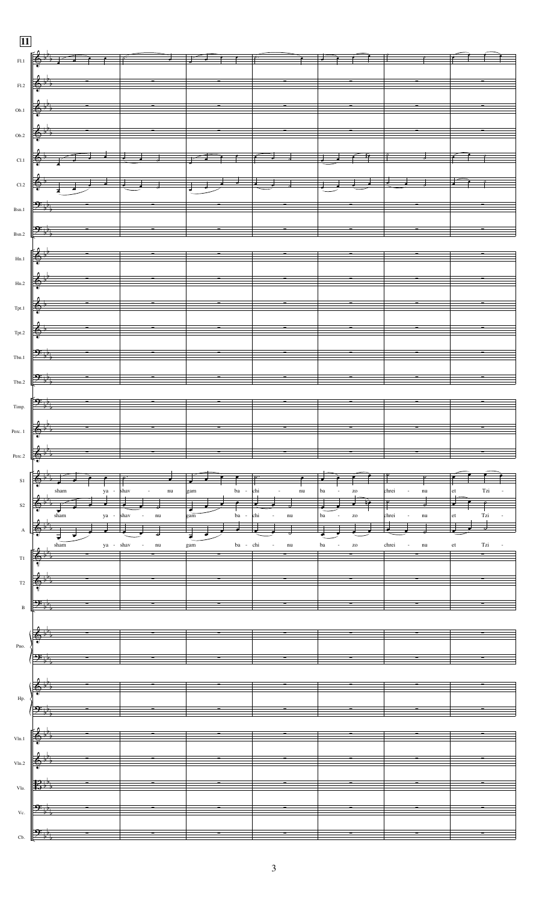| $\overline{11}$                     |                                                                                                                                                                                                                                                                                                                                                                                                                   |                                    |                 |                               |               |               |                                        |
|-------------------------------------|-------------------------------------------------------------------------------------------------------------------------------------------------------------------------------------------------------------------------------------------------------------------------------------------------------------------------------------------------------------------------------------------------------------------|------------------------------------|-----------------|-------------------------------|---------------|---------------|----------------------------------------|
|                                     | $F_{\text{L1}}$ $\left[\begin{array}{ccc} \left\{ \begin{array}{ccc} 1 & \frac{1}{2} & \frac{1}{2} & \frac{1}{2} & \frac{1}{2} & \frac{1}{2} & \frac{1}{2} & \frac{1}{2} & \frac{1}{2} & \frac{1}{2} & \frac{1}{2} & \frac{1}{2} & \frac{1}{2} & \frac{1}{2} & \frac{1}{2} & \frac{1}{2} & \frac{1}{2} & \frac{1}{2} & \frac{1}{2} & \frac{1}{2} & \frac{1}{2} & \frac{1}{2} & \frac{1}{2} & \frac{1}{2} & \frac$ |                                    |                 |                               | $\Rightarrow$ |               |                                        |
|                                     | F1.2                                                                                                                                                                                                                                                                                                                                                                                                              |                                    |                 |                               |               |               |                                        |
|                                     | $_{\text{Ob.1}}$ $\phi$                                                                                                                                                                                                                                                                                                                                                                                           | $\overline{\phantom{a}}$           |                 |                               |               |               |                                        |
|                                     |                                                                                                                                                                                                                                                                                                                                                                                                                   |                                    |                 |                               |               |               |                                        |
|                                     | $0b$ 2 $\frac{1}{2}$ $\frac{1}{2}$ $\frac{1}{2}$ $\frac{1}{2}$ $\frac{1}{2}$ $\frac{1}{2}$ $\frac{1}{2}$ $\frac{1}{2}$ $\frac{1}{2}$ $\frac{1}{2}$ $\frac{1}{2}$ $\frac{1}{2}$ $\frac{1}{2}$ $\frac{1}{2}$ $\frac{1}{2}$ $\frac{1}{2}$ $\frac{1}{2}$ $\frac{1}{2}$ $\frac{1}{2}$ $\frac{1}{2}$ $\frac{1}{2}$                                                                                                      |                                    |                 |                               |               |               |                                        |
|                                     |                                                                                                                                                                                                                                                                                                                                                                                                                   |                                    |                 |                               |               |               |                                        |
|                                     |                                                                                                                                                                                                                                                                                                                                                                                                                   |                                    |                 |                               |               | $\frac{1}{2}$ | $\overline{\phantom{a}}^{\phantom{a}}$ |
|                                     |                                                                                                                                                                                                                                                                                                                                                                                                                   |                                    |                 |                               |               |               |                                        |
| $_{\rm Bsn.1}$                      | $\mathcal{F}_{\mathfrak{p}'_{\mathfrak{p}}}$ -                                                                                                                                                                                                                                                                                                                                                                    |                                    |                 |                               |               |               |                                        |
| Bsn.2                               | $\mathbf{P}_{\mathbf{p}}$                                                                                                                                                                                                                                                                                                                                                                                         |                                    |                 |                               |               |               |                                        |
|                                     | $H_{\text{B}}$ . $\left(\frac{1}{2}, \frac{1}{2}\right)$                                                                                                                                                                                                                                                                                                                                                          |                                    |                 |                               |               |               |                                        |
|                                     | $Hn.2$ $\frac{2}{\sqrt{2}}$ $\frac{1}{\sqrt{2}}$ $\frac{1}{\sqrt{2}}$ $\frac{1}{\sqrt{2}}$ $\frac{1}{\sqrt{2}}$ $\frac{1}{\sqrt{2}}$ $\frac{1}{\sqrt{2}}$ $\frac{1}{\sqrt{2}}$ $\frac{1}{\sqrt{2}}$ $\frac{1}{\sqrt{2}}$ $\frac{1}{\sqrt{2}}$ $\frac{1}{\sqrt{2}}$ $\frac{1}{\sqrt{2}}$ $\frac{1}{\sqrt{2}}$ $\frac{1}{\sqrt{2}}$ $\frac{1}{\sqrt{2}}$ $\frac{1}{$                                                |                                    |                 |                               |               |               |                                        |
|                                     |                                                                                                                                                                                                                                                                                                                                                                                                                   |                                    |                 |                               |               |               |                                        |
|                                     | $T_{\text{pt},1}$ $\left  \bigoplus_{i=1}^{n} \frac{1}{i} \right $                                                                                                                                                                                                                                                                                                                                                |                                    |                 |                               |               |               |                                        |
|                                     | $Tpt.2$ $\downarrow$                                                                                                                                                                                                                                                                                                                                                                                              |                                    |                 |                               |               |               |                                        |
| T <sub>bn.1</sub>                   | $2 +$                                                                                                                                                                                                                                                                                                                                                                                                             |                                    |                 |                               |               |               |                                        |
|                                     | $\mathbf{P}$                                                                                                                                                                                                                                                                                                                                                                                                      |                                    |                 |                               |               |               |                                        |
| Tbn.2                               |                                                                                                                                                                                                                                                                                                                                                                                                                   |                                    |                 |                               |               |               |                                        |
| Timp.                               | $9\frac{1}{2}$                                                                                                                                                                                                                                                                                                                                                                                                    |                                    |                 |                               |               |               |                                        |
|                                     |                                                                                                                                                                                                                                                                                                                                                                                                                   |                                    |                 |                               |               |               |                                        |
|                                     | 87                                                                                                                                                                                                                                                                                                                                                                                                                |                                    |                 |                               |               |               |                                        |
|                                     |                                                                                                                                                                                                                                                                                                                                                                                                                   |                                    |                 |                               |               |               |                                        |
|                                     |                                                                                                                                                                                                                                                                                                                                                                                                                   |                                    |                 |                               |               |               |                                        |
| Perc. 1<br>Perc.2<br>S <sub>1</sub> | sham<br>ya -                                                                                                                                                                                                                                                                                                                                                                                                      | $\mathop{\rm nu}\nolimits$<br>shav | ba<br>gam       | chi<br>$\mathbf{n}\mathbf{u}$ | ba            | chrei<br>nu   | Tzi                                    |
| S <sub>2</sub>                      |                                                                                                                                                                                                                                                                                                                                                                                                                   |                                    |                 |                               |               |               |                                        |
| $\overline{A}$                      | ya -                                                                                                                                                                                                                                                                                                                                                                                                              | $\mathbf{n}$ u<br>shav             | gam             | chi<br>nu                     | ba            | chrei<br>nu   | Tzi<br>et                              |
|                                     | $sh\overline{am}$<br>ya - shav                                                                                                                                                                                                                                                                                                                                                                                    | $\mathbf{n}\mathbf{u}$             | gam<br>ba - chi | $\rm{nu}$                     | zo<br>ba      | chrei<br>nu   | Tzi<br>${\it et}$                      |
| $\overline{11}$                     |                                                                                                                                                                                                                                                                                                                                                                                                                   |                                    |                 |                               |               |               |                                        |
| T2                                  |                                                                                                                                                                                                                                                                                                                                                                                                                   |                                    |                 |                               |               |               |                                        |
|                                     |                                                                                                                                                                                                                                                                                                                                                                                                                   |                                    |                 |                               |               |               |                                        |
|                                     |                                                                                                                                                                                                                                                                                                                                                                                                                   |                                    |                 |                               |               |               |                                        |
| Pno.                                |                                                                                                                                                                                                                                                                                                                                                                                                                   |                                    |                 |                               |               |               |                                        |
|                                     |                                                                                                                                                                                                                                                                                                                                                                                                                   |                                    |                 |                               |               |               |                                        |
|                                     |                                                                                                                                                                                                                                                                                                                                                                                                                   |                                    |                 |                               |               |               |                                        |
| Hp.                                 |                                                                                                                                                                                                                                                                                                                                                                                                                   |                                    |                 |                               |               |               |                                        |
|                                     |                                                                                                                                                                                                                                                                                                                                                                                                                   |                                    |                 |                               |               |               |                                        |
|                                     |                                                                                                                                                                                                                                                                                                                                                                                                                   |                                    |                 |                               |               |               |                                        |
| Vln.1<br>Vln.2                      |                                                                                                                                                                                                                                                                                                                                                                                                                   |                                    |                 |                               |               |               |                                        |
|                                     |                                                                                                                                                                                                                                                                                                                                                                                                                   |                                    |                 |                               |               |               |                                        |
| Vla.                                |                                                                                                                                                                                                                                                                                                                                                                                                                   |                                    |                 |                               |               |               |                                        |
| Vc.                                 |                                                                                                                                                                                                                                                                                                                                                                                                                   |                                    |                 |                               |               |               |                                        |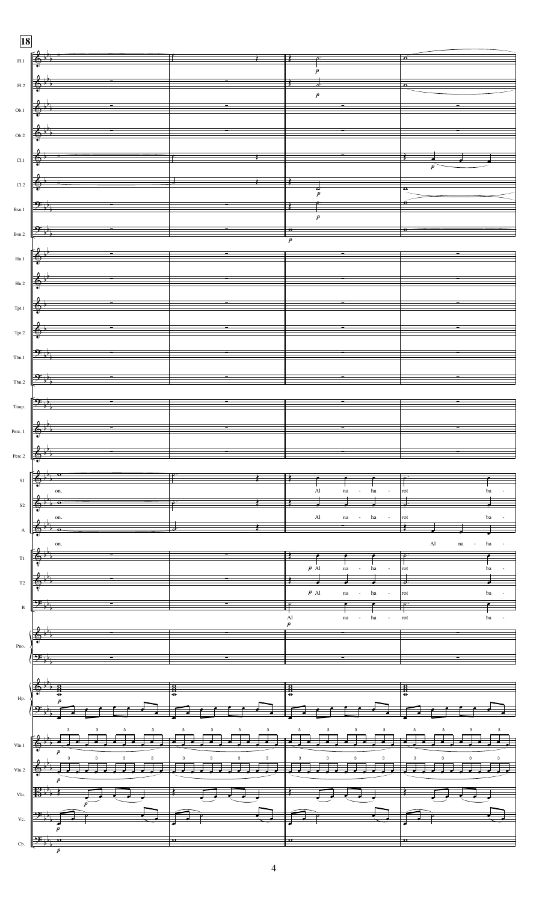| $\overline{18}$               |                                                                |                                |                                                 |                      |
|-------------------------------|----------------------------------------------------------------|--------------------------------|-------------------------------------------------|----------------------|
| $\rm{F}l.1$                   | $\frac{1}{2}$                                                  |                                |                                                 | $\bullet$            |
|                               |                                                                |                                | p                                               |                      |
| F1.2                          |                                                                |                                |                                                 | $\overline{\bullet}$ |
|                               |                                                                |                                | $\boldsymbol{p}$                                |                      |
| Ob.1                          |                                                                |                                |                                                 |                      |
|                               |                                                                |                                |                                                 |                      |
|                               | $0b.2$ $\phi$ <sup><math>\phi</math></sup>                     |                                |                                                 |                      |
|                               |                                                                |                                |                                                 |                      |
| CL1                           |                                                                | $\rightarrow$<br>$\mathbb{P}$  |                                                 |                      |
|                               |                                                                | $\frac{1}{2}$ .                |                                                 |                      |
| $\rm Cl{.2}$                  |                                                                |                                | $\frac{1}{p}$                                   | $\overline{\bullet}$ |
| Bsn.1                         | $\mathcal{P} \not\models_{\mathbb{Z}}$                         |                                |                                                 | $\mathbf{o}$         |
|                               |                                                                |                                | $\boldsymbol{p}$                                |                      |
| Bsn.2                         | $\mathbf{P}$                                                   |                                | $\frac{\sqrt{1-\epsilon}}{p}$                   | $\mathbf{o}$         |
|                               |                                                                |                                |                                                 |                      |
| Hn.1                          | $\frac{2}{9}$                                                  |                                |                                                 |                      |
|                               |                                                                |                                |                                                 |                      |
|                               | Hn.2                                                           |                                |                                                 |                      |
|                               |                                                                |                                |                                                 |                      |
| $T_{\text{pt.1}}$             |                                                                |                                |                                                 |                      |
|                               | $\phi$                                                         |                                |                                                 |                      |
| $\mathop{\rm Tpt}\nolimits.2$ |                                                                |                                |                                                 |                      |
| Tbn.1                         | $2\frac{1}{2}$                                                 |                                |                                                 |                      |
|                               |                                                                |                                |                                                 |                      |
| Tbn.2                         | $2 +$                                                          |                                |                                                 |                      |
|                               |                                                                |                                |                                                 |                      |
| Timp.                         |                                                                |                                |                                                 |                      |
|                               |                                                                |                                |                                                 |                      |
| Perc. 1                       |                                                                |                                |                                                 |                      |
|                               |                                                                |                                |                                                 |                      |
| Perc. $2$                     |                                                                |                                |                                                 |                      |
|                               |                                                                |                                |                                                 |                      |
| S <sub>1</sub>                |                                                                |                                | Al                                              |                      |
| S <sub>2</sub>                |                                                                |                                |                                                 |                      |
|                               |                                                                |                                | ${\rm Al}$<br>ha<br>na                          | ba                   |
| $\mathbf A$                   |                                                                |                                |                                                 |                      |
|                               | on.                                                            |                                |                                                 | Al<br>na             |
| $\rm Ti$                      | $\frac{2}{\frac{1}{2}}$                                        |                                |                                                 |                      |
|                               |                                                                |                                | $p_{\rm Al}$                                    | ba                   |
| $\mathsf{T2}$                 |                                                                |                                |                                                 |                      |
|                               |                                                                |                                | $p_{\text{Al}}$                                 | ba                   |
| $\overline{B}$                |                                                                |                                |                                                 |                      |
|                               |                                                                |                                | Al                                              | rot                  |
|                               |                                                                |                                |                                                 |                      |
| Pno.                          |                                                                |                                |                                                 |                      |
|                               |                                                                |                                |                                                 |                      |
|                               |                                                                |                                |                                                 |                      |
| Hp.                           | $\frac{1}{2}$                                                  | $\frac{8}{3}$<br>$\frac{8}{5}$ |                                                 | $\frac{1}{3}$        |
|                               | $\left  \frac{\partial ^{2} \psi }{\partial \varphi } \right $ |                                |                                                 |                      |
|                               |                                                                |                                |                                                 |                      |
|                               |                                                                |                                |                                                 |                      |
|                               |                                                                |                                |                                                 |                      |
|                               |                                                                |                                |                                                 |                      |
|                               |                                                                |                                |                                                 |                      |
|                               |                                                                | フラディ ロワード ロミ                   |                                                 |                      |
| Vla.                          |                                                                |                                | $\begin{array}{c c c c c c} \hline \end{array}$ |                      |
| $\mbox{\rm Vc}.$              | $\overline{\cdot}$                                             | $\overrightarrow{P}$           | $\Box$                                          | $\leftarrow$         |
|                               |                                                                |                                |                                                 |                      |
|                               | Cb. $\frac{9!p}{p}$                                            | $\mathbf{o}$                   | $\overline{\circ}$                              | $\mathbf{o}$         |
|                               |                                                                |                                |                                                 |                      |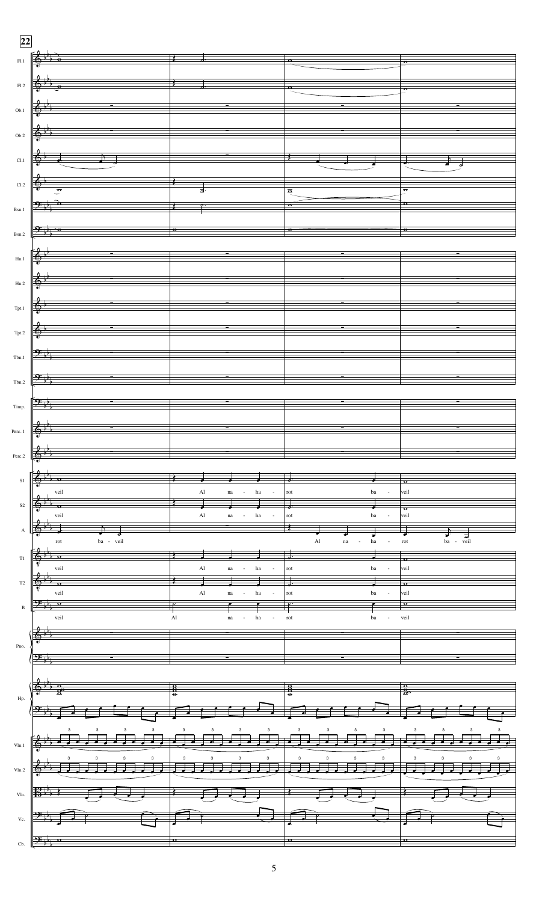| $\overline{22}$ |                                                                                      |                                                          |                                                                   |                                          |
|-----------------|--------------------------------------------------------------------------------------|----------------------------------------------------------|-------------------------------------------------------------------|------------------------------------------|
|                 | F1.1                                                                                 | $\overline{\mathbf{R}}$                                  | $\overline{\bullet}$                                              |                                          |
|                 |                                                                                      | $\overline{\mathbf{R}}$                                  |                                                                   |                                          |
| F1.2            |                                                                                      |                                                          |                                                                   |                                          |
| Ob.1            |                                                                                      |                                                          |                                                                   |                                          |
|                 | 0 <sub>b.2</sub>                                                                     |                                                          |                                                                   |                                          |
| $\text{C}1.1$   | $\frac{1}{\frac{1}{2}}$<br>$\rightarrow$                                             |                                                          | ₹                                                                 |                                          |
|                 |                                                                                      |                                                          |                                                                   | ♪                                        |
|                 | C1.2                                                                                 | ₹<br>$\frac{1}{e}$                                       | $\frac{1}{\sqrt{\overline{e}}\sqrt{\overline{e}}}$                | $\overline{\sigma}$                      |
| $_{\rm Bsn.1}$  | $\mathcal{P}_{\mathfrak{p}}$ o                                                       | $\overline{\mathcal{X}}$                                 | $\overline{\mathbf{o}}$                                           | $\bullet$                                |
| Bsn.2           | $\mathbf{P}_{\mathbf{p}}$ o                                                          | $\overline{\mathbf{v}}$                                  | $\mathbf{o}$                                                      |                                          |
|                 | Hn.1                                                                                 |                                                          |                                                                   |                                          |
|                 |                                                                                      |                                                          |                                                                   |                                          |
|                 | Hn.2                                                                                 |                                                          |                                                                   |                                          |
|                 | $T_{\text{pt.1}}$                                                                    |                                                          |                                                                   |                                          |
| $_{\rm Tpt.2}$  | $\frac{2}{9}$                                                                        |                                                          |                                                                   |                                          |
|                 |                                                                                      |                                                          |                                                                   |                                          |
| Tbn.1           | $2\frac{1}{2}$                                                                       |                                                          |                                                                   |                                          |
| Tbn.2           | $\mathbf{P}$                                                                         |                                                          |                                                                   |                                          |
| Timp.           |                                                                                      |                                                          |                                                                   |                                          |
| Perc. 1         |                                                                                      |                                                          |                                                                   |                                          |
|                 | $\bullet$                                                                            |                                                          |                                                                   |                                          |
| Perc.2          |                                                                                      |                                                          |                                                                   |                                          |
| $\mathbf{S}1$   | veil                                                                                 | $\mathbf{A}$ l<br>ha<br>$\mathbf{n}\mathbf{a}$           | rot<br>ba                                                         | veil                                     |
| S <sub>2</sub>  |                                                                                      | $\rm Al$                                                 |                                                                   |                                          |
| $\mathbf A$     | veil                                                                                 | $_{\rm ha}$<br>$\mathbf{n}\mathbf{a}$                    | ba<br>rot                                                         | veil                                     |
|                 | ba - veil<br>rot                                                                     |                                                          | Al<br>na                                                          | $\frac{1}{\sqrt{2}}$<br>ba - veil<br>rot |
| $\rm T1$        | veil                                                                                 | ${\rm Al}$<br>ha<br>na                                   | ba<br>rot                                                         | $\mathbf \sigma$<br>veil                 |
| $\mathrm{T}2$   | veil                                                                                 | ${\rm Al}$<br>na<br>ha                                   | ba<br>rot                                                         | veil                                     |
| $\, {\bf B}$    |                                                                                      |                                                          |                                                                   |                                          |
|                 | veil<br>$6\frac{1}{2}$                                                               | A <sub>1</sub><br>ha<br>na                               | ba<br>rot                                                         | veil                                     |
| Pno.            |                                                                                      |                                                          |                                                                   |                                          |
|                 |                                                                                      |                                                          |                                                                   |                                          |
|                 | $\frac{2}{\sqrt{2}}$                                                                 | $\frac{8}{6}$                                            | $\frac{1}{\sqrt{\frac{2}{5}}\sqrt{\frac{2}{5}}}$                  | $\frac{1}{9}$                            |
| $_{\rm{Hp.}}$   | $\left( \frac{\partial \mathbf{F}}{\partial \mathbf{F}}\right) _{x}$<br>$\mathbf{F}$ |                                                          |                                                                   |                                          |
|                 |                                                                                      |                                                          | $\mathbf{3}$<br>$\mathbf{3}$                                      | $\mathbf{3}$                             |
| $_{\rm Vln.1}$  |                                                                                      | $\frac{1}{2}$                                            |                                                                   |                                          |
| Vln.2           |                                                                                      |                                                          |                                                                   |                                          |
| Vla.            |                                                                                      | $\overline{\mathbf{r}}$<br>$\overline{\phantom{a}}$<br>戸 | $\overline{\phantom{a}}$ , $\overline{\phantom{a}}$<br>$\sqrt{a}$ |                                          |
|                 |                                                                                      |                                                          |                                                                   |                                          |
| $\rm{Vc.}$      |                                                                                      | <u>star</u>                                              | $\frac{1}{\sqrt{2}}$<br>$\overline{\mathbf{1}}$                   |                                          |
|                 | $_{\text{Cb.}}$ $\left[\frac{9:10}{10}\right]$ o                                     | $\overline{\phantom{0}}$                                 | $\circ$                                                           | $\overline{\mathbf{o}}$                  |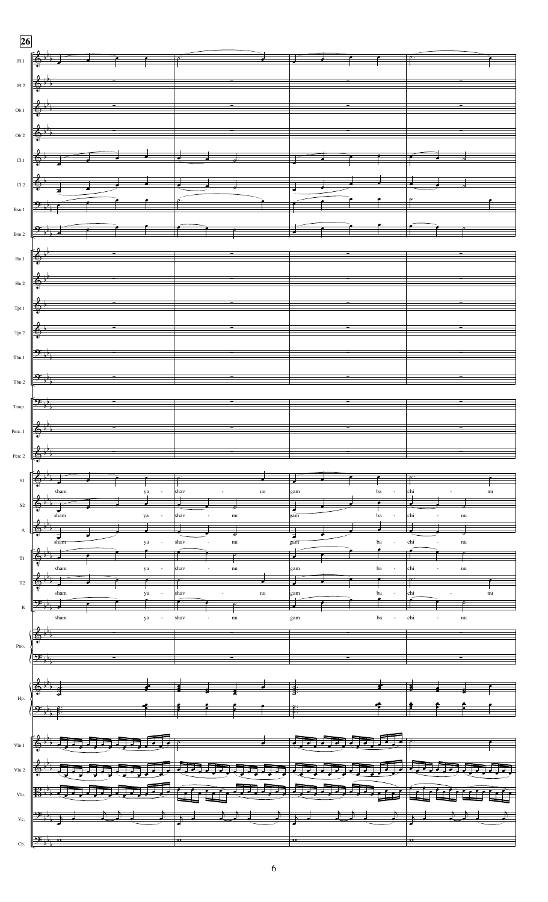| 26                             |                                                                                                                                                                                                         |                                                                                                 |                                                                                                                       |                                                 |                                 |                          |                                                                      |    |
|--------------------------------|---------------------------------------------------------------------------------------------------------------------------------------------------------------------------------------------------------|-------------------------------------------------------------------------------------------------|-----------------------------------------------------------------------------------------------------------------------|-------------------------------------------------|---------------------------------|--------------------------|----------------------------------------------------------------------|----|
|                                | FIN $\begin{pmatrix} 1 & 1 & 1 \\ 1 & 1 & 1 \\ 1 & 1 & 1 \end{pmatrix}$                                                                                                                                 |                                                                                                 |                                                                                                                       |                                                 |                                 | $\int$                   |                                                                      |    |
|                                | $F1.2$ $\left(\frac{3}{2}\right)^{\frac{1}{2}}$                                                                                                                                                         |                                                                                                 | <u>e de la construcción de la construcción de la construcción de la construcción de la construcción de la constru</u> |                                                 |                                 |                          |                                                                      |    |
|                                |                                                                                                                                                                                                         |                                                                                                 |                                                                                                                       |                                                 |                                 |                          |                                                                      |    |
|                                | $_{\text{Ob.1}}$ $\phi$                                                                                                                                                                                 |                                                                                                 |                                                                                                                       |                                                 |                                 |                          |                                                                      |    |
|                                | $0b.2$ $\left(\frac{1}{2}b\right)$                                                                                                                                                                      |                                                                                                 |                                                                                                                       | $\blacksquare$ . The contract of $\blacksquare$ |                                 |                          |                                                                      |    |
|                                |                                                                                                                                                                                                         |                                                                                                 |                                                                                                                       |                                                 |                                 |                          |                                                                      |    |
|                                | $\frac{1}{2}$                                                                                                                                                                                           |                                                                                                 |                                                                                                                       |                                                 |                                 | $\cdot$                  | $\overline{\phantom{a}}$                                             |    |
|                                |                                                                                                                                                                                                         |                                                                                                 |                                                                                                                       |                                                 |                                 |                          |                                                                      |    |
| Bsn.1                          |                                                                                                                                                                                                         |                                                                                                 |                                                                                                                       |                                                 |                                 |                          |                                                                      |    |
|                                | $B_{\rm Sn.2}$ $\left[\frac{\partial \cdot \phi}{\partial \phi}\right]$<br>$\overline{\phantom{0}}$                                                                                                     | $\overrightarrow{a}$ and $\overrightarrow{a}$ and $\overrightarrow{a}$ and $\overrightarrow{a}$ |                                                                                                                       |                                                 |                                 | $\overline{\phantom{a}}$ | $\overline{\phantom{a}}$                                             |    |
|                                | $Hn.1$ $\downarrow$ $\downarrow$ $\downarrow$                                                                                                                                                           |                                                                                                 |                                                                                                                       |                                                 |                                 |                          |                                                                      |    |
|                                | $Hn.2$ $\left(\frac{1}{2}\right)^{\frac{1}{2}}$                                                                                                                                                         |                                                                                                 |                                                                                                                       |                                                 |                                 |                          |                                                                      |    |
|                                | $T_{\text{pt.1}}$<br>$\overline{\phantom{a}}$ , and the set of $\overline{\phantom{a}}$                                                                                                                 |                                                                                                 |                                                                                                                       | Ξ                                               |                                 |                          |                                                                      |    |
|                                |                                                                                                                                                                                                         |                                                                                                 |                                                                                                                       |                                                 |                                 |                          |                                                                      |    |
|                                | Tpt.2                                                                                                                                                                                                   |                                                                                                 |                                                                                                                       |                                                 |                                 |                          |                                                                      |    |
| T <sub>bn.1</sub>              | $9\frac{1}{2}$                                                                                                                                                                                          |                                                                                                 |                                                                                                                       | $\blacksquare$                                  |                                 |                          |                                                                      |    |
| Tbn.2                          | 9:1                                                                                                                                                                                                     |                                                                                                 |                                                                                                                       |                                                 |                                 |                          |                                                                      |    |
| Timp.                          |                                                                                                                                                                                                         |                                                                                                 |                                                                                                                       |                                                 |                                 |                          |                                                                      |    |
|                                | Perc. 1 $\left\lfloor \begin{array}{ccc} \begin{array}{ccc} \end{array} & \begin{array}{ccc} \end{array} & \begin{array}{ccc} \end{array} & \begin{array}{ccc} \end{array} & \end{array} \right\rfloor$ |                                                                                                 |                                                                                                                       |                                                 |                                 |                          |                                                                      |    |
|                                |                                                                                                                                                                                                         |                                                                                                 |                                                                                                                       |                                                 |                                 |                          |                                                                      |    |
| $\ensuremath{\mathsf{Perc}}.2$ |                                                                                                                                                                                                         |                                                                                                 |                                                                                                                       |                                                 |                                 |                          |                                                                      |    |
| $\mathbf{S}1$                  |                                                                                                                                                                                                         |                                                                                                 |                                                                                                                       |                                                 |                                 |                          |                                                                      |    |
| S <sub>2</sub>                 |                                                                                                                                                                                                         |                                                                                                 | shav                                                                                                                  | nu                                              | gam                             |                          |                                                                      | nu |
| $\mathbf A$                    |                                                                                                                                                                                                         | ya                                                                                              |                                                                                                                       | nu                                              | gam                             |                          | nu                                                                   |    |
|                                |                                                                                                                                                                                                         |                                                                                                 |                                                                                                                       | nu                                              | gam                             |                          | chi<br>nu                                                            |    |
| $\rm T1$                       | sham                                                                                                                                                                                                    | ya                                                                                              | shav                                                                                                                  | $\mathop{\rm nu}\nolimits$                      | gam                             |                          | chi<br>nu                                                            |    |
| $\mathrm{T}2$                  |                                                                                                                                                                                                         |                                                                                                 |                                                                                                                       |                                                 |                                 |                          |                                                                      |    |
| $\, {\bf B}$                   | sham                                                                                                                                                                                                    |                                                                                                 | shav                                                                                                                  | $\mathop{\rm nu}\nolimits$                      |                                 |                          |                                                                      | nu |
|                                | sham                                                                                                                                                                                                    |                                                                                                 | shav                                                                                                                  |                                                 | gam                             |                          | chi<br>nu                                                            |    |
| Pno.                           |                                                                                                                                                                                                         |                                                                                                 |                                                                                                                       |                                                 |                                 |                          |                                                                      |    |
|                                |                                                                                                                                                                                                         |                                                                                                 |                                                                                                                       |                                                 |                                 |                          |                                                                      |    |
|                                |                                                                                                                                                                                                         |                                                                                                 | $\overline{\mathbf{1}}$                                                                                               |                                                 | $\frac{2}{9}$                   |                          |                                                                      |    |
| Hp.                            |                                                                                                                                                                                                         |                                                                                                 |                                                                                                                       |                                                 |                                 |                          |                                                                      |    |
|                                |                                                                                                                                                                                                         |                                                                                                 |                                                                                                                       |                                                 |                                 |                          |                                                                      |    |
| Vln.1                          | $\phi$ , $\overline{17}$ , $\overline{17}$ , $\overline{17}$ , $\overline{17}$ , $\overline{17}$                                                                                                        |                                                                                                 |                                                                                                                       |                                                 | <u> انتشار انداز انجام است.</u> |                          |                                                                      |    |
| Vln.2                          | $6^{3}$                                                                                                                                                                                                 |                                                                                                 |                                                                                                                       |                                                 |                                 |                          | الفانقا تفاحون والمناقل القانقان أقذا فقا تطاحون والمال لقاء لالأولة |    |
|                                | من من المنابعة والمن المن المنابعة المن المنابعة المنابعة المنابعة المنابعة والمنابعة المنابعة المنابعة المنابعة                                                                                        |                                                                                                 |                                                                                                                       |                                                 |                                 |                          |                                                                      |    |
| $_{\rm Vla.}$                  |                                                                                                                                                                                                         |                                                                                                 |                                                                                                                       |                                                 |                                 |                          |                                                                      |    |
| $\mathrm{Vc}.$                 |                                                                                                                                                                                                         |                                                                                                 | $\rightarrow$ $\rightarrow$                                                                                           | $\rightarrow$<br>$\rightarrow$                  |                                 | $\partial$ , $\partial$  |                                                                      |    |
| $\mathbb{C}$ b.                | $\mathcal{P}_{\mathfrak{p}}$ o                                                                                                                                                                          |                                                                                                 | $\overline{\phantom{a}}$                                                                                              | $\overline{\mathbf{O}}$                         |                                 |                          | $\Omega$                                                             |    |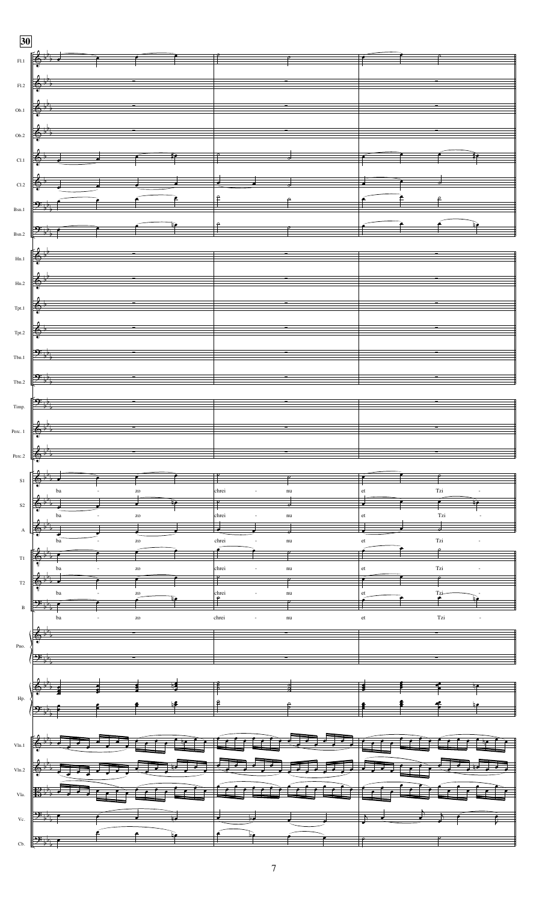| 30                |                                                                                                                       |                          |                                                                                                                                                                                                                                                                                                                     |                                                                                                                                                                                                                                                                                                                                                     |                        |            |     |  |
|-------------------|-----------------------------------------------------------------------------------------------------------------------|--------------------------|---------------------------------------------------------------------------------------------------------------------------------------------------------------------------------------------------------------------------------------------------------------------------------------------------------------------|-----------------------------------------------------------------------------------------------------------------------------------------------------------------------------------------------------------------------------------------------------------------------------------------------------------------------------------------------------|------------------------|------------|-----|--|
|                   | F1.1<br>$\rightarrow$                                                                                                 | $\overline{\phantom{a}}$ |                                                                                                                                                                                                                                                                                                                     | $\begin{array}{ccc} \circ & \circ & \circ \\ \circ & \circ & \circ \end{array}$                                                                                                                                                                                                                                                                     |                        |            |     |  |
|                   |                                                                                                                       |                          |                                                                                                                                                                                                                                                                                                                     |                                                                                                                                                                                                                                                                                                                                                     |                        |            |     |  |
| F1.2              |                                                                                                                       |                          |                                                                                                                                                                                                                                                                                                                     | <u> Espainia e a contra de la contra de la contra de la contra de la contra de la contra de la contra de la con</u>                                                                                                                                                                                                                                 |                        |            |     |  |
| Ob.1              |                                                                                                                       |                          | <u> 1989 - Johann Barbara, martxa a shekara 1989 - An tsa a shekara 1989 - An tsa a shekara 1989 - An tsa a sheka</u>                                                                                                                                                                                               |                                                                                                                                                                                                                                                                                                                                                     |                        |            |     |  |
|                   |                                                                                                                       |                          |                                                                                                                                                                                                                                                                                                                     |                                                                                                                                                                                                                                                                                                                                                     |                        |            |     |  |
|                   | $0b.2$ $\left  \begin{array}{c} 2 & b \\ 0 & 0 \end{array} \right $                                                   |                          |                                                                                                                                                                                                                                                                                                                     |                                                                                                                                                                                                                                                                                                                                                     |                        |            |     |  |
|                   |                                                                                                                       |                          | $\frac{1}{2}$ $\frac{1}{2}$ $\frac{1}{2}$ $\frac{1}{2}$ $\frac{1}{2}$ $\frac{1}{2}$ $\frac{1}{2}$ $\frac{1}{2}$ $\frac{1}{2}$ $\frac{1}{2}$ $\frac{1}{2}$ $\frac{1}{2}$ $\frac{1}{2}$ $\frac{1}{2}$ $\frac{1}{2}$ $\frac{1}{2}$ $\frac{1}{2}$ $\frac{1}{2}$ $\frac{1}{2}$ $\frac{1}{2}$ $\frac{1}{2}$ $\frac{1}{2}$ |                                                                                                                                                                                                                                                                                                                                                     |                        |            |     |  |
| CL1               | $\spadesuit$                                                                                                          |                          |                                                                                                                                                                                                                                                                                                                     |                                                                                                                                                                                                                                                                                                                                                     |                        |            |     |  |
| C1.2              |                                                                                                                       |                          | $\overline{\phantom{a}}$                                                                                                                                                                                                                                                                                            | $\overline{\phantom{a}}$                                                                                                                                                                                                                                                                                                                            |                        |            |     |  |
|                   |                                                                                                                       |                          |                                                                                                                                                                                                                                                                                                                     | $\begin{picture}(180,10) \put(0,0){\line(1,0){10}} \put(10,0){\line(1,0){10}} \put(10,0){\line(1,0){10}} \put(10,0){\line(1,0){10}} \put(10,0){\line(1,0){10}} \put(10,0){\line(1,0){10}} \put(10,0){\line(1,0){10}} \put(10,0){\line(1,0){10}} \put(10,0){\line(1,0){10}} \put(10,0){\line(1,0){10}} \put(10,0){\line(1,0){10}} \put(10,0){\line($ |                        |            |     |  |
| Bsn.1             | $\mathbf{P}_{\mathbf{p}}$                                                                                             |                          |                                                                                                                                                                                                                                                                                                                     |                                                                                                                                                                                                                                                                                                                                                     |                        |            |     |  |
| Bsn.2             | $\overline{\phantom{0}}$<br>$\mathcal{P}$                                                                             |                          |                                                                                                                                                                                                                                                                                                                     | €                                                                                                                                                                                                                                                                                                                                                   |                        |            |     |  |
|                   |                                                                                                                       |                          |                                                                                                                                                                                                                                                                                                                     |                                                                                                                                                                                                                                                                                                                                                     |                        |            |     |  |
| $_{\text{Hn.1}}$  | $\frac{2}{3}$                                                                                                         |                          |                                                                                                                                                                                                                                                                                                                     |                                                                                                                                                                                                                                                                                                                                                     |                        |            |     |  |
| Hn.2              | $\frac{\phi}{2}$                                                                                                      |                          |                                                                                                                                                                                                                                                                                                                     |                                                                                                                                                                                                                                                                                                                                                     |                        |            |     |  |
|                   |                                                                                                                       |                          |                                                                                                                                                                                                                                                                                                                     |                                                                                                                                                                                                                                                                                                                                                     |                        |            |     |  |
| $T_{\text{pt.1}}$ |                                                                                                                       |                          |                                                                                                                                                                                                                                                                                                                     |                                                                                                                                                                                                                                                                                                                                                     |                        |            |     |  |
|                   | $\frac{2}{9}$                                                                                                         |                          |                                                                                                                                                                                                                                                                                                                     |                                                                                                                                                                                                                                                                                                                                                     |                        |            |     |  |
| Tpt.2             |                                                                                                                       |                          |                                                                                                                                                                                                                                                                                                                     |                                                                                                                                                                                                                                                                                                                                                     |                        |            |     |  |
| Tbn.1             |                                                                                                                       |                          |                                                                                                                                                                                                                                                                                                                     |                                                                                                                                                                                                                                                                                                                                                     |                        |            |     |  |
|                   |                                                                                                                       |                          |                                                                                                                                                                                                                                                                                                                     |                                                                                                                                                                                                                                                                                                                                                     |                        |            |     |  |
| Tbn.2             |                                                                                                                       |                          |                                                                                                                                                                                                                                                                                                                     |                                                                                                                                                                                                                                                                                                                                                     |                        |            |     |  |
| Timp.             |                                                                                                                       |                          |                                                                                                                                                                                                                                                                                                                     |                                                                                                                                                                                                                                                                                                                                                     |                        |            |     |  |
|                   |                                                                                                                       |                          |                                                                                                                                                                                                                                                                                                                     |                                                                                                                                                                                                                                                                                                                                                     |                        |            |     |  |
| Perc. 1           | $\bullet$                                                                                                             |                          |                                                                                                                                                                                                                                                                                                                     |                                                                                                                                                                                                                                                                                                                                                     |                        |            |     |  |
|                   | Perc. 2 $\left($                                                                                                      |                          |                                                                                                                                                                                                                                                                                                                     |                                                                                                                                                                                                                                                                                                                                                     |                        |            |     |  |
|                   |                                                                                                                       |                          |                                                                                                                                                                                                                                                                                                                     |                                                                                                                                                                                                                                                                                                                                                     |                        |            |     |  |
| S <sub>1</sub>    |                                                                                                                       |                          |                                                                                                                                                                                                                                                                                                                     | chrei                                                                                                                                                                                                                                                                                                                                               | nu                     | et         | Tzi |  |
| $\mathbf{S2}$     |                                                                                                                       |                          |                                                                                                                                                                                                                                                                                                                     |                                                                                                                                                                                                                                                                                                                                                     |                        |            |     |  |
|                   |                                                                                                                       | ZO                       |                                                                                                                                                                                                                                                                                                                     | chrei                                                                                                                                                                                                                                                                                                                                               | $\mathbf{n}\mathbf{u}$ | et         | Tzi |  |
|                   |                                                                                                                       | ZO                       |                                                                                                                                                                                                                                                                                                                     | chrei                                                                                                                                                                                                                                                                                                                                               | nu                     | et         | Tzi |  |
|                   |                                                                                                                       |                          |                                                                                                                                                                                                                                                                                                                     |                                                                                                                                                                                                                                                                                                                                                     |                        |            |     |  |
| $\rm T1$          |                                                                                                                       | ZO                       |                                                                                                                                                                                                                                                                                                                     | chrei                                                                                                                                                                                                                                                                                                                                               | nu                     | et         | Tzi |  |
| $\mathrm{T}2$     | $4 - 1$                                                                                                               |                          |                                                                                                                                                                                                                                                                                                                     |                                                                                                                                                                                                                                                                                                                                                     |                        |            |     |  |
|                   |                                                                                                                       | ZO                       |                                                                                                                                                                                                                                                                                                                     | chrei<br>P                                                                                                                                                                                                                                                                                                                                          | nu                     | et         | Tzi |  |
| $\, {\bf B}$      | ba                                                                                                                    | ZO                       |                                                                                                                                                                                                                                                                                                                     | chrei                                                                                                                                                                                                                                                                                                                                               | nu                     | ${\it et}$ | Tzi |  |
|                   | 侍                                                                                                                     |                          |                                                                                                                                                                                                                                                                                                                     |                                                                                                                                                                                                                                                                                                                                                     |                        |            |     |  |
| Pno.              |                                                                                                                       |                          |                                                                                                                                                                                                                                                                                                                     |                                                                                                                                                                                                                                                                                                                                                     |                        |            |     |  |
|                   | $\frac{1}{2}$                                                                                                         |                          |                                                                                                                                                                                                                                                                                                                     |                                                                                                                                                                                                                                                                                                                                                     |                        |            |     |  |
|                   |                                                                                                                       |                          |                                                                                                                                                                                                                                                                                                                     |                                                                                                                                                                                                                                                                                                                                                     |                        |            |     |  |
| Hp.               | 16                                                                                                                    |                          |                                                                                                                                                                                                                                                                                                                     |                                                                                                                                                                                                                                                                                                                                                     |                        |            |     |  |
|                   |                                                                                                                       |                          |                                                                                                                                                                                                                                                                                                                     | ऻ                                                                                                                                                                                                                                                                                                                                                   |                        |            |     |  |
|                   |                                                                                                                       |                          |                                                                                                                                                                                                                                                                                                                     |                                                                                                                                                                                                                                                                                                                                                     |                        |            |     |  |
|                   |                                                                                                                       |                          |                                                                                                                                                                                                                                                                                                                     |                                                                                                                                                                                                                                                                                                                                                     |                        |            |     |  |
|                   |                                                                                                                       |                          |                                                                                                                                                                                                                                                                                                                     |                                                                                                                                                                                                                                                                                                                                                     |                        |            |     |  |
| Vln.2             | والموالي والمستور والتواري والتواريخ والمستور والمستور والمستور والمستور والمستورة والمرادة                           |                          |                                                                                                                                                                                                                                                                                                                     |                                                                                                                                                                                                                                                                                                                                                     |                        |            |     |  |
| $_{\rm Vla.}$     | <b>Basic Common Common Common Common Common Common Common Common Common Common Common Common Common Common Common</b> |                          |                                                                                                                                                                                                                                                                                                                     |                                                                                                                                                                                                                                                                                                                                                     |                        |            |     |  |
|                   |                                                                                                                       |                          |                                                                                                                                                                                                                                                                                                                     |                                                                                                                                                                                                                                                                                                                                                     |                        |            |     |  |
| Vc.               |                                                                                                                       |                          |                                                                                                                                                                                                                                                                                                                     |                                                                                                                                                                                                                                                                                                                                                     |                        |            |     |  |
|                   | Cb. $\left[\begin{array}{ccc} \bullet & \bullet \\ \bullet & \bullet \\ \bullet & \bullet \end{array}\right]$         | ٠                        |                                                                                                                                                                                                                                                                                                                     | bè<br>₱                                                                                                                                                                                                                                                                                                                                             |                        |            |     |  |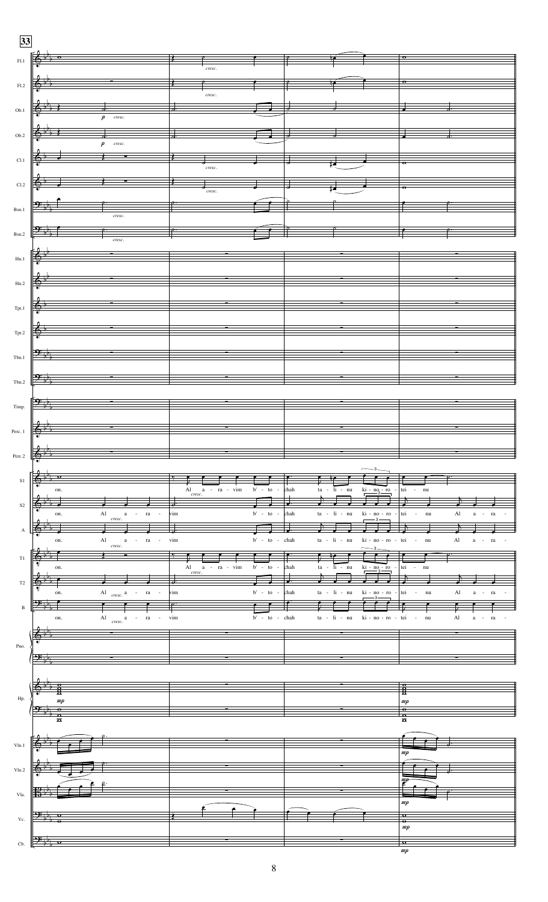| $\boxed{33}$        |                                                                                                                                                                                                                                                                                                                                                                                                                       |                                                                                                                                                                                                                                                                                                                                                                                                                                                               |                                                          |                                                                                                                                                                                                                                                                                                                                                                                                                           |
|---------------------|-----------------------------------------------------------------------------------------------------------------------------------------------------------------------------------------------------------------------------------------------------------------------------------------------------------------------------------------------------------------------------------------------------------------------|---------------------------------------------------------------------------------------------------------------------------------------------------------------------------------------------------------------------------------------------------------------------------------------------------------------------------------------------------------------------------------------------------------------------------------------------------------------|----------------------------------------------------------|---------------------------------------------------------------------------------------------------------------------------------------------------------------------------------------------------------------------------------------------------------------------------------------------------------------------------------------------------------------------------------------------------------------------------|
|                     | FLI $\left[\begin{array}{ccc} 1 & 1 & 1 \\ 0 & 1 & 1 \end{array}\right]$                                                                                                                                                                                                                                                                                                                                              |                                                                                                                                                                                                                                                                                                                                                                                                                                                               |                                                          | $\overline{\mathbf{0}}$                                                                                                                                                                                                                                                                                                                                                                                                   |
|                     |                                                                                                                                                                                                                                                                                                                                                                                                                       |                                                                                                                                                                                                                                                                                                                                                                                                                                                               |                                                          |                                                                                                                                                                                                                                                                                                                                                                                                                           |
| F1.2                | $\oint$ $\phi^2$<br>$\overline{\phantom{a}}$                                                                                                                                                                                                                                                                                                                                                                          | $\mathcal{L}$                                                                                                                                                                                                                                                                                                                                                                                                                                                 |                                                          | $\boxed{\circ}$                                                                                                                                                                                                                                                                                                                                                                                                           |
|                     |                                                                                                                                                                                                                                                                                                                                                                                                                       | cresc.<br>$\overline{\phantom{a}}$                                                                                                                                                                                                                                                                                                                                                                                                                            |                                                          |                                                                                                                                                                                                                                                                                                                                                                                                                           |
| Ob.1                | $\frac{1}{p}$<br>cresc.                                                                                                                                                                                                                                                                                                                                                                                               |                                                                                                                                                                                                                                                                                                                                                                                                                                                               |                                                          |                                                                                                                                                                                                                                                                                                                                                                                                                           |
|                     | $0b.2$ $\left(\frac{b}{c}\right)^{p}$<br>$\overline{\phantom{a}}$                                                                                                                                                                                                                                                                                                                                                     | $\frac{1}{\sigma}$                                                                                                                                                                                                                                                                                                                                                                                                                                            |                                                          |                                                                                                                                                                                                                                                                                                                                                                                                                           |
|                     | $\boldsymbol{p}$ cresc.                                                                                                                                                                                                                                                                                                                                                                                               |                                                                                                                                                                                                                                                                                                                                                                                                                                                               |                                                          |                                                                                                                                                                                                                                                                                                                                                                                                                           |
| $_{\rm Cl.1}$       | $\frac{1}{\frac{1}{2}}$<br>$\overrightarrow{ }$<br>Ξ<br>$\cdot$                                                                                                                                                                                                                                                                                                                                                       | $rac{1}{\sqrt{1-\frac{1}{c}}}\frac{1}{\sqrt{1-\frac{1}{c}}}\frac{1}{\sqrt{1-\frac{1}{c}}}\frac{1}{\sqrt{1-\frac{1}{c}}}\frac{1}{\sqrt{1-\frac{1}{c}}}\frac{1}{\sqrt{1-\frac{1}{c}}}\frac{1}{\sqrt{1-\frac{1}{c}}}\frac{1}{\sqrt{1-\frac{1}{c}}}\frac{1}{\sqrt{1-\frac{1}{c}}}\frac{1}{\sqrt{1-\frac{1}{c}}}\frac{1}{\sqrt{1-\frac{1}{c}}}\frac{1}{\sqrt{1-\frac{1}{c}}}\frac{1}{\sqrt{1-\frac{1}{c}}}\frac{1}{\sqrt{1-\frac{1$                                | $\overline{\overline{J}}$<br>$\overline{\phantom{a}}$    | $\overline{\mathbf{o}}$                                                                                                                                                                                                                                                                                                                                                                                                   |
|                     | $C1.2$ $\downarrow$<br>$\overrightarrow{ }$                                                                                                                                                                                                                                                                                                                                                                           |                                                                                                                                                                                                                                                                                                                                                                                                                                                               |                                                          |                                                                                                                                                                                                                                                                                                                                                                                                                           |
|                     |                                                                                                                                                                                                                                                                                                                                                                                                                       | $\begin{array}{c c c c} \hline \textbf{1} & \textbf{2} & \textbf{3} & \textbf{4} & \textbf{5} \\ \hline \textbf{2} & \textbf{3} & \textbf{5} & \textbf{6} & \textbf{7} & \textbf{8} & \textbf{8} \\ \hline \textbf{3} & \textbf{6} & \textbf{7} & \textbf{8} & \textbf{8} & \textbf{8} & \textbf{8} & \textbf{8} & \textbf{8} & \textbf{8} & \textbf{8} \\ \hline \textbf{4} & \textbf{5} & \textbf{8} & \textbf{8} & \textbf{8}$<br>$\overline{\phantom{a}}$ | $\frac{1}{3}$<br>$\frac{\phantom{aaaa}}{\phantom{aaaa}}$ | $\frac{\frac{1}{1-\frac{1}{1-\frac{1}{1-\frac{1}{1-\frac{1}{1-\frac{1}{1-\frac{1}{1-\frac{1}{1-\frac{1}{1-\frac{1}{1-\frac{1}{1-\frac{1}{1-\frac{1}{1-\frac{1}{1-\frac{1}{1-\frac{1}{1-\frac{1}{1-\frac{1}{1-\frac{1}{1-\frac{1}{1-\frac{1}{1-\frac{1}{1-\frac{1}{1-\frac{1}{1-\frac{1}{1-\frac{1}{1-\frac{1}{1-\frac{1}{1-\frac{1}{1-\frac{1}{1-\frac{1}{1-\frac{1}{1-\frac{1}{1-\frac{1}{1-\frac{1}{1-\frac{1}{1-\frac$ |
|                     | $B_{\text{sn.1}}$ $\begin{array}{ c c c c c }\n\hline\n\text{1} & \text{1} & \text{1} & \text{1} \\ \hline\n\text{2} & \text{1} & \text{1} & \text{1} & \text{1} \\ \hline\n\text{3} & \text{1} & \text{1} & \text{1} & \text{1} \\ \hline\n\text{4} & \text{1} & \text{1} & \text{1} & \text{1} \\ \hline\n\text{5} & \text{1} & \text{1} & \text{1} & \text{1} \\ \hline\n\text{6} & \text{1} & \text{1} & \text{1$ | 子                                                                                                                                                                                                                                                                                                                                                                                                                                                             |                                                          | $\sim$ $\sim$                                                                                                                                                                                                                                                                                                                                                                                                             |
|                     | cresc.                                                                                                                                                                                                                                                                                                                                                                                                                |                                                                                                                                                                                                                                                                                                                                                                                                                                                               |                                                          |                                                                                                                                                                                                                                                                                                                                                                                                                           |
| Bsn.2               | $\mathcal{P} \models_{\flat} \mathsf{f}$                                                                                                                                                                                                                                                                                                                                                                              | $\equiv \epsilon$ . The set of $\bar{\epsilon}$<br>$  \cdot  $                                                                                                                                                                                                                                                                                                                                                                                                |                                                          |                                                                                                                                                                                                                                                                                                                                                                                                                           |
|                     | $H_{\text{B,1}}$ $\left[\begin{array}{c} 1 & \frac{1}{2} \\ \frac{1}{2} & \frac{1}{2} \end{array}\right]$                                                                                                                                                                                                                                                                                                             |                                                                                                                                                                                                                                                                                                                                                                                                                                                               |                                                          |                                                                                                                                                                                                                                                                                                                                                                                                                           |
|                     |                                                                                                                                                                                                                                                                                                                                                                                                                       |                                                                                                                                                                                                                                                                                                                                                                                                                                                               |                                                          |                                                                                                                                                                                                                                                                                                                                                                                                                           |
|                     | $Hn.2$ $\bigotimes_{i=1}^{n}$ $\bigotimes_{i=1}^{n}$                                                                                                                                                                                                                                                                                                                                                                  |                                                                                                                                                                                                                                                                                                                                                                                                                                                               |                                                          |                                                                                                                                                                                                                                                                                                                                                                                                                           |
|                     |                                                                                                                                                                                                                                                                                                                                                                                                                       |                                                                                                                                                                                                                                                                                                                                                                                                                                                               |                                                          |                                                                                                                                                                                                                                                                                                                                                                                                                           |
|                     | $T_{\text{pt.1}}$                                                                                                                                                                                                                                                                                                                                                                                                     |                                                                                                                                                                                                                                                                                                                                                                                                                                                               |                                                          |                                                                                                                                                                                                                                                                                                                                                                                                                           |
| $_{\rm Tpt.2}$      | $\left \left\langle \cdot\right\rangle \right $                                                                                                                                                                                                                                                                                                                                                                       | $\blacksquare$                                                                                                                                                                                                                                                                                                                                                                                                                                                |                                                          |                                                                                                                                                                                                                                                                                                                                                                                                                           |
|                     |                                                                                                                                                                                                                                                                                                                                                                                                                       |                                                                                                                                                                                                                                                                                                                                                                                                                                                               |                                                          |                                                                                                                                                                                                                                                                                                                                                                                                                           |
| Tbn.1               | $\mathbf{P}$                                                                                                                                                                                                                                                                                                                                                                                                          |                                                                                                                                                                                                                                                                                                                                                                                                                                                               |                                                          |                                                                                                                                                                                                                                                                                                                                                                                                                           |
|                     |                                                                                                                                                                                                                                                                                                                                                                                                                       |                                                                                                                                                                                                                                                                                                                                                                                                                                                               |                                                          |                                                                                                                                                                                                                                                                                                                                                                                                                           |
| Tbn.2               | $\mathcal{P}$<br>$\blacksquare$                                                                                                                                                                                                                                                                                                                                                                                       |                                                                                                                                                                                                                                                                                                                                                                                                                                                               |                                                          |                                                                                                                                                                                                                                                                                                                                                                                                                           |
| Timp.               | $\blacksquare$                                                                                                                                                                                                                                                                                                                                                                                                        |                                                                                                                                                                                                                                                                                                                                                                                                                                                               |                                                          |                                                                                                                                                                                                                                                                                                                                                                                                                           |
|                     |                                                                                                                                                                                                                                                                                                                                                                                                                       |                                                                                                                                                                                                                                                                                                                                                                                                                                                               |                                                          |                                                                                                                                                                                                                                                                                                                                                                                                                           |
| Perc. 1             | $\bullet$                                                                                                                                                                                                                                                                                                                                                                                                             |                                                                                                                                                                                                                                                                                                                                                                                                                                                               |                                                          |                                                                                                                                                                                                                                                                                                                                                                                                                           |
|                     |                                                                                                                                                                                                                                                                                                                                                                                                                       |                                                                                                                                                                                                                                                                                                                                                                                                                                                               |                                                          |                                                                                                                                                                                                                                                                                                                                                                                                                           |
|                     |                                                                                                                                                                                                                                                                                                                                                                                                                       |                                                                                                                                                                                                                                                                                                                                                                                                                                                               |                                                          |                                                                                                                                                                                                                                                                                                                                                                                                                           |
|                     |                                                                                                                                                                                                                                                                                                                                                                                                                       |                                                                                                                                                                                                                                                                                                                                                                                                                                                               |                                                          |                                                                                                                                                                                                                                                                                                                                                                                                                           |
| $\mathbf{S}1$       | o                                                                                                                                                                                                                                                                                                                                                                                                                     |                                                                                                                                                                                                                                                                                                                                                                                                                                                               | $\sim$ 3.                                                |                                                                                                                                                                                                                                                                                                                                                                                                                           |
| Perc.2              | on.                                                                                                                                                                                                                                                                                                                                                                                                                   | Al a - ra - vim<br>$b' - to$<br>$\sim$<br>$\mathit{cresc}.$                                                                                                                                                                                                                                                                                                                                                                                                   | $ki - no - ro$<br>chah<br>$ta - li - nu$                 | tei -<br>nu                                                                                                                                                                                                                                                                                                                                                                                                               |
| S <sub>2</sub>      |                                                                                                                                                                                                                                                                                                                                                                                                                       |                                                                                                                                                                                                                                                                                                                                                                                                                                                               |                                                          |                                                                                                                                                                                                                                                                                                                                                                                                                           |
|                     | ${\rm Al}$<br>on.<br>$\mathbf{a}$<br>$_{\rm ra}$<br>$\overline{\phantom{a}}$<br>$\mathit{cres}c.$                                                                                                                                                                                                                                                                                                                     | vim<br>$b' -$<br>to<br>$\sim$                                                                                                                                                                                                                                                                                                                                                                                                                                 | chah<br>$ta - li - nu$<br>$ki - no - ro$                 | Al<br>tei<br>nu<br>ra<br>a<br>$\sim$                                                                                                                                                                                                                                                                                                                                                                                      |
| A                   | Al<br>$^{\rm ra}$<br>on.<br>a<br>$\sim$<br>$\sim$                                                                                                                                                                                                                                                                                                                                                                     | vim<br>- to - chah<br>b'                                                                                                                                                                                                                                                                                                                                                                                                                                      | $ta - li - nu$<br>ki - no - ro - tei                     | Al<br>nu<br>$\sim$<br>$a - -$<br>ra                                                                                                                                                                                                                                                                                                                                                                                       |
|                     | cresc.                                                                                                                                                                                                                                                                                                                                                                                                                |                                                                                                                                                                                                                                                                                                                                                                                                                                                               | -3<br>-                                                  |                                                                                                                                                                                                                                                                                                                                                                                                                           |
| $\rm T1$            | on.                                                                                                                                                                                                                                                                                                                                                                                                                   | Al<br>$a - -$<br>ra - vim<br>$b' -$<br>to<br>$\sim$<br>cresc.                                                                                                                                                                                                                                                                                                                                                                                                 | $ki - no - ro$<br>chah<br>$ta - li - nu$                 | tei -<br>nu                                                                                                                                                                                                                                                                                                                                                                                                               |
| $\operatorname{T2}$ |                                                                                                                                                                                                                                                                                                                                                                                                                       |                                                                                                                                                                                                                                                                                                                                                                                                                                                               |                                                          |                                                                                                                                                                                                                                                                                                                                                                                                                           |
|                     | on.<br>Al $_{\mathit{cresc.}}$ a<br>ra<br>$\sim$                                                                                                                                                                                                                                                                                                                                                                      | $b' - to -$<br>vim                                                                                                                                                                                                                                                                                                                                                                                                                                            | chah<br>$ta - li - nu$<br>ki - no - ro                   | Al<br>tei<br>nu<br>$a -$<br>ra                                                                                                                                                                                                                                                                                                                                                                                            |
| $\, {\bf B}$        | Al<br>$_{\rm ra}$<br>$\sim$ $\sim$<br>on.<br>$\sim$                                                                                                                                                                                                                                                                                                                                                                   | vim<br>b' - to - chah                                                                                                                                                                                                                                                                                                                                                                                                                                         | $ta - li - nu$<br>ki - no - ro - tei                     | Al<br>nu<br>ra<br>$\sim$<br>a<br>$\sim$                                                                                                                                                                                                                                                                                                                                                                                   |
|                     | $_{\textit{cresc.}}$ a<br>$\blacksquare$                                                                                                                                                                                                                                                                                                                                                                              |                                                                                                                                                                                                                                                                                                                                                                                                                                                               |                                                          |                                                                                                                                                                                                                                                                                                                                                                                                                           |
| Pno.                |                                                                                                                                                                                                                                                                                                                                                                                                                       |                                                                                                                                                                                                                                                                                                                                                                                                                                                               |                                                          |                                                                                                                                                                                                                                                                                                                                                                                                                           |
|                     |                                                                                                                                                                                                                                                                                                                                                                                                                       |                                                                                                                                                                                                                                                                                                                                                                                                                                                               |                                                          |                                                                                                                                                                                                                                                                                                                                                                                                                           |
|                     |                                                                                                                                                                                                                                                                                                                                                                                                                       |                                                                                                                                                                                                                                                                                                                                                                                                                                                               |                                                          |                                                                                                                                                                                                                                                                                                                                                                                                                           |
|                     |                                                                                                                                                                                                                                                                                                                                                                                                                       |                                                                                                                                                                                                                                                                                                                                                                                                                                                               |                                                          | $\overline{\mathbf{o}}$<br>$\frac{3}{2}$                                                                                                                                                                                                                                                                                                                                                                                  |
| Hp.                 | mp                                                                                                                                                                                                                                                                                                                                                                                                                    |                                                                                                                                                                                                                                                                                                                                                                                                                                                               |                                                          | $\mathfrak{m}p$<br>$\mathbf{o}$                                                                                                                                                                                                                                                                                                                                                                                           |
|                     |                                                                                                                                                                                                                                                                                                                                                                                                                       |                                                                                                                                                                                                                                                                                                                                                                                                                                                               |                                                          | $\overline{\mathbf{e}}$<br>$\overline{\bullet}$                                                                                                                                                                                                                                                                                                                                                                           |
|                     |                                                                                                                                                                                                                                                                                                                                                                                                                       |                                                                                                                                                                                                                                                                                                                                                                                                                                                               |                                                          |                                                                                                                                                                                                                                                                                                                                                                                                                           |
| Vln.1               |                                                                                                                                                                                                                                                                                                                                                                                                                       |                                                                                                                                                                                                                                                                                                                                                                                                                                                               |                                                          | mp                                                                                                                                                                                                                                                                                                                                                                                                                        |
| Vln.2               |                                                                                                                                                                                                                                                                                                                                                                                                                       |                                                                                                                                                                                                                                                                                                                                                                                                                                                               |                                                          |                                                                                                                                                                                                                                                                                                                                                                                                                           |
|                     |                                                                                                                                                                                                                                                                                                                                                                                                                       |                                                                                                                                                                                                                                                                                                                                                                                                                                                               |                                                          | $\boldsymbol{\mathit{qp}}$                                                                                                                                                                                                                                                                                                                                                                                                |
| Vla.                |                                                                                                                                                                                                                                                                                                                                                                                                                       |                                                                                                                                                                                                                                                                                                                                                                                                                                                               |                                                          |                                                                                                                                                                                                                                                                                                                                                                                                                           |
|                     | $\cdot$ ): $\cdot$<br>-0                                                                                                                                                                                                                                                                                                                                                                                              |                                                                                                                                                                                                                                                                                                                                                                                                                                                               |                                                          | mp<br>$\overline{\mathbf{v}}$                                                                                                                                                                                                                                                                                                                                                                                             |
| Vc.                 |                                                                                                                                                                                                                                                                                                                                                                                                                       |                                                                                                                                                                                                                                                                                                                                                                                                                                                               |                                                          | $\bullet$<br>$\mathfrak{m}p$                                                                                                                                                                                                                                                                                                                                                                                              |
|                     | $\mathcal{O}$ $\left\{ \frac{\partial \mathbf{F}}{\partial \mathbf{p}}\right\}$ $\mathbf{0}$                                                                                                                                                                                                                                                                                                                          |                                                                                                                                                                                                                                                                                                                                                                                                                                                               |                                                          | $\mathbf{o}$<br>$\overline{mp}$                                                                                                                                                                                                                                                                                                                                                                                           |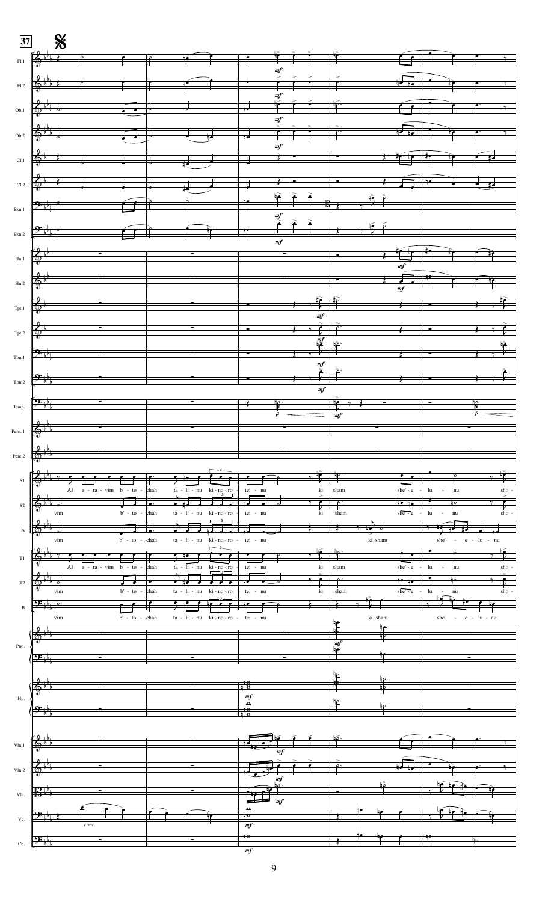| 37                  | ※                                                                                                                                                                                                                                                                                                                                                                                                                                                                                                                                                  |                             |                                      |                          |          |                          |                            |                               |                                  |                          |
|---------------------|----------------------------------------------------------------------------------------------------------------------------------------------------------------------------------------------------------------------------------------------------------------------------------------------------------------------------------------------------------------------------------------------------------------------------------------------------------------------------------------------------------------------------------------------------|-----------------------------|--------------------------------------|--------------------------|----------|--------------------------|----------------------------|-------------------------------|----------------------------------|--------------------------|
|                     | F1.1<br>$\sim$                                                                                                                                                                                                                                                                                                                                                                                                                                                                                                                                     | $\frac{}{\uparrow}$         | 氒                                    | ╨                        |          |                          |                            |                               |                                  | $\frac{9}{2}$            |
|                     |                                                                                                                                                                                                                                                                                                                                                                                                                                                                                                                                                    |                             |                                      | $m\!f$                   |          |                          |                            |                               |                                  |                          |
|                     | F1.2                                                                                                                                                                                                                                                                                                                                                                                                                                                                                                                                               |                             | 覀                                    | $\frac{1}{\sqrt{2}}$     |          |                          | $\frac{1}{2}$<br>$-\rho$ . |                               |                                  | 圭                        |
|                     |                                                                                                                                                                                                                                                                                                                                                                                                                                                                                                                                                    |                             |                                      | m f                      |          |                          |                            |                               |                                  |                          |
|                     | $_{\text{Ob.1}}$ $\downarrow$ $\downarrow$                                                                                                                                                                                                                                                                                                                                                                                                                                                                                                         |                             |                                      | $\overline{\phantom{a}}$ |          |                          |                            | $\overline{\phantom{a}}$      |                                  | $\frac{q}{l}$            |
|                     |                                                                                                                                                                                                                                                                                                                                                                                                                                                                                                                                                    |                             |                                      | $\it mf$                 |          |                          |                            |                               |                                  |                          |
|                     |                                                                                                                                                                                                                                                                                                                                                                                                                                                                                                                                                    |                             |                                      |                          |          |                          |                            |                               |                                  |                          |
|                     | $\frac{1}{2}$ $\frac{1}{2}$ $\frac{1}{2}$ $\frac{1}{2}$ $\frac{1}{2}$ $\frac{1}{2}$ $\frac{1}{2}$ $\frac{1}{2}$ $\frac{1}{2}$ $\frac{1}{2}$ $\frac{1}{2}$ $\frac{1}{2}$ $\frac{1}{2}$ $\frac{1}{2}$ $\frac{1}{2}$ $\frac{1}{2}$ $\frac{1}{2}$ $\frac{1}{2}$ $\frac{1}{2}$ $\frac{1}{2}$ $\frac{1}{2}$ $\frac{1}{2}$                                                                                                                                                                                                                                | $\sqrt{2}$                  |                                      | 幕                        |          |                          |                            | ⅌<br>$\overline{\phantom{a}}$ |                                  |                          |
|                     |                                                                                                                                                                                                                                                                                                                                                                                                                                                                                                                                                    |                             |                                      | mf                       |          |                          |                            |                               |                                  |                          |
| CL1                 | $\overrightarrow{a}$                                                                                                                                                                                                                                                                                                                                                                                                                                                                                                                               |                             |                                      | $\overline{\phantom{a}}$ | $\equiv$ |                          |                            | $\frac{1}{2}$                 | $\mathbf{r}$<br>∱                | $\overline{\phantom{a}}$ |
|                     |                                                                                                                                                                                                                                                                                                                                                                                                                                                                                                                                                    |                             |                                      |                          |          |                          |                            |                               |                                  |                          |
|                     | $C1.2$ $\bigoplus_{i=1}^{n}$ $\bigoplus_{i=1}^{n}$                                                                                                                                                                                                                                                                                                                                                                                                                                                                                                 | $\frac{1}{\sqrt{2}}$        | $\overline{\phantom{a}}$             |                          |          | $\overline{\phantom{a}}$ | $\star$                    | $\Box$                        | ⋕                                | $\overline{\mathbf{t}}$  |
|                     |                                                                                                                                                                                                                                                                                                                                                                                                                                                                                                                                                    |                             |                                      | $\frac{12}{1}$           |          | $\tilde{\mathbf{f}}$     | $\tilde{\mathbb{P}}$       |                               |                                  |                          |
| Bsn.1               | $\mathcal{P}_{\mathbb{P}^1}$                                                                                                                                                                                                                                                                                                                                                                                                                                                                                                                       |                             |                                      |                          |          |                          | $\mathbb{B}$ $\rightarrow$ |                               |                                  |                          |
|                     |                                                                                                                                                                                                                                                                                                                                                                                                                                                                                                                                                    |                             |                                      | m f                      |          |                          |                            |                               |                                  |                          |
| Bsn.2               | $\frac{1}{2}$                                                                                                                                                                                                                                                                                                                                                                                                                                                                                                                                      | 行                           |                                      |                          |          |                          |                            |                               |                                  |                          |
|                     |                                                                                                                                                                                                                                                                                                                                                                                                                                                                                                                                                    |                             |                                      | $\it mf$                 |          |                          |                            |                               |                                  |                          |
|                     | Hn.1                                                                                                                                                                                                                                                                                                                                                                                                                                                                                                                                               |                             |                                      |                          |          |                          | ₹<br>×                     | Ť                             |                                  |                          |
|                     |                                                                                                                                                                                                                                                                                                                                                                                                                                                                                                                                                    |                             |                                      |                          |          |                          |                            | m f                           |                                  |                          |
| Hn.2                | $\frac{2}{9}$<br>$\overline{\phantom{a}}$                                                                                                                                                                                                                                                                                                                                                                                                                                                                                                          |                             |                                      |                          | ÷        |                          | $\overline{\mathcal{F}}$   |                               |                                  | $\mathbb{P}$             |
|                     |                                                                                                                                                                                                                                                                                                                                                                                                                                                                                                                                                    |                             |                                      |                          |          |                          |                            | $\frac{1}{\frac{m}{m}}$       |                                  |                          |
| Tpt.1               |                                                                                                                                                                                                                                                                                                                                                                                                                                                                                                                                                    |                             |                                      |                          |          |                          |                            |                               |                                  |                          |
|                     |                                                                                                                                                                                                                                                                                                                                                                                                                                                                                                                                                    |                             |                                      |                          |          | mf                       |                            |                               |                                  |                          |
| Tpt.2               |                                                                                                                                                                                                                                                                                                                                                                                                                                                                                                                                                    |                             |                                      |                          |          |                          |                            |                               |                                  |                          |
|                     |                                                                                                                                                                                                                                                                                                                                                                                                                                                                                                                                                    |                             |                                      |                          |          |                          |                            |                               |                                  |                          |
|                     | $\mathbf{P}_{\mathbf{p}_{1}}$                                                                                                                                                                                                                                                                                                                                                                                                                                                                                                                      |                             |                                      |                          |          | 暫                        |                            |                               |                                  |                          |
| Tbn.1               |                                                                                                                                                                                                                                                                                                                                                                                                                                                                                                                                                    |                             |                                      |                          |          | $\mathfrak{m}$ f         |                            |                               |                                  |                          |
|                     |                                                                                                                                                                                                                                                                                                                                                                                                                                                                                                                                                    |                             |                                      |                          |          |                          |                            |                               |                                  |                          |
| Tbn.2               | $\mathbf{P}$                                                                                                                                                                                                                                                                                                                                                                                                                                                                                                                                       |                             |                                      |                          |          | m f                      |                            |                               |                                  |                          |
|                     |                                                                                                                                                                                                                                                                                                                                                                                                                                                                                                                                                    |                             |                                      |                          |          |                          |                            |                               |                                  |                          |
| Timp.               | [2:]                                                                                                                                                                                                                                                                                                                                                                                                                                                                                                                                               |                             |                                      |                          |          |                          | Ħ,                         |                               |                                  |                          |
|                     |                                                                                                                                                                                                                                                                                                                                                                                                                                                                                                                                                    |                             |                                      |                          |          |                          | $\int_{m}^{r}$             |                               |                                  |                          |
|                     | Perc. 1 $\left\{ \begin{array}{ccc} \left\{ \begin{array}{ccc} \left\{ \begin{array}{ccc} \left\{ \begin{array}{ccc} \left\{ \begin{array}{ccc} \left\{ \begin{array}{ccc} \left\{ \begin{array}{ccc} \left\{ \begin{array}{ccc} \left\{ \begin{array}{ccc} \left\{ \begin{array}{ccc} \left\{ \begin{array}{ccc} \left\{ \begin{array}{ccc} \left\{ \begin{array}{ccc} \left\{ \begin{array}{ccc} \left\{ \begin{array}{ccc} \left\{ \begin{array} \left\{ \begin{array} \left\{ \begin{array} \left\{ \begin{array} \left\{ \begin{array} \left$ |                             |                                      |                          |          |                          |                            |                               |                                  |                          |
|                     |                                                                                                                                                                                                                                                                                                                                                                                                                                                                                                                                                    |                             |                                      |                          |          |                          |                            |                               |                                  |                          |
| Perc.2              |                                                                                                                                                                                                                                                                                                                                                                                                                                                                                                                                                    |                             |                                      |                          |          |                          |                            |                               |                                  |                          |
|                     |                                                                                                                                                                                                                                                                                                                                                                                                                                                                                                                                                    |                             |                                      |                          |          |                          |                            |                               |                                  |                          |
| ${\bf S1}$          |                                                                                                                                                                                                                                                                                                                                                                                                                                                                                                                                                    |                             |                                      |                          |          |                          |                            |                               |                                  |                          |
|                     | $a - ra - vim$ $b' - to - chah$<br>Al                                                                                                                                                                                                                                                                                                                                                                                                                                                                                                              |                             | ki - no - ro<br>$ta - li - nu$       | tei - nu                 |          | ki                       | sham                       | she' - e                      | lu<br>$\mathop{\rm nu}\nolimits$ | sho                      |
| ${\bf S2}$          |                                                                                                                                                                                                                                                                                                                                                                                                                                                                                                                                                    |                             |                                      |                          |          |                          |                            |                               |                                  |                          |
|                     | vim                                                                                                                                                                                                                                                                                                                                                                                                                                                                                                                                                | chah<br>$b' - to$<br>$\sim$ | $ta - li - nu$<br>ki - no - ro       | tei - nu                 |          | ki                       | sham                       | $she2$ e                      | $\ddot{\mathbf{n}}$ u<br>lu      | sho                      |
| A                   |                                                                                                                                                                                                                                                                                                                                                                                                                                                                                                                                                    |                             |                                      |                          |          |                          |                            |                               |                                  |                          |
|                     | vim<br>p,                                                                                                                                                                                                                                                                                                                                                                                                                                                                                                                                          | - chah<br>$-$ to            | ta - li - nu ki - no - ro - tei - nu |                          |          |                          | ki sham                    |                               | she'<br>$\sim$                   | $e - lu - nu$            |
|                     |                                                                                                                                                                                                                                                                                                                                                                                                                                                                                                                                                    |                             | $\sim$ 3-                            |                          |          |                          |                            |                               |                                  |                          |
| $\rm T1$            |                                                                                                                                                                                                                                                                                                                                                                                                                                                                                                                                                    |                             | ₩                                    |                          |          |                          |                            |                               |                                  |                          |
|                     | $a - ra - vim$ $b' - to$<br>Al                                                                                                                                                                                                                                                                                                                                                                                                                                                                                                                     | - chah                      | ki - no - ro<br>$ta - li - nu$       | tei - nu                 |          | ki                       | sham                       | she' - e                      | lu<br>$\mathbf{n}\mathbf{u}$     | sho                      |
| $\operatorname{T2}$ |                                                                                                                                                                                                                                                                                                                                                                                                                                                                                                                                                    |                             |                                      |                          |          |                          |                            |                               |                                  |                          |
|                     | vim                                                                                                                                                                                                                                                                                                                                                                                                                                                                                                                                                | $b' - to$<br>$-$ chah       | ta - li - nu ki - no - ro            | tei - nu                 |          | ki                       | sham                       | $she - e$                     | lu<br>nu                         | sho                      |
| $\, {\bf B}$        |                                                                                                                                                                                                                                                                                                                                                                                                                                                                                                                                                    |                             |                                      |                          |          |                          |                            |                               |                                  |                          |
|                     | vim                                                                                                                                                                                                                                                                                                                                                                                                                                                                                                                                                | b' - to - chah              | ta - li - nu ki - no - ro - tei - nu |                          |          |                          | ki sham<br>宇               |                               | she'<br>e                        | $ \ln - \ln$             |
|                     |                                                                                                                                                                                                                                                                                                                                                                                                                                                                                                                                                    |                             |                                      |                          |          |                          | ₫ρ                         |                               |                                  |                          |
| Pno.                |                                                                                                                                                                                                                                                                                                                                                                                                                                                                                                                                                    |                             |                                      |                          |          |                          | $m\!f$                     |                               |                                  |                          |
|                     |                                                                                                                                                                                                                                                                                                                                                                                                                                                                                                                                                    |                             |                                      |                          |          |                          | 单                          |                               |                                  |                          |
|                     |                                                                                                                                                                                                                                                                                                                                                                                                                                                                                                                                                    |                             |                                      |                          |          |                          |                            |                               |                                  |                          |
|                     |                                                                                                                                                                                                                                                                                                                                                                                                                                                                                                                                                    |                             |                                      |                          |          |                          | ባዶ                         |                               |                                  |                          |
|                     |                                                                                                                                                                                                                                                                                                                                                                                                                                                                                                                                                    |                             |                                      | $\it mf$                 |          |                          |                            |                               |                                  |                          |
| Hp.                 |                                                                                                                                                                                                                                                                                                                                                                                                                                                                                                                                                    |                             |                                      | $\bullet$                |          |                          | 忰                          |                               |                                  |                          |
|                     |                                                                                                                                                                                                                                                                                                                                                                                                                                                                                                                                                    |                             |                                      | $\frac{10}{10}$          |          |                          |                            |                               |                                  |                          |
|                     |                                                                                                                                                                                                                                                                                                                                                                                                                                                                                                                                                    |                             |                                      |                          |          |                          |                            |                               |                                  |                          |
|                     |                                                                                                                                                                                                                                                                                                                                                                                                                                                                                                                                                    |                             |                                      |                          |          |                          |                            |                               |                                  |                          |
| Vln.1               |                                                                                                                                                                                                                                                                                                                                                                                                                                                                                                                                                    |                             |                                      |                          | m f      |                          |                            |                               |                                  |                          |
|                     |                                                                                                                                                                                                                                                                                                                                                                                                                                                                                                                                                    |                             |                                      |                          |          |                          |                            |                               |                                  |                          |
| Vln.2               |                                                                                                                                                                                                                                                                                                                                                                                                                                                                                                                                                    |                             |                                      | тf                       |          |                          |                            |                               |                                  |                          |
|                     |                                                                                                                                                                                                                                                                                                                                                                                                                                                                                                                                                    |                             |                                      |                          |          |                          |                            |                               |                                  |                          |
| Vla.                |                                                                                                                                                                                                                                                                                                                                                                                                                                                                                                                                                    |                             |                                      |                          | m f      |                          |                            |                               |                                  |                          |
|                     |                                                                                                                                                                                                                                                                                                                                                                                                                                                                                                                                                    |                             |                                      | ĮО                       |          |                          |                            |                               |                                  |                          |
| Vc.                 | $\mathit{cresc}.$                                                                                                                                                                                                                                                                                                                                                                                                                                                                                                                                  |                             |                                      | $\overline{mf}$          |          |                          |                            |                               |                                  |                          |
|                     |                                                                                                                                                                                                                                                                                                                                                                                                                                                                                                                                                    |                             |                                      |                          |          |                          |                            |                               |                                  |                          |
|                     | $\mathcal{O}$ .                                                                                                                                                                                                                                                                                                                                                                                                                                                                                                                                    |                             |                                      | $\it mf$                 |          |                          |                            |                               | $\overline{\phantom{a}}$         |                          |
|                     |                                                                                                                                                                                                                                                                                                                                                                                                                                                                                                                                                    |                             |                                      |                          |          |                          |                            |                               |                                  |                          |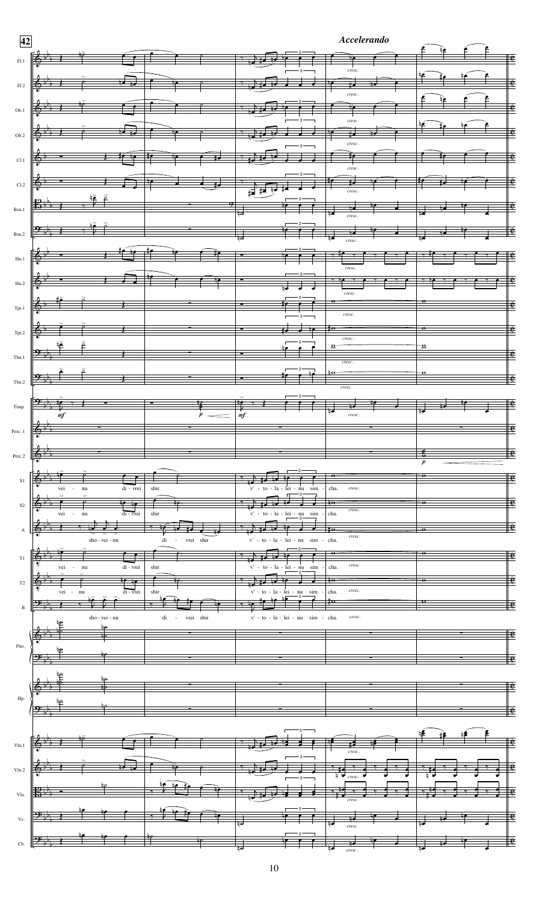| $\overline{42}$        |                                                         |                                         | <b>Accelerando</b>                           |                                                                                                                                            |                                   |
|------------------------|---------------------------------------------------------|-----------------------------------------|----------------------------------------------|--------------------------------------------------------------------------------------------------------------------------------------------|-----------------------------------|
| $\rm{Fl.1}$            |                                                         |                                         |                                              |                                                                                                                                            | $\overline{\mathbf{e}}$           |
|                        |                                                         |                                         | cresc.                                       |                                                                                                                                            |                                   |
| F1.2                   |                                                         |                                         |                                              |                                                                                                                                            | ¢                                 |
|                        |                                                         |                                         | cresc.                                       |                                                                                                                                            | $\overline{\mathbf{c}}$           |
| $_{\rm Ob.1}$          |                                                         |                                         | cresc.                                       |                                                                                                                                            |                                   |
| Ob.2                   |                                                         |                                         | V                                            |                                                                                                                                            | ¢                                 |
|                        |                                                         |                                         | cresc.                                       |                                                                                                                                            |                                   |
| Cl.1                   | +∙                                                      |                                         |                                              |                                                                                                                                            | $\overline{\mathbf{e}}$           |
|                        |                                                         |                                         | cresc.<br>$\blacksquare$                     |                                                                                                                                            | $\vert \mathbf{e} \vert$          |
| Cl.2                   |                                                         | 建硬豆                                     | $\frac{1}{\text{cresc.}}$                    |                                                                                                                                            |                                   |
| $_{\rm Bsn.1}$         |                                                         | جة                                      |                                              |                                                                                                                                            | $\vert \mathbf{e} \vert$          |
|                        |                                                         |                                         | cresc.                                       |                                                                                                                                            |                                   |
| $_{\rm Bsn.2}$         |                                                         |                                         |                                              |                                                                                                                                            | $\parallel$ c                     |
|                        |                                                         | ₩                                       |                                              |                                                                                                                                            | $\mathop{\rm \ket{\mathfrak{e}}}$ |
| $_{\rm Hn.1}$          |                                                         |                                         | cresc.                                       |                                                                                                                                            |                                   |
| Hn.2                   |                                                         |                                         |                                              |                                                                                                                                            |                                   |
|                        |                                                         |                                         | cresc.                                       |                                                                                                                                            |                                   |
| $\operatorname{Tpt}.1$ |                                                         |                                         | $\mathit{cresc}.$                            |                                                                                                                                            | €                                 |
|                        | 壹                                                       |                                         | ţσ                                           |                                                                                                                                            | $\vert \mathbf{e} \vert$          |
| Tpt.2                  |                                                         |                                         | $\it{cresc}.$                                |                                                                                                                                            |                                   |
| Tbn.1                  |                                                         |                                         | $\mathbf{\Omega}$                            | $\boldsymbol{\Omega}$                                                                                                                      | $\vert \mathbf{c} \vert$          |
|                        |                                                         |                                         | cresc.                                       |                                                                                                                                            |                                   |
| Tbn.2                  |                                                         |                                         | cresc.                                       |                                                                                                                                            | $\parallel$ e                     |
|                        | 2<br>≖                                                  |                                         |                                              |                                                                                                                                            | $\overline{\bullet}$              |
| Timp.                  | p<br>m f                                                | $m\!f$                                  | cresc.                                       |                                                                                                                                            |                                   |
| Perc. 1                |                                                         |                                         |                                              |                                                                                                                                            | $\overline{\mathbf{e}}$           |
|                        | $\bullet$                                               |                                         |                                              |                                                                                                                                            |                                   |
|                        |                                                         |                                         |                                              |                                                                                                                                            |                                   |
| Perc.2                 |                                                         |                                         |                                              |                                                                                                                                            | ¢                                 |
|                        |                                                         |                                         |                                              | $\boldsymbol{p}$                                                                                                                           |                                   |
| ${\bf S1}$             | di - vrei<br>shir<br>$\mathbf{n}\mathbf{u}$<br>vei      | v - to - la - lei - nu sim              | $\mathit{cresc}.$<br>cha.                    |                                                                                                                                            | $\vert \mathbf{e} \vert$          |
| S <sub>2</sub>         |                                                         | -3:                                     | $\overline{\phantom{a}}$                     |                                                                                                                                            | $\vert \mathbf{e} \vert$          |
|                        | $\overline{di - v}$ rei<br>shir<br>vei<br>$\sim$ $-$ nu | $v' - to - la - lei - nu - sim - cla.$  | $\it{cresc}.$                                |                                                                                                                                            |                                   |
| A                      |                                                         |                                         | $\frac{1}{2}$                                | €                                                                                                                                          | $\vert \mathbf{e} \vert$          |
|                        | sho - vei - nu<br>$\rm vrei$ $\rm~shir$<br>di           | $v' - to - la - lei - nu - sim - cha$ . | cresc.                                       |                                                                                                                                            |                                   |
| $\rm T1$               |                                                         |                                         | $\overline{\bullet}$                         | ۰                                                                                                                                          | $\vert \mathbf{e} \vert$          |
|                        | di - vrei<br>$\sim$ nu<br>shir<br>vei                   | $v' - to - la - lei - nu - sim -$       | cresc.<br>cha.                               |                                                                                                                                            |                                   |
| T2                     | م ما<br>vei - nu<br>di - vrei<br>shir                   | $v' - to - la - lei - nu - sim - cla.$  | ∏o∹<br>$\ensuremath{\mathit{cres}}\xspace$ . |                                                                                                                                            | $\vert \mathbf{e} \vert$          |
| $\, {\bf B}$           |                                                         |                                         | ‡റ_                                          |                                                                                                                                            | $\vert \mathbf{e} \vert$          |
|                        | $di -$<br>sho - vei - nu<br>vrei shir                   | v' - to - la - lei - nu sim - cha.      | cresc.                                       |                                                                                                                                            |                                   |
|                        |                                                         |                                         |                                              |                                                                                                                                            | $\left  \mathbf{e} \right $       |
| Pno.                   |                                                         |                                         |                                              |                                                                                                                                            |                                   |
|                        |                                                         |                                         |                                              |                                                                                                                                            | $\overline{\mathbf{e}}$           |
|                        |                                                         |                                         |                                              |                                                                                                                                            |                                   |
|                        |                                                         |                                         |                                              |                                                                                                                                            | $\vert \mathbf{e} \vert$          |
| Hp.                    |                                                         |                                         |                                              |                                                                                                                                            | $\left  \mathbf{e} \right $       |
|                        |                                                         |                                         |                                              |                                                                                                                                            |                                   |
|                        |                                                         |                                         |                                              |                                                                                                                                            | $\overline{\bullet}$              |
| $V\!In.1$              |                                                         |                                         | cresc.                                       |                                                                                                                                            |                                   |
| Vln.2                  |                                                         |                                         |                                              |                                                                                                                                            | ¢                                 |
|                        |                                                         |                                         | $\bullet$ cresc.                             |                                                                                                                                            |                                   |
| Vla.                   |                                                         |                                         | cresc.                                       |                                                                                                                                            | €                                 |
|                        |                                                         |                                         |                                              |                                                                                                                                            |                                   |
| Vc.                    | 乎                                                       | ाव<br>-3-                               | $\mathit{cresc}.$                            | $\frac{1}{2}$ is the second to the second terms of $\frac{1}{2}$ is the second terms of $\frac{1}{2}$ is the second terms of $\frac{1}{2}$ |                                   |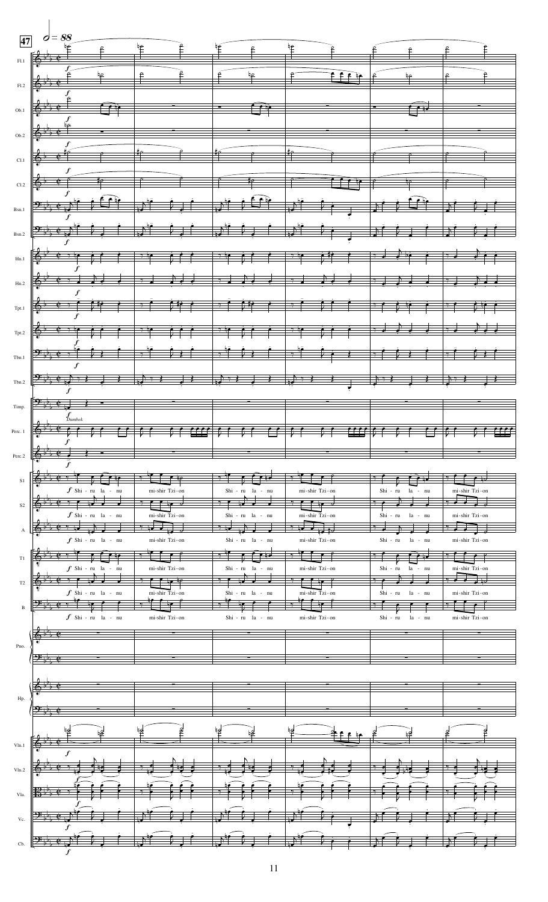| $\dot{\phi} = 88$<br>$\vert 47 \vert$<br>F1.1<br>$6^{3}6$<br>$\rm{Fl.2}$<br>670<br>Ob.1<br>Ob.2<br>¢<br>l∳<br>Cl.1<br>C1.2<br>$\overline{\phantom{a}}$<br>$\Box$<br>$\overline{\mathbf{e}}$ |                                           |
|---------------------------------------------------------------------------------------------------------------------------------------------------------------------------------------------|-------------------------------------------|
|                                                                                                                                                                                             |                                           |
|                                                                                                                                                                                             |                                           |
|                                                                                                                                                                                             |                                           |
|                                                                                                                                                                                             |                                           |
|                                                                                                                                                                                             |                                           |
|                                                                                                                                                                                             |                                           |
|                                                                                                                                                                                             |                                           |
|                                                                                                                                                                                             |                                           |
| $\mathbb{D}^{\text{tr}}$<br>$\mathcal{P} \mathrel{\triangleright} \mathfrak{e}_{\mathord{\rightarrow}}$<br>Bsn.1                                                                            |                                           |
| $\rightarrow$ $\rightarrow$<br>$\mathcal{P} \mathrel{\models}_{\mathsf{P}} \mathsf{e}$<br>$\exists \vec{r}$<br>P.<br>Bsn.2                                                                  |                                           |
| $\frac{2}{3}$<br>$\vec{p}$ <sup>#</sup><br>$+$ $+$ $+$<br>$ $ $\frac{9}{4}$<br>$\frac{1}{\sqrt{2}}$<br>₹<br>$\rightarrow$ $\rightarrow$<br>$_{\rm Hn.1}$                                    |                                           |
|                                                                                                                                                                                             |                                           |
| \$<br>$e$ $\gamma$ .<br>$\overline{\phantom{a}}$<br>Hn.2                                                                                                                                    |                                           |
| 600777<br>$\frac{1}{2}$<br>$\int$<br>$\frac{1}{2}$<br>$_{\rm Tpt.1}$                                                                                                                        | $6$ if                                    |
| <del>车</del><br>$\frac{1}{7}$ ip<br>4<br>f,<br>$\operatorname{Tpt.2}$                                                                                                                       |                                           |
| $9 - \epsilon$<br>$\frac{1}{2}$<br>$\overline{\phantom{a}}$<br>$\overline{\mathbb{F}}$<br>Tbn.1                                                                                             |                                           |
| $\mathcal{P} \flat$ ( $\mathcal{P} \mathcal{P}$<br>$\rightarrow$ $\rightarrow$ $\rightarrow$<br>$\overline{H}$<br>$_{\rm Tbn.2}$                                                            | $\rightarrow$ $\rightarrow$ $\rightarrow$ |
| Timp.                                                                                                                                                                                       |                                           |
| Dumbek                                                                                                                                                                                      |                                           |
| Perc. 1                                                                                                                                                                                     |                                           |
| Perc.2                                                                                                                                                                                      |                                           |
| ${\bf S1}$<br>$f$ Shi - ru la - nu<br>mi-shir Tzi-on<br>Shi - ru la - nu<br>mi-shir Tzi-on<br>Shi - ru la - nu                                                                              | mi-shir Tzi-on                            |
| $\overline{\phantom{a}1}$<br>$\overline{\phantom{a}}$<br>S <sub>2</sub>                                                                                                                     |                                           |
| $f$ Shi - rula - nu<br>mi-shir Tzi-on<br>mi-shir Tzi-on<br>Shi - ru la - nu<br>Shi - ru<br>la - nu<br>$\overline{a}$<br>₩<br>А                                                              | mi-shir Tzi-on                            |
| $f$ Shi - ru la - nu<br>Shi - ru la - nu<br>Shi - ru<br>la - nu<br>mi-shir Tzi-on<br>mi-shir Tzi-on                                                                                         | mi-shir Tzi-on                            |
| ┮<br>$6 + 1$<br>$\rm T1$<br>$f$ Shi - ru la - nu<br>Shi - ru la - nu<br>Shi - ru la - nu<br>mi-shir Tzi-on<br>mi-shir Tzi-on                                                                | mi-shir Tzi-on                            |
| $\overline{\phantom{a}}$ ie ie<br>$\operatorname{T2}$<br>$f$ Shi - ru la - nu<br>mi-shir Tzi-on<br>mi-shir Tzi-on<br>Shi - ru la - nu<br>Shi - ru la - nu                                   | mi-shir Tzi-on                            |
| $\, {\bf B}$                                                                                                                                                                                |                                           |
| $\boldsymbol{f}$ Shi - ru la - nu<br>mi-shir Tzi-on<br>mi-shir Tzi-on<br>Shi - ru<br>la - nu<br>Shi - ru la - nu                                                                            | mi-shir Tzi-on                            |
| Pno.                                                                                                                                                                                        |                                           |
|                                                                                                                                                                                             |                                           |
| Hp.                                                                                                                                                                                         |                                           |
|                                                                                                                                                                                             |                                           |
|                                                                                                                                                                                             |                                           |
| Vln.1                                                                                                                                                                                       |                                           |
| Vln.2                                                                                                                                                                                       |                                           |
| Vla.                                                                                                                                                                                        |                                           |
| Vc.<br>$\overline{\phantom{a}}$<br>$\overline{\phantom{a}}$<br>$\boldsymbol{f}$                                                                                                             |                                           |
|                                                                                                                                                                                             |                                           |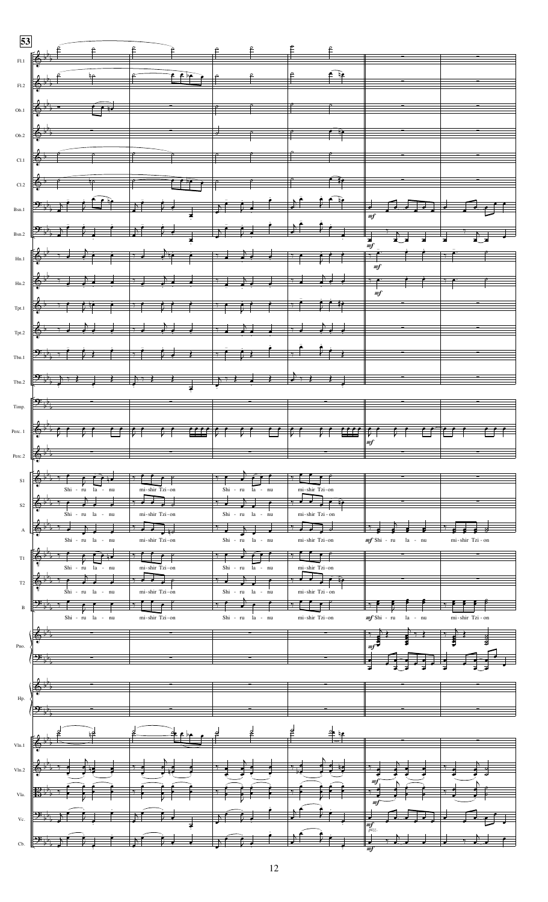| 53                |                                                                                                                                                                                                                                                                                                                                                                                                                                                                  |                |                     |                  |                                                                                                                                |                      |
|-------------------|------------------------------------------------------------------------------------------------------------------------------------------------------------------------------------------------------------------------------------------------------------------------------------------------------------------------------------------------------------------------------------------------------------------------------------------------------------------|----------------|---------------------|------------------|--------------------------------------------------------------------------------------------------------------------------------|----------------------|
|                   |                                                                                                                                                                                                                                                                                                                                                                                                                                                                  |                |                     |                  |                                                                                                                                |                      |
|                   | $F1.1$ $\left( \bigoplus_{i=1}^{n} \frac{1}{2} \right)$                                                                                                                                                                                                                                                                                                                                                                                                          |                |                     |                  |                                                                                                                                |                      |
|                   |                                                                                                                                                                                                                                                                                                                                                                                                                                                                  |                |                     |                  |                                                                                                                                |                      |
|                   | $F1.2$ $F1.2$ $F1.2$ $F2.2$                                                                                                                                                                                                                                                                                                                                                                                                                                      |                |                     |                  |                                                                                                                                |                      |
|                   |                                                                                                                                                                                                                                                                                                                                                                                                                                                                  |                |                     |                  |                                                                                                                                |                      |
|                   | $0b1$ $0b$ $1b$ $1c$                                                                                                                                                                                                                                                                                                                                                                                                                                             |                |                     |                  |                                                                                                                                |                      |
|                   |                                                                                                                                                                                                                                                                                                                                                                                                                                                                  |                |                     |                  |                                                                                                                                |                      |
|                   | $_{\text{Ob.2}}$                                                                                                                                                                                                                                                                                                                                                                                                                                                 |                |                     |                  |                                                                                                                                |                      |
|                   |                                                                                                                                                                                                                                                                                                                                                                                                                                                                  |                |                     |                  |                                                                                                                                |                      |
|                   |                                                                                                                                                                                                                                                                                                                                                                                                                                                                  |                |                     |                  |                                                                                                                                |                      |
|                   |                                                                                                                                                                                                                                                                                                                                                                                                                                                                  |                |                     |                  |                                                                                                                                |                      |
|                   |                                                                                                                                                                                                                                                                                                                                                                                                                                                                  |                |                     |                  |                                                                                                                                |                      |
|                   | $\begin{array}{ccc} \text{c12} & \text{c13} & \text{c14} & \text{c15} & \text{c16} & \text{c17} \\ \text{c11} & \text{c13} & \text{c14} & \text{c17} & \text{c18} & \text{c18} & \text{c19} \\ \text{c12} & \text{c18} & \text{c19} & \text{c19} & \text{c19} & \text{c19} & \text{c19} & \text{c19} & \text{c10} \\ \end{array}$                                                                                                                                |                |                     |                  |                                                                                                                                |                      |
|                   |                                                                                                                                                                                                                                                                                                                                                                                                                                                                  |                |                     |                  |                                                                                                                                |                      |
|                   |                                                                                                                                                                                                                                                                                                                                                                                                                                                                  |                |                     |                  |                                                                                                                                |                      |
|                   | $\frac{1}{\left \frac{1}{\left \mathcal{F}_{\mathbf{p}}\right }\right }$ , $\frac{1}{\left \mathcal{F}_{\mathbf{p}}\right }$ , $\frac{1}{\left \mathcal{F}_{\mathbf{p}}\right }$ , $\frac{1}{\left \mathcal{F}_{\mathbf{p}}\right }$ , $\frac{1}{\left \mathcal{F}_{\mathbf{p}}\right }$ , $\frac{1}{\left \mathcal{F}_{\mathbf{p}}\right }$ , $\frac{1}{\left \mathcal{F}_{\mathbf{p}}\right }$ , $\frac{1}{\left \mathcal{F}_{\$                               |                |                     |                  |                                                                                                                                |                      |
|                   | $B_{\rm{Bn2}}$ $\left[\frac{3\pi + 1}{2} + \frac{\pi}{2} + \frac{\pi}{2} + \frac{\pi}{2} + \frac{\pi}{2} + \frac{\pi}{2} + \frac{\pi}{2} + \frac{\pi}{2} + \frac{\pi}{2} + \frac{\pi}{2} + \frac{\pi}{2} + \frac{\pi}{2} + \frac{\pi}{2} + \frac{\pi}{2} + \frac{\pi}{2} + \frac{\pi}{2} + \frac{\pi}{2} + \frac{\pi}{2} + \frac{\pi}{2} + \frac{\pi}{2} + \frac{\pi}{2} + \frac{\pi}{2} + \frac{\pi}{2} + \frac{\pi}{2} + \frac{\pi}{2} + \$                    |                |                     |                  |                                                                                                                                |                      |
|                   |                                                                                                                                                                                                                                                                                                                                                                                                                                                                  |                |                     |                  |                                                                                                                                |                      |
|                   |                                                                                                                                                                                                                                                                                                                                                                                                                                                                  |                |                     |                  |                                                                                                                                |                      |
|                   |                                                                                                                                                                                                                                                                                                                                                                                                                                                                  |                |                     |                  |                                                                                                                                |                      |
|                   |                                                                                                                                                                                                                                                                                                                                                                                                                                                                  |                |                     |                  |                                                                                                                                |                      |
|                   | $F_{\rm H12}$ $\left[\frac{2}{\sqrt{3}}\frac{\mu}{\mu}+\frac{1}{\mu}\frac{\mu}{\mu}+\frac{1}{\mu}\frac{\mu}{\mu}+\frac{1}{\mu}\frac{\mu}{\mu}+\frac{1}{\mu}\frac{\mu}{\mu}+\frac{1}{\mu}\frac{\mu}{\mu}+\frac{1}{\mu}\frac{\mu}{\mu}+\frac{1}{\mu}\frac{\mu}{\mu}+\frac{1}{\mu}\frac{\mu}{\mu}+\frac{1}{\mu}\frac{\mu}{\mu}+\frac{1}{\mu}\frac{\mu}{\mu}+\frac{1}{\mu}\frac{\mu}{\mu}+\frac{1}{\mu}\frac{\mu}{\mu}+\frac{1}{\mu}\frac$                           |                |                     |                  |                                                                                                                                |                      |
|                   |                                                                                                                                                                                                                                                                                                                                                                                                                                                                  |                |                     |                  |                                                                                                                                |                      |
|                   | $T_{\rm pt,1}$ $\left[\begin{array}{ccccc} \frac{\sqrt{3}}{2} & \sqrt{3} & \frac{\sqrt{3}}{2} & \frac{\sqrt{3}}{2} & \frac{\sqrt{3}}{2} & \frac{\sqrt{3}}{2} & \frac{\sqrt{3}}{2} & \frac{\sqrt{3}}{2} & \frac{\sqrt{3}}{2} & \frac{\sqrt{3}}{2} & \frac{\sqrt{3}}{2} & \frac{\sqrt{3}}{2} & \frac{\sqrt{3}}{2} & \frac{\sqrt{3}}{2} & \frac{\sqrt{3}}{2} & \frac{\sqrt{3}}{2} & \frac{\sqrt{3}}{2} & \frac{\sqrt{3}}{2} & \frac{\sqrt{3$                        |                |                     |                  |                                                                                                                                |                      |
|                   |                                                                                                                                                                                                                                                                                                                                                                                                                                                                  |                |                     |                  |                                                                                                                                |                      |
|                   |                                                                                                                                                                                                                                                                                                                                                                                                                                                                  |                |                     |                  |                                                                                                                                |                      |
|                   | $T_{\text{pt,2}}$ $\left \frac{p}{p_{\text{t}}^2}$ $\rightarrow$ $p$ $\rightarrow$ $p$ $\rightarrow$ $p$ $\rightarrow$ $p$ $\rightarrow$ $p$ $\rightarrow$ $p$ $\rightarrow$ $p$ $\rightarrow$ $p$ $\rightarrow$ $p$ $\rightarrow$ $p$                                                                                                                                                                                                                           |                |                     |                  |                                                                                                                                |                      |
|                   |                                                                                                                                                                                                                                                                                                                                                                                                                                                                  |                |                     |                  |                                                                                                                                |                      |
| T <sub>bn.1</sub> |                                                                                                                                                                                                                                                                                                                                                                                                                                                                  |                |                     |                  |                                                                                                                                |                      |
|                   |                                                                                                                                                                                                                                                                                                                                                                                                                                                                  |                |                     |                  |                                                                                                                                |                      |
|                   | $T_{\text{Dn2}}$ $\left[\frac{3\pi}{2}+\frac{1}{2},\frac{1}{2},\frac{1}{2}\right]$ $\left[\frac{1}{2},\frac{1}{2},\frac{1}{2}\right]$ $\left[\frac{1}{2},\frac{1}{2},\frac{1}{2}\right]$ $\left[\frac{1}{2},\frac{1}{2},\frac{1}{2}\right]$                                                                                                                                                                                                                      |                |                     |                  |                                                                                                                                |                      |
|                   |                                                                                                                                                                                                                                                                                                                                                                                                                                                                  |                |                     |                  |                                                                                                                                |                      |
| Timp.             |                                                                                                                                                                                                                                                                                                                                                                                                                                                                  |                |                     |                  |                                                                                                                                |                      |
|                   |                                                                                                                                                                                                                                                                                                                                                                                                                                                                  |                |                     |                  |                                                                                                                                |                      |
|                   |                                                                                                                                                                                                                                                                                                                                                                                                                                                                  |                |                     |                  |                                                                                                                                |                      |
|                   |                                                                                                                                                                                                                                                                                                                                                                                                                                                                  |                |                     |                  |                                                                                                                                |                      |
|                   |                                                                                                                                                                                                                                                                                                                                                                                                                                                                  |                |                     |                  |                                                                                                                                |                      |
|                   |                                                                                                                                                                                                                                                                                                                                                                                                                                                                  |                |                     |                  | mf                                                                                                                             |                      |
| Perc.2            |                                                                                                                                                                                                                                                                                                                                                                                                                                                                  |                |                     |                  |                                                                                                                                |                      |
|                   |                                                                                                                                                                                                                                                                                                                                                                                                                                                                  |                |                     |                  |                                                                                                                                |                      |
| S1                |                                                                                                                                                                                                                                                                                                                                                                                                                                                                  |                |                     |                  |                                                                                                                                |                      |
|                   | Shi - ru la - nu                                                                                                                                                                                                                                                                                                                                                                                                                                                 | mi-shir Tzi-on | Shi - ru<br>la - nu | mi-shir Tzi-on   |                                                                                                                                |                      |
|                   |                                                                                                                                                                                                                                                                                                                                                                                                                                                                  |                |                     |                  |                                                                                                                                |                      |
| S <sub>2</sub>    | Shi - ru la - nu                                                                                                                                                                                                                                                                                                                                                                                                                                                 | mi-shir Tzi-on | Shi - ru la - nu    | mi-shir Tzi-on   |                                                                                                                                |                      |
|                   |                                                                                                                                                                                                                                                                                                                                                                                                                                                                  |                |                     |                  |                                                                                                                                |                      |
|                   |                                                                                                                                                                                                                                                                                                                                                                                                                                                                  |                |                     |                  |                                                                                                                                |                      |
|                   | Shi - ru la - nu                                                                                                                                                                                                                                                                                                                                                                                                                                                 | mi-shir Tzi-on | Shi - ru la - nu    | mi-shir Tzi-on   | $m f$ Shi - ru<br>la - nu                                                                                                      | mi-shir Tzi-on       |
| T1                |                                                                                                                                                                                                                                                                                                                                                                                                                                                                  |                |                     |                  |                                                                                                                                |                      |
|                   | Shi - ru la - nu                                                                                                                                                                                                                                                                                                                                                                                                                                                 | mi-shir Tzi-on | Shi - ru la - nu    | mi-shir Tzi-on   |                                                                                                                                |                      |
|                   |                                                                                                                                                                                                                                                                                                                                                                                                                                                                  |                |                     |                  |                                                                                                                                |                      |
| T <sub>2</sub>    | Shi - ru la - nu                                                                                                                                                                                                                                                                                                                                                                                                                                                 | mi-shir Tzi-on | Shi - ru la - nu    | mi-shir Tzi - on |                                                                                                                                |                      |
|                   |                                                                                                                                                                                                                                                                                                                                                                                                                                                                  |                |                     |                  |                                                                                                                                |                      |
|                   |                                                                                                                                                                                                                                                                                                                                                                                                                                                                  |                |                     |                  |                                                                                                                                |                      |
|                   | Shi - ru la - nu                                                                                                                                                                                                                                                                                                                                                                                                                                                 | mi-shir Tzi-on | Shi - ru la - nu    | mi-shir Tzi-on   | $m\mathbf{f}$ Shi - ru<br>la - nu                                                                                              | mi-shir Tzi-on       |
|                   |                                                                                                                                                                                                                                                                                                                                                                                                                                                                  |                |                     |                  |                                                                                                                                |                      |
| Pno.              |                                                                                                                                                                                                                                                                                                                                                                                                                                                                  |                |                     |                  |                                                                                                                                |                      |
|                   |                                                                                                                                                                                                                                                                                                                                                                                                                                                                  |                |                     |                  |                                                                                                                                |                      |
|                   |                                                                                                                                                                                                                                                                                                                                                                                                                                                                  |                |                     |                  |                                                                                                                                |                      |
|                   |                                                                                                                                                                                                                                                                                                                                                                                                                                                                  |                |                     |                  |                                                                                                                                |                      |
|                   |                                                                                                                                                                                                                                                                                                                                                                                                                                                                  |                |                     |                  |                                                                                                                                |                      |
| Hp.               |                                                                                                                                                                                                                                                                                                                                                                                                                                                                  |                |                     |                  |                                                                                                                                |                      |
|                   |                                                                                                                                                                                                                                                                                                                                                                                                                                                                  |                |                     |                  |                                                                                                                                |                      |
|                   |                                                                                                                                                                                                                                                                                                                                                                                                                                                                  |                |                     |                  |                                                                                                                                |                      |
|                   |                                                                                                                                                                                                                                                                                                                                                                                                                                                                  |                |                     |                  |                                                                                                                                |                      |
| Vln.1             |                                                                                                                                                                                                                                                                                                                                                                                                                                                                  |                |                     |                  |                                                                                                                                |                      |
|                   |                                                                                                                                                                                                                                                                                                                                                                                                                                                                  |                |                     |                  |                                                                                                                                |                      |
| Vln.2             |                                                                                                                                                                                                                                                                                                                                                                                                                                                                  |                |                     |                  |                                                                                                                                |                      |
|                   |                                                                                                                                                                                                                                                                                                                                                                                                                                                                  |                |                     |                  |                                                                                                                                |                      |
| Vla               |                                                                                                                                                                                                                                                                                                                                                                                                                                                                  |                |                     |                  |                                                                                                                                |                      |
|                   |                                                                                                                                                                                                                                                                                                                                                                                                                                                                  |                |                     |                  |                                                                                                                                |                      |
|                   |                                                                                                                                                                                                                                                                                                                                                                                                                                                                  |                |                     |                  |                                                                                                                                |                      |
|                   |                                                                                                                                                                                                                                                                                                                                                                                                                                                                  |                |                     |                  |                                                                                                                                |                      |
|                   | $\sigma$ , $\left[\begin{array}{c c c c c c c c} \mathbf{1}_{\mathcal{F}} & \mathbf{1}_{\mathcal{F}} & \mathbf{1}_{\mathcal{F}} & \mathbf{1}_{\mathcal{F}} & \mathbf{1}_{\mathcal{F}} & \mathbf{1}_{\mathcal{F}} & \mathbf{1}_{\mathcal{F}} & \mathbf{1}_{\mathcal{F}} & \mathbf{1}_{\mathcal{F}} & \mathbf{1}_{\mathcal{F}} & \mathbf{1}_{\mathcal{F}} & \mathbf{1}_{\mathcal{F}} & \mathbf{1}_{\mathcal{F}} & \mathbf{1}_{\mathcal{F}} & \mathbf{1}_{\mathcal$ |                |                     |                  | pizz.<br><u> 1000 - 100 - 100 - 100 - 100 - 100 - 100 - 100 - 100 - 100 - 100 - 100 - 100 - 100 - 100 - 100 - 100 - 100 - </u> | $\sim$ $\sim$ $\sim$ |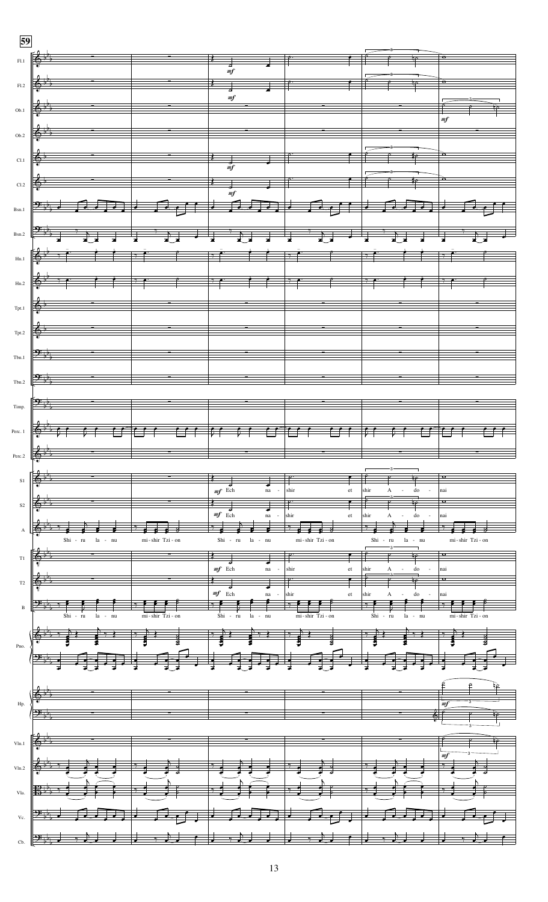| $F1.1$ $\phi$<br>m f<br>$F1.2$ $6^{17}$<br>$\overline{\cdot}$<br>$\mathbf{o}$<br>$_{Ob.1}$ $\downarrow$ $\downarrow$<br>m f<br>$0b.2$ $\left(\frac{1}{2}b^{2}\right)$<br>CL1<br>$\begin{array}{c c}\n\hline\n\end{array}$<br>$C1.2$ $8 + 12$<br>$\overline{\phantom{0}}$<br>$\frac{\theta}{\theta}$<br>$\frac{1}{1}$ $\frac{1}{1}$ $\frac{1}{1}$ $\frac{1}{1}$ $\frac{1}{1}$ $\frac{1}{1}$ $\frac{1}{1}$ $\frac{1}{1}$ $\frac{1}{1}$ $\frac{1}{1}$ $\frac{1}{1}$ $\frac{1}{1}$ $\frac{1}{1}$ $\frac{1}{1}$ $\frac{1}{1}$<br>$Bsn2$ $\frac{1}{2}$ $\frac{1}{2}$ $\frac{1}{2}$ $\frac{1}{2}$ $\frac{1}{2}$ $\frac{1}{2}$ $\frac{1}{2}$ $\frac{1}{2}$ $\frac{1}{2}$ $\frac{1}{2}$ $\frac{1}{2}$ $\frac{1}{2}$ $\frac{1}{2}$ $\frac{1}{2}$ $\frac{1}{2}$ $\frac{1}{2}$ $\frac{1}{2}$ $\frac{1}{2}$ $\frac{1}{2}$<br>$\text{Hn.2}$<br>$\frac{2}{9}$<br>$_{\rm Tpt.1}$<br>Tpt.2<br>$\mathbf{P}$<br>Tbn.1<br>Tbn.2<br>$\mathcal{P}$<br>Timp.<br>Perc.2<br>$\bullet$<br>$\mathbf{S}1$<br>$m f$ Ech<br>shir<br>shir<br>na<br>${\it et}$<br>do<br>nai<br>$\overline{\mathbf{o}}$<br>$\mathbf{S2}$<br>$m f$ Ech<br>shir<br>${\it et}$<br>shir<br>do<br>nai<br>na<br>Shi - ru la - nu<br>mi-shir Tzi-on<br>Shi - ru<br>mi-shir Tzi-on<br>mi-shir Tzi-on<br>la - nu<br>Shi - ru<br>la - nu<br>$\overline{\mathbf{a}}$<br>$\rm T1$<br>$m f$ Ech<br>$\!$ na<br>shir<br>et<br>shir<br>nai<br>do<br>$\operatorname{T2}$<br>$m f$ Ech<br>shir<br>${\it et}$<br>do<br>na<br>shir<br>А<br>nai<br>$\, {\bf B}$<br>$\sin - \pi$<br>mi-shir Tzi-on<br>Shi - ru<br>mi-shir Tzi-on<br>la<br>la - nu<br>Shi - ru<br>nu<br>la - nu<br>mi-shir Tzi-on<br>$\left( \frac{1}{2} \right)$<br>$\overline{\cdot}$<br>$\frac{1}{2}$<br>ঞ্চ<br>s¢as<br>Pno.<br>Hp.<br>mf<br>$_{\rm VIn.1}$<br>mf<br>Vln.2<br>Vla.<br>Vc. | 59 |  |  |  |
|--------------------------------------------------------------------------------------------------------------------------------------------------------------------------------------------------------------------------------------------------------------------------------------------------------------------------------------------------------------------------------------------------------------------------------------------------------------------------------------------------------------------------------------------------------------------------------------------------------------------------------------------------------------------------------------------------------------------------------------------------------------------------------------------------------------------------------------------------------------------------------------------------------------------------------------------------------------------------------------------------------------------------------------------------------------------------------------------------------------------------------------------------------------------------------------------------------------------------------------------------------------------------------------------------------------------------------------------------------------------------------------------------------------------------------------------------------------------------------------------------------------------------------------------------------------------------------------------------------------------------------------------------------------------------------------------------------------------------------------------------------------------------------------|----|--|--|--|
|                                                                                                                                                                                                                                                                                                                                                                                                                                                                                                                                                                                                                                                                                                                                                                                                                                                                                                                                                                                                                                                                                                                                                                                                                                                                                                                                                                                                                                                                                                                                                                                                                                                                                                                                                                                      |    |  |  |  |
|                                                                                                                                                                                                                                                                                                                                                                                                                                                                                                                                                                                                                                                                                                                                                                                                                                                                                                                                                                                                                                                                                                                                                                                                                                                                                                                                                                                                                                                                                                                                                                                                                                                                                                                                                                                      |    |  |  |  |
|                                                                                                                                                                                                                                                                                                                                                                                                                                                                                                                                                                                                                                                                                                                                                                                                                                                                                                                                                                                                                                                                                                                                                                                                                                                                                                                                                                                                                                                                                                                                                                                                                                                                                                                                                                                      |    |  |  |  |
|                                                                                                                                                                                                                                                                                                                                                                                                                                                                                                                                                                                                                                                                                                                                                                                                                                                                                                                                                                                                                                                                                                                                                                                                                                                                                                                                                                                                                                                                                                                                                                                                                                                                                                                                                                                      |    |  |  |  |
|                                                                                                                                                                                                                                                                                                                                                                                                                                                                                                                                                                                                                                                                                                                                                                                                                                                                                                                                                                                                                                                                                                                                                                                                                                                                                                                                                                                                                                                                                                                                                                                                                                                                                                                                                                                      |    |  |  |  |
|                                                                                                                                                                                                                                                                                                                                                                                                                                                                                                                                                                                                                                                                                                                                                                                                                                                                                                                                                                                                                                                                                                                                                                                                                                                                                                                                                                                                                                                                                                                                                                                                                                                                                                                                                                                      |    |  |  |  |
|                                                                                                                                                                                                                                                                                                                                                                                                                                                                                                                                                                                                                                                                                                                                                                                                                                                                                                                                                                                                                                                                                                                                                                                                                                                                                                                                                                                                                                                                                                                                                                                                                                                                                                                                                                                      |    |  |  |  |
|                                                                                                                                                                                                                                                                                                                                                                                                                                                                                                                                                                                                                                                                                                                                                                                                                                                                                                                                                                                                                                                                                                                                                                                                                                                                                                                                                                                                                                                                                                                                                                                                                                                                                                                                                                                      |    |  |  |  |
|                                                                                                                                                                                                                                                                                                                                                                                                                                                                                                                                                                                                                                                                                                                                                                                                                                                                                                                                                                                                                                                                                                                                                                                                                                                                                                                                                                                                                                                                                                                                                                                                                                                                                                                                                                                      |    |  |  |  |
|                                                                                                                                                                                                                                                                                                                                                                                                                                                                                                                                                                                                                                                                                                                                                                                                                                                                                                                                                                                                                                                                                                                                                                                                                                                                                                                                                                                                                                                                                                                                                                                                                                                                                                                                                                                      |    |  |  |  |
|                                                                                                                                                                                                                                                                                                                                                                                                                                                                                                                                                                                                                                                                                                                                                                                                                                                                                                                                                                                                                                                                                                                                                                                                                                                                                                                                                                                                                                                                                                                                                                                                                                                                                                                                                                                      |    |  |  |  |
|                                                                                                                                                                                                                                                                                                                                                                                                                                                                                                                                                                                                                                                                                                                                                                                                                                                                                                                                                                                                                                                                                                                                                                                                                                                                                                                                                                                                                                                                                                                                                                                                                                                                                                                                                                                      |    |  |  |  |
|                                                                                                                                                                                                                                                                                                                                                                                                                                                                                                                                                                                                                                                                                                                                                                                                                                                                                                                                                                                                                                                                                                                                                                                                                                                                                                                                                                                                                                                                                                                                                                                                                                                                                                                                                                                      |    |  |  |  |
|                                                                                                                                                                                                                                                                                                                                                                                                                                                                                                                                                                                                                                                                                                                                                                                                                                                                                                                                                                                                                                                                                                                                                                                                                                                                                                                                                                                                                                                                                                                                                                                                                                                                                                                                                                                      |    |  |  |  |
|                                                                                                                                                                                                                                                                                                                                                                                                                                                                                                                                                                                                                                                                                                                                                                                                                                                                                                                                                                                                                                                                                                                                                                                                                                                                                                                                                                                                                                                                                                                                                                                                                                                                                                                                                                                      |    |  |  |  |
|                                                                                                                                                                                                                                                                                                                                                                                                                                                                                                                                                                                                                                                                                                                                                                                                                                                                                                                                                                                                                                                                                                                                                                                                                                                                                                                                                                                                                                                                                                                                                                                                                                                                                                                                                                                      |    |  |  |  |
|                                                                                                                                                                                                                                                                                                                                                                                                                                                                                                                                                                                                                                                                                                                                                                                                                                                                                                                                                                                                                                                                                                                                                                                                                                                                                                                                                                                                                                                                                                                                                                                                                                                                                                                                                                                      |    |  |  |  |
|                                                                                                                                                                                                                                                                                                                                                                                                                                                                                                                                                                                                                                                                                                                                                                                                                                                                                                                                                                                                                                                                                                                                                                                                                                                                                                                                                                                                                                                                                                                                                                                                                                                                                                                                                                                      |    |  |  |  |
|                                                                                                                                                                                                                                                                                                                                                                                                                                                                                                                                                                                                                                                                                                                                                                                                                                                                                                                                                                                                                                                                                                                                                                                                                                                                                                                                                                                                                                                                                                                                                                                                                                                                                                                                                                                      |    |  |  |  |
|                                                                                                                                                                                                                                                                                                                                                                                                                                                                                                                                                                                                                                                                                                                                                                                                                                                                                                                                                                                                                                                                                                                                                                                                                                                                                                                                                                                                                                                                                                                                                                                                                                                                                                                                                                                      |    |  |  |  |
|                                                                                                                                                                                                                                                                                                                                                                                                                                                                                                                                                                                                                                                                                                                                                                                                                                                                                                                                                                                                                                                                                                                                                                                                                                                                                                                                                                                                                                                                                                                                                                                                                                                                                                                                                                                      |    |  |  |  |
|                                                                                                                                                                                                                                                                                                                                                                                                                                                                                                                                                                                                                                                                                                                                                                                                                                                                                                                                                                                                                                                                                                                                                                                                                                                                                                                                                                                                                                                                                                                                                                                                                                                                                                                                                                                      |    |  |  |  |
|                                                                                                                                                                                                                                                                                                                                                                                                                                                                                                                                                                                                                                                                                                                                                                                                                                                                                                                                                                                                                                                                                                                                                                                                                                                                                                                                                                                                                                                                                                                                                                                                                                                                                                                                                                                      |    |  |  |  |
| Perc. 1 $\left( \bigoplus^p \frac{1}{p} \right)$                                                                                                                                                                                                                                                                                                                                                                                                                                                                                                                                                                                                                                                                                                                                                                                                                                                                                                                                                                                                                                                                                                                                                                                                                                                                                                                                                                                                                                                                                                                                                                                                                                                                                                                                     |    |  |  |  |
|                                                                                                                                                                                                                                                                                                                                                                                                                                                                                                                                                                                                                                                                                                                                                                                                                                                                                                                                                                                                                                                                                                                                                                                                                                                                                                                                                                                                                                                                                                                                                                                                                                                                                                                                                                                      |    |  |  |  |
|                                                                                                                                                                                                                                                                                                                                                                                                                                                                                                                                                                                                                                                                                                                                                                                                                                                                                                                                                                                                                                                                                                                                                                                                                                                                                                                                                                                                                                                                                                                                                                                                                                                                                                                                                                                      |    |  |  |  |
|                                                                                                                                                                                                                                                                                                                                                                                                                                                                                                                                                                                                                                                                                                                                                                                                                                                                                                                                                                                                                                                                                                                                                                                                                                                                                                                                                                                                                                                                                                                                                                                                                                                                                                                                                                                      |    |  |  |  |
|                                                                                                                                                                                                                                                                                                                                                                                                                                                                                                                                                                                                                                                                                                                                                                                                                                                                                                                                                                                                                                                                                                                                                                                                                                                                                                                                                                                                                                                                                                                                                                                                                                                                                                                                                                                      |    |  |  |  |
|                                                                                                                                                                                                                                                                                                                                                                                                                                                                                                                                                                                                                                                                                                                                                                                                                                                                                                                                                                                                                                                                                                                                                                                                                                                                                                                                                                                                                                                                                                                                                                                                                                                                                                                                                                                      |    |  |  |  |
|                                                                                                                                                                                                                                                                                                                                                                                                                                                                                                                                                                                                                                                                                                                                                                                                                                                                                                                                                                                                                                                                                                                                                                                                                                                                                                                                                                                                                                                                                                                                                                                                                                                                                                                                                                                      |    |  |  |  |
|                                                                                                                                                                                                                                                                                                                                                                                                                                                                                                                                                                                                                                                                                                                                                                                                                                                                                                                                                                                                                                                                                                                                                                                                                                                                                                                                                                                                                                                                                                                                                                                                                                                                                                                                                                                      |    |  |  |  |
|                                                                                                                                                                                                                                                                                                                                                                                                                                                                                                                                                                                                                                                                                                                                                                                                                                                                                                                                                                                                                                                                                                                                                                                                                                                                                                                                                                                                                                                                                                                                                                                                                                                                                                                                                                                      |    |  |  |  |
|                                                                                                                                                                                                                                                                                                                                                                                                                                                                                                                                                                                                                                                                                                                                                                                                                                                                                                                                                                                                                                                                                                                                                                                                                                                                                                                                                                                                                                                                                                                                                                                                                                                                                                                                                                                      |    |  |  |  |
|                                                                                                                                                                                                                                                                                                                                                                                                                                                                                                                                                                                                                                                                                                                                                                                                                                                                                                                                                                                                                                                                                                                                                                                                                                                                                                                                                                                                                                                                                                                                                                                                                                                                                                                                                                                      |    |  |  |  |
|                                                                                                                                                                                                                                                                                                                                                                                                                                                                                                                                                                                                                                                                                                                                                                                                                                                                                                                                                                                                                                                                                                                                                                                                                                                                                                                                                                                                                                                                                                                                                                                                                                                                                                                                                                                      |    |  |  |  |
|                                                                                                                                                                                                                                                                                                                                                                                                                                                                                                                                                                                                                                                                                                                                                                                                                                                                                                                                                                                                                                                                                                                                                                                                                                                                                                                                                                                                                                                                                                                                                                                                                                                                                                                                                                                      |    |  |  |  |
|                                                                                                                                                                                                                                                                                                                                                                                                                                                                                                                                                                                                                                                                                                                                                                                                                                                                                                                                                                                                                                                                                                                                                                                                                                                                                                                                                                                                                                                                                                                                                                                                                                                                                                                                                                                      |    |  |  |  |
|                                                                                                                                                                                                                                                                                                                                                                                                                                                                                                                                                                                                                                                                                                                                                                                                                                                                                                                                                                                                                                                                                                                                                                                                                                                                                                                                                                                                                                                                                                                                                                                                                                                                                                                                                                                      |    |  |  |  |
|                                                                                                                                                                                                                                                                                                                                                                                                                                                                                                                                                                                                                                                                                                                                                                                                                                                                                                                                                                                                                                                                                                                                                                                                                                                                                                                                                                                                                                                                                                                                                                                                                                                                                                                                                                                      |    |  |  |  |
|                                                                                                                                                                                                                                                                                                                                                                                                                                                                                                                                                                                                                                                                                                                                                                                                                                                                                                                                                                                                                                                                                                                                                                                                                                                                                                                                                                                                                                                                                                                                                                                                                                                                                                                                                                                      |    |  |  |  |
|                                                                                                                                                                                                                                                                                                                                                                                                                                                                                                                                                                                                                                                                                                                                                                                                                                                                                                                                                                                                                                                                                                                                                                                                                                                                                                                                                                                                                                                                                                                                                                                                                                                                                                                                                                                      |    |  |  |  |
|                                                                                                                                                                                                                                                                                                                                                                                                                                                                                                                                                                                                                                                                                                                                                                                                                                                                                                                                                                                                                                                                                                                                                                                                                                                                                                                                                                                                                                                                                                                                                                                                                                                                                                                                                                                      |    |  |  |  |
|                                                                                                                                                                                                                                                                                                                                                                                                                                                                                                                                                                                                                                                                                                                                                                                                                                                                                                                                                                                                                                                                                                                                                                                                                                                                                                                                                                                                                                                                                                                                                                                                                                                                                                                                                                                      |    |  |  |  |
|                                                                                                                                                                                                                                                                                                                                                                                                                                                                                                                                                                                                                                                                                                                                                                                                                                                                                                                                                                                                                                                                                                                                                                                                                                                                                                                                                                                                                                                                                                                                                                                                                                                                                                                                                                                      |    |  |  |  |
|                                                                                                                                                                                                                                                                                                                                                                                                                                                                                                                                                                                                                                                                                                                                                                                                                                                                                                                                                                                                                                                                                                                                                                                                                                                                                                                                                                                                                                                                                                                                                                                                                                                                                                                                                                                      |    |  |  |  |
|                                                                                                                                                                                                                                                                                                                                                                                                                                                                                                                                                                                                                                                                                                                                                                                                                                                                                                                                                                                                                                                                                                                                                                                                                                                                                                                                                                                                                                                                                                                                                                                                                                                                                                                                                                                      |    |  |  |  |
|                                                                                                                                                                                                                                                                                                                                                                                                                                                                                                                                                                                                                                                                                                                                                                                                                                                                                                                                                                                                                                                                                                                                                                                                                                                                                                                                                                                                                                                                                                                                                                                                                                                                                                                                                                                      |    |  |  |  |
|                                                                                                                                                                                                                                                                                                                                                                                                                                                                                                                                                                                                                                                                                                                                                                                                                                                                                                                                                                                                                                                                                                                                                                                                                                                                                                                                                                                                                                                                                                                                                                                                                                                                                                                                                                                      |    |  |  |  |
|                                                                                                                                                                                                                                                                                                                                                                                                                                                                                                                                                                                                                                                                                                                                                                                                                                                                                                                                                                                                                                                                                                                                                                                                                                                                                                                                                                                                                                                                                                                                                                                                                                                                                                                                                                                      |    |  |  |  |
|                                                                                                                                                                                                                                                                                                                                                                                                                                                                                                                                                                                                                                                                                                                                                                                                                                                                                                                                                                                                                                                                                                                                                                                                                                                                                                                                                                                                                                                                                                                                                                                                                                                                                                                                                                                      |    |  |  |  |
|                                                                                                                                                                                                                                                                                                                                                                                                                                                                                                                                                                                                                                                                                                                                                                                                                                                                                                                                                                                                                                                                                                                                                                                                                                                                                                                                                                                                                                                                                                                                                                                                                                                                                                                                                                                      |    |  |  |  |
|                                                                                                                                                                                                                                                                                                                                                                                                                                                                                                                                                                                                                                                                                                                                                                                                                                                                                                                                                                                                                                                                                                                                                                                                                                                                                                                                                                                                                                                                                                                                                                                                                                                                                                                                                                                      |    |  |  |  |
|                                                                                                                                                                                                                                                                                                                                                                                                                                                                                                                                                                                                                                                                                                                                                                                                                                                                                                                                                                                                                                                                                                                                                                                                                                                                                                                                                                                                                                                                                                                                                                                                                                                                                                                                                                                      |    |  |  |  |
|                                                                                                                                                                                                                                                                                                                                                                                                                                                                                                                                                                                                                                                                                                                                                                                                                                                                                                                                                                                                                                                                                                                                                                                                                                                                                                                                                                                                                                                                                                                                                                                                                                                                                                                                                                                      |    |  |  |  |
|                                                                                                                                                                                                                                                                                                                                                                                                                                                                                                                                                                                                                                                                                                                                                                                                                                                                                                                                                                                                                                                                                                                                                                                                                                                                                                                                                                                                                                                                                                                                                                                                                                                                                                                                                                                      |    |  |  |  |
|                                                                                                                                                                                                                                                                                                                                                                                                                                                                                                                                                                                                                                                                                                                                                                                                                                                                                                                                                                                                                                                                                                                                                                                                                                                                                                                                                                                                                                                                                                                                                                                                                                                                                                                                                                                      |    |  |  |  |
|                                                                                                                                                                                                                                                                                                                                                                                                                                                                                                                                                                                                                                                                                                                                                                                                                                                                                                                                                                                                                                                                                                                                                                                                                                                                                                                                                                                                                                                                                                                                                                                                                                                                                                                                                                                      |    |  |  |  |
|                                                                                                                                                                                                                                                                                                                                                                                                                                                                                                                                                                                                                                                                                                                                                                                                                                                                                                                                                                                                                                                                                                                                                                                                                                                                                                                                                                                                                                                                                                                                                                                                                                                                                                                                                                                      |    |  |  |  |
|                                                                                                                                                                                                                                                                                                                                                                                                                                                                                                                                                                                                                                                                                                                                                                                                                                                                                                                                                                                                                                                                                                                                                                                                                                                                                                                                                                                                                                                                                                                                                                                                                                                                                                                                                                                      |    |  |  |  |
|                                                                                                                                                                                                                                                                                                                                                                                                                                                                                                                                                                                                                                                                                                                                                                                                                                                                                                                                                                                                                                                                                                                                                                                                                                                                                                                                                                                                                                                                                                                                                                                                                                                                                                                                                                                      |    |  |  |  |
|                                                                                                                                                                                                                                                                                                                                                                                                                                                                                                                                                                                                                                                                                                                                                                                                                                                                                                                                                                                                                                                                                                                                                                                                                                                                                                                                                                                                                                                                                                                                                                                                                                                                                                                                                                                      |    |  |  |  |
|                                                                                                                                                                                                                                                                                                                                                                                                                                                                                                                                                                                                                                                                                                                                                                                                                                                                                                                                                                                                                                                                                                                                                                                                                                                                                                                                                                                                                                                                                                                                                                                                                                                                                                                                                                                      |    |  |  |  |
|                                                                                                                                                                                                                                                                                                                                                                                                                                                                                                                                                                                                                                                                                                                                                                                                                                                                                                                                                                                                                                                                                                                                                                                                                                                                                                                                                                                                                                                                                                                                                                                                                                                                                                                                                                                      |    |  |  |  |
|                                                                                                                                                                                                                                                                                                                                                                                                                                                                                                                                                                                                                                                                                                                                                                                                                                                                                                                                                                                                                                                                                                                                                                                                                                                                                                                                                                                                                                                                                                                                                                                                                                                                                                                                                                                      |    |  |  |  |
|                                                                                                                                                                                                                                                                                                                                                                                                                                                                                                                                                                                                                                                                                                                                                                                                                                                                                                                                                                                                                                                                                                                                                                                                                                                                                                                                                                                                                                                                                                                                                                                                                                                                                                                                                                                      |    |  |  |  |
|                                                                                                                                                                                                                                                                                                                                                                                                                                                                                                                                                                                                                                                                                                                                                                                                                                                                                                                                                                                                                                                                                                                                                                                                                                                                                                                                                                                                                                                                                                                                                                                                                                                                                                                                                                                      |    |  |  |  |
|                                                                                                                                                                                                                                                                                                                                                                                                                                                                                                                                                                                                                                                                                                                                                                                                                                                                                                                                                                                                                                                                                                                                                                                                                                                                                                                                                                                                                                                                                                                                                                                                                                                                                                                                                                                      |    |  |  |  |
|                                                                                                                                                                                                                                                                                                                                                                                                                                                                                                                                                                                                                                                                                                                                                                                                                                                                                                                                                                                                                                                                                                                                                                                                                                                                                                                                                                                                                                                                                                                                                                                                                                                                                                                                                                                      |    |  |  |  |
|                                                                                                                                                                                                                                                                                                                                                                                                                                                                                                                                                                                                                                                                                                                                                                                                                                                                                                                                                                                                                                                                                                                                                                                                                                                                                                                                                                                                                                                                                                                                                                                                                                                                                                                                                                                      |    |  |  |  |
|                                                                                                                                                                                                                                                                                                                                                                                                                                                                                                                                                                                                                                                                                                                                                                                                                                                                                                                                                                                                                                                                                                                                                                                                                                                                                                                                                                                                                                                                                                                                                                                                                                                                                                                                                                                      |    |  |  |  |
|                                                                                                                                                                                                                                                                                                                                                                                                                                                                                                                                                                                                                                                                                                                                                                                                                                                                                                                                                                                                                                                                                                                                                                                                                                                                                                                                                                                                                                                                                                                                                                                                                                                                                                                                                                                      |    |  |  |  |
|                                                                                                                                                                                                                                                                                                                                                                                                                                                                                                                                                                                                                                                                                                                                                                                                                                                                                                                                                                                                                                                                                                                                                                                                                                                                                                                                                                                                                                                                                                                                                                                                                                                                                                                                                                                      |    |  |  |  |
|                                                                                                                                                                                                                                                                                                                                                                                                                                                                                                                                                                                                                                                                                                                                                                                                                                                                                                                                                                                                                                                                                                                                                                                                                                                                                                                                                                                                                                                                                                                                                                                                                                                                                                                                                                                      |    |  |  |  |
|                                                                                                                                                                                                                                                                                                                                                                                                                                                                                                                                                                                                                                                                                                                                                                                                                                                                                                                                                                                                                                                                                                                                                                                                                                                                                                                                                                                                                                                                                                                                                                                                                                                                                                                                                                                      |    |  |  |  |
|                                                                                                                                                                                                                                                                                                                                                                                                                                                                                                                                                                                                                                                                                                                                                                                                                                                                                                                                                                                                                                                                                                                                                                                                                                                                                                                                                                                                                                                                                                                                                                                                                                                                                                                                                                                      |    |  |  |  |
|                                                                                                                                                                                                                                                                                                                                                                                                                                                                                                                                                                                                                                                                                                                                                                                                                                                                                                                                                                                                                                                                                                                                                                                                                                                                                                                                                                                                                                                                                                                                                                                                                                                                                                                                                                                      |    |  |  |  |
|                                                                                                                                                                                                                                                                                                                                                                                                                                                                                                                                                                                                                                                                                                                                                                                                                                                                                                                                                                                                                                                                                                                                                                                                                                                                                                                                                                                                                                                                                                                                                                                                                                                                                                                                                                                      |    |  |  |  |
|                                                                                                                                                                                                                                                                                                                                                                                                                                                                                                                                                                                                                                                                                                                                                                                                                                                                                                                                                                                                                                                                                                                                                                                                                                                                                                                                                                                                                                                                                                                                                                                                                                                                                                                                                                                      |    |  |  |  |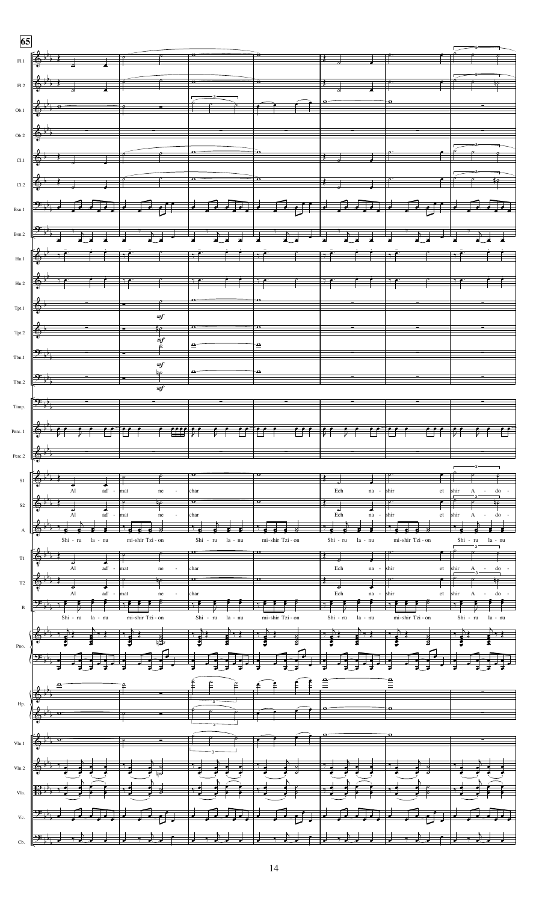| 65                     |                                                                                                                                                                                                                                                                                                                        |                                                                                                                                                                                                                                                                                                                                                                                                                                                       |                                                                   |                         |                                                                  |                                           |                     |
|------------------------|------------------------------------------------------------------------------------------------------------------------------------------------------------------------------------------------------------------------------------------------------------------------------------------------------------------------|-------------------------------------------------------------------------------------------------------------------------------------------------------------------------------------------------------------------------------------------------------------------------------------------------------------------------------------------------------------------------------------------------------------------------------------------------------|-------------------------------------------------------------------|-------------------------|------------------------------------------------------------------|-------------------------------------------|---------------------|
|                        | FIJ $\left[\begin{array}{ccc} \left(\begin{array}{cc} \frac{1}{2} & \frac{1}{2} \\ \frac{1}{2} & \frac{1}{2} \end{array}\right) & \frac{1}{2} \\ \frac{1}{2} & \frac{1}{2} \end{array}\right]$                                                                                                                         |                                                                                                                                                                                                                                                                                                                                                                                                                                                       |                                                                   |                         |                                                                  |                                           |                     |
|                        |                                                                                                                                                                                                                                                                                                                        |                                                                                                                                                                                                                                                                                                                                                                                                                                                       | $\sigma$ and $\sigma$                                             | $\overline{\mathbf{0}}$ | $\left  \begin{array}{c} \bullet \\ \bullet \end{array} \right $ | $\overline{\phantom{a}}$<br>$\frac{1}{2}$ |                     |
|                        | $Ob.1$ $\left(\begin{array}{ccc} 1 & 0 \\ 0 & 1 \end{array}\right)$ $\left(\begin{array}{ccc} 0 & 0 \\ 0 & 0 \end{array}\right)$                                                                                                                                                                                       | $\begin{array}{c c c c c c} \hline \multicolumn{3}{c }{\textbf{1}} & \multicolumn{3}{c }{\textbf{2}} & \multicolumn{3}{c }{\textbf{3}} & \multicolumn{3}{c }{\textbf{4}} & \multicolumn{3}{c }{\textbf{5}} & \multicolumn{3}{c }{\textbf{6}} & \multicolumn{3}{c }{\textbf{7}} & \multicolumn{3}{c }{\textbf{8}} & \multicolumn{3}{c }{\textbf{9}} & \multicolumn{3}{c }{\textbf{1}} & \multicolumn{3}{c }{\textbf{1}} & \multicolumn{3}{c }{\textbf$ | $\overline{\phantom{a}}$                                          | $\mathbf{r}$            |                                                                  |                                           |                     |
|                        |                                                                                                                                                                                                                                                                                                                        |                                                                                                                                                                                                                                                                                                                                                                                                                                                       |                                                                   |                         |                                                                  |                                           |                     |
|                        | $\int_{\text{Ob.2}}$                                                                                                                                                                                                                                                                                                   |                                                                                                                                                                                                                                                                                                                                                                                                                                                       |                                                                   |                         |                                                                  |                                           |                     |
|                        | CL1                                                                                                                                                                                                                                                                                                                    |                                                                                                                                                                                                                                                                                                                                                                                                                                                       | $\bullet$ $\overline{\phantom{a}}$                                |                         | $\overline{\star}$                                               |                                           |                     |
|                        | $\frac{2}{10}$                                                                                                                                                                                                                                                                                                         |                                                                                                                                                                                                                                                                                                                                                                                                                                                       | $\frac{\rho}{\rho}$ of $\frac{\rho}{\rho}$ of $\frac{\rho}{\rho}$ |                         | $\overline{\mathcal{H}}$                                         |                                           |                     |
|                        | $\frac{1}{\text{Bian}}$ $\frac{1}{\text{Bian}}$ $\frac{1}{\text{Bian}}$ $\frac{1}{\text{Bian}}$ $\frac{1}{\text{Bian}}$ $\frac{1}{\text{Bian}}$ $\frac{1}{\text{Bian}}$ $\frac{1}{\text{Bian}}$ $\frac{1}{\text{Bian}}$ $\frac{1}{\text{Bian}}$                                                                        |                                                                                                                                                                                                                                                                                                                                                                                                                                                       |                                                                   |                         |                                                                  |                                           |                     |
|                        | $Bsn2$ $\frac{33}{2}$ $\frac{1}{2}$ $\frac{1}{2}$ $\frac{1}{2}$ $\frac{1}{2}$ $\frac{1}{2}$ $\frac{1}{2}$ $\frac{1}{2}$ $\frac{1}{2}$ $\frac{1}{2}$ $\frac{1}{2}$ $\frac{1}{2}$ $\frac{1}{2}$ $\frac{1}{2}$ $\frac{1}{2}$ $\frac{1}{2}$ $\frac{1}{2}$ $\frac{1}{2}$ $\frac{1}{2}$ $\frac{1}{2}$ $\frac{1}{2}$ $\frac{$ |                                                                                                                                                                                                                                                                                                                                                                                                                                                       |                                                                   |                         |                                                                  |                                           |                     |
|                        | Hn.1                                                                                                                                                                                                                                                                                                                   |                                                                                                                                                                                                                                                                                                                                                                                                                                                       |                                                                   | $\gamma$                |                                                                  |                                           |                     |
|                        | $_{\rm Hn,2}$ $\frac{1}{2}$ $\frac{1}{2}$ $\frac{1}{2}$ $\frac{1}{2}$ $\frac{1}{2}$ $\frac{1}{2}$ $\frac{1}{2}$ $\frac{1}{2}$ $\frac{1}{2}$ $\frac{1}{2}$ $\frac{1}{2}$ $\frac{1}{2}$ $\frac{1}{2}$ $\frac{1}{2}$ $\frac{1}{2}$ $\frac{1}{2}$ $\frac{1}{2}$ $\frac{1}{2}$ $\frac{1}{2}$ $\frac{1}{2}$ $\frac{1}{2}$    |                                                                                                                                                                                                                                                                                                                                                                                                                                                       |                                                                   |                         |                                                                  |                                           |                     |
|                        |                                                                                                                                                                                                                                                                                                                        |                                                                                                                                                                                                                                                                                                                                                                                                                                                       |                                                                   |                         |                                                                  |                                           |                     |
| $_{\rm Tpt.1}$         | $\overline{\bullet}$                                                                                                                                                                                                                                                                                                   | mf                                                                                                                                                                                                                                                                                                                                                                                                                                                    |                                                                   |                         |                                                                  |                                           |                     |
| $\operatorname{Tpt.2}$ | $\frac{2}{6}$                                                                                                                                                                                                                                                                                                          | mf                                                                                                                                                                                                                                                                                                                                                                                                                                                    |                                                                   |                         |                                                                  |                                           |                     |
| Tbn.1                  | $9\overline{ }$                                                                                                                                                                                                                                                                                                        | $\blacksquare$<br>mf                                                                                                                                                                                                                                                                                                                                                                                                                                  |                                                                   |                         |                                                                  |                                           |                     |
| Tbn.2                  |                                                                                                                                                                                                                                                                                                                        | $m$ f                                                                                                                                                                                                                                                                                                                                                                                                                                                 |                                                                   |                         |                                                                  |                                           |                     |
| Timp.                  |                                                                                                                                                                                                                                                                                                                        |                                                                                                                                                                                                                                                                                                                                                                                                                                                       |                                                                   |                         |                                                                  |                                           |                     |
| Perc. 1                | <u> 1953 - 1953 - 1953 - 1953 - 1953 - 1953 - 1953 - 1954 - 1955 - 1955 - 1956 - 1958 - 1958 - 1958 - 1958 - 195</u>                                                                                                                                                                                                   |                                                                                                                                                                                                                                                                                                                                                                                                                                                       |                                                                   |                         |                                                                  |                                           |                     |
| Perc.2                 |                                                                                                                                                                                                                                                                                                                        |                                                                                                                                                                                                                                                                                                                                                                                                                                                       |                                                                   |                         |                                                                  |                                           |                     |
|                        |                                                                                                                                                                                                                                                                                                                        |                                                                                                                                                                                                                                                                                                                                                                                                                                                       |                                                                   |                         |                                                                  |                                           |                     |
|                        |                                                                                                                                                                                                                                                                                                                        |                                                                                                                                                                                                                                                                                                                                                                                                                                                       |                                                                   |                         |                                                                  |                                           |                     |
| S1                     | Al<br>aď                                                                                                                                                                                                                                                                                                               | mat<br>ne                                                                                                                                                                                                                                                                                                                                                                                                                                             | char                                                              |                         | Ech<br>na                                                        | shir<br>et                                | do<br>shır          |
| S <sub>2</sub>         | aď<br>Al                                                                                                                                                                                                                                                                                                               | mat<br>ne                                                                                                                                                                                                                                                                                                                                                                                                                                             | char                                                              |                         | Ech<br>na                                                        | shir<br>et                                | do<br>shir          |
|                        | Shi - ru<br>la<br>$-nu$                                                                                                                                                                                                                                                                                                | mi-shir Tzi - on                                                                                                                                                                                                                                                                                                                                                                                                                                      | Shi - ru<br>la - nu                                               | mi-shir Tzi - on        | Shi - ru<br>la - nu                                              | mi-shir Tzi - on                          | Shi - ru<br>la - nu |
| T1                     |                                                                                                                                                                                                                                                                                                                        |                                                                                                                                                                                                                                                                                                                                                                                                                                                       |                                                                   |                         |                                                                  |                                           |                     |
| T <sub>2</sub>         | Al<br>ad' -                                                                                                                                                                                                                                                                                                            | mat<br>ne                                                                                                                                                                                                                                                                                                                                                                                                                                             | char                                                              | $\overline{\mathbf{o}}$ | Ech<br>na                                                        | shir<br>et                                | do<br>shir          |
| B                      | aď<br>Al                                                                                                                                                                                                                                                                                                               | mat<br>ne                                                                                                                                                                                                                                                                                                                                                                                                                                             | char                                                              |                         | Ech<br>na                                                        | shir<br>et                                | do<br>shir          |
|                        | Shi - ru<br>la - nu                                                                                                                                                                                                                                                                                                    | mi-shir Tzi - on                                                                                                                                                                                                                                                                                                                                                                                                                                      | Shi - ru<br>la - nu                                               | mi-shir Tzi - on        | Shi - ru<br>la - nu                                              | mi-shir Tzi - on                          | Shi - ru<br>la - nu |
| Pno.                   |                                                                                                                                                                                                                                                                                                                        |                                                                                                                                                                                                                                                                                                                                                                                                                                                       |                                                                   |                         |                                                                  |                                           |                     |
|                        |                                                                                                                                                                                                                                                                                                                        |                                                                                                                                                                                                                                                                                                                                                                                                                                                       |                                                                   |                         |                                                                  |                                           |                     |
|                        |                                                                                                                                                                                                                                                                                                                        |                                                                                                                                                                                                                                                                                                                                                                                                                                                       |                                                                   |                         |                                                                  |                                           |                     |
| Hp.                    |                                                                                                                                                                                                                                                                                                                        |                                                                                                                                                                                                                                                                                                                                                                                                                                                       |                                                                   |                         |                                                                  |                                           |                     |
| Vln.1                  |                                                                                                                                                                                                                                                                                                                        |                                                                                                                                                                                                                                                                                                                                                                                                                                                       |                                                                   |                         |                                                                  |                                           |                     |
|                        |                                                                                                                                                                                                                                                                                                                        |                                                                                                                                                                                                                                                                                                                                                                                                                                                       |                                                                   |                         |                                                                  |                                           |                     |
| Vln.2                  |                                                                                                                                                                                                                                                                                                                        |                                                                                                                                                                                                                                                                                                                                                                                                                                                       |                                                                   |                         |                                                                  |                                           |                     |
| Vla.                   |                                                                                                                                                                                                                                                                                                                        |                                                                                                                                                                                                                                                                                                                                                                                                                                                       |                                                                   |                         |                                                                  |                                           |                     |
| Vc.                    |                                                                                                                                                                                                                                                                                                                        |                                                                                                                                                                                                                                                                                                                                                                                                                                                       |                                                                   |                         |                                                                  |                                           |                     |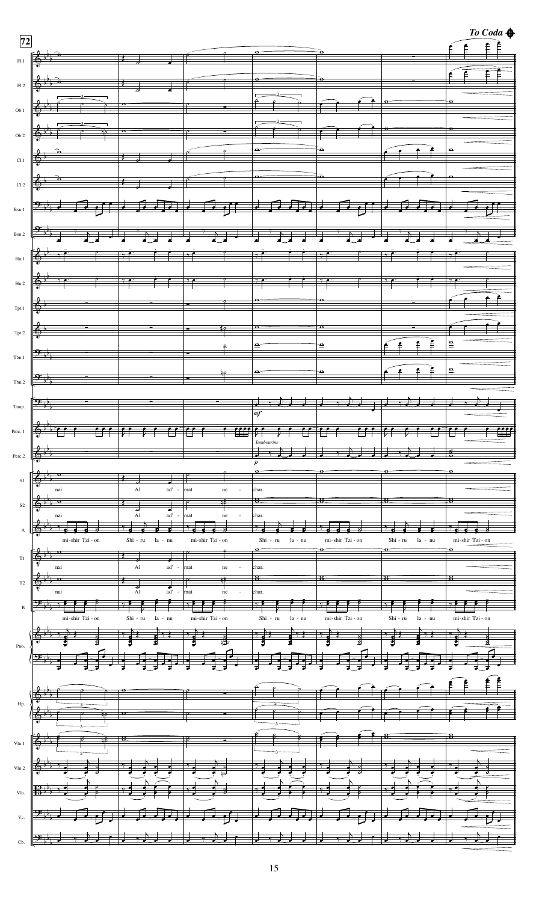| $\overline{72}$        |                                       |                                                      |                                  |                          |                  |                       |                      | To Coda $\bigoplus$ |
|------------------------|---------------------------------------|------------------------------------------------------|----------------------------------|--------------------------|------------------|-----------------------|----------------------|---------------------|
|                        |                                       |                                                      |                                  |                          |                  |                       | Ē                    | ₣                   |
| $\rm{F}l.1$            |                                       |                                                      |                                  |                          |                  |                       |                      |                     |
| $\rm{Fl.2}$            |                                       |                                                      |                                  |                          |                  |                       |                      |                     |
|                        |                                       |                                                      |                                  |                          |                  |                       |                      |                     |
| Ob.1                   | $6^{\frac{1}{2}}$                     |                                                      |                                  |                          |                  |                       |                      |                     |
|                        |                                       |                                                      |                                  |                          |                  |                       |                      |                     |
| Ob.2                   | $\frac{2}{6}$                         | $\mathbf{o}$                                         |                                  |                          |                  |                       |                      |                     |
| $\rm Cl.1$             | $\frac{2}{\frac{1}{2}}$               | $\overline{\cdot}$                                   |                                  |                          |                  |                       |                      |                     |
|                        |                                       |                                                      |                                  |                          |                  |                       |                      |                     |
| $\rm Cl.2$             | $\frac{2}{6}$<br>$\overline{\bullet}$ | $\overline{\mathbf{R}}$                              |                                  |                          |                  |                       |                      |                     |
|                        | $\mathcal{P} \mathcal{P}$ ,           |                                                      |                                  |                          |                  |                       |                      |                     |
| $_{\rm Bsn.1}$         |                                       |                                                      | Agril A.D. Ler i A.D. Agril A.D. |                          |                  |                       | $\sqrt{2}$           |                     |
| $_{\rm Bsn.2}$         |                                       |                                                      |                                  |                          |                  |                       |                      |                     |
|                        |                                       |                                                      |                                  |                          |                  |                       |                      |                     |
| $_{\rm Hn.1}$          | $6$ <sup>b</sup> $\gamma$             |                                                      |                                  |                          |                  |                       |                      |                     |
|                        | $\phi^{\nu}$                          | $\bullet$ $\bullet$ $\bullet$<br>$\frac{1}{2}$       |                                  | $\mathbb{H}$             |                  |                       |                      |                     |
| Hn.2                   |                                       |                                                      |                                  |                          |                  |                       |                      |                     |
| Tpt.1                  | $\Phi^{\flat}$                        |                                                      |                                  |                          |                  |                       |                      |                     |
|                        |                                       |                                                      |                                  |                          |                  |                       |                      |                     |
| $\operatorname{Tpt.2}$ | $\phi$                                |                                                      |                                  |                          |                  |                       |                      |                     |
| Tbn.1                  | 9:5                                   |                                                      |                                  |                          | ≘                |                       | $\triangleq$         |                     |
|                        |                                       |                                                      |                                  |                          |                  |                       | $\overline{\bullet}$ |                     |
| Tbn.2                  | $9:$ $\frac{1}{2}$                    |                                                      |                                  |                          |                  |                       |                      |                     |
|                        |                                       |                                                      |                                  | $\overline{\phantom{a}}$ |                  |                       |                      |                     |
| Timp.                  |                                       |                                                      |                                  | m f                      |                  |                       |                      |                     |
| Perc. 1                | $0_{+1}$                              |                                                      |                                  |                          |                  |                       |                      |                     |
|                        |                                       |                                                      |                                  | Tambourine               |                  |                       |                      |                     |
| Perc.2                 |                                       |                                                      |                                  | $\boldsymbol{p}$         |                  |                       |                      |                     |
| ${\bf S1}$             |                                       |                                                      |                                  |                          |                  |                       |                      |                     |
|                        | nai                                   | A1<br>ad'<br>$\sim$                                  | mat<br>$\,$ ne $\,$              | char.                    |                  |                       |                      |                     |
| S <sub>2</sub>         |                                       | Al<br>ad'<br>$\sim$                                  | mat                              | 8<br>char.               | ö                | ö                     |                      |                     |
| Α                      | nai                                   |                                                      | ne                               |                          |                  |                       |                      |                     |
|                        | mi-shir Tzi - on                      | Shi - ru<br>la - nu                                  | mi-shir Tzi - on                 | Shi - ru<br>la - nu      | mi-shir Tzi - on | Shi - ru<br>la - nu   | mi-shir Tzi - on     |                     |
| $\rm T1$               |                                       |                                                      |                                  |                          |                  |                       |                      |                     |
|                        | nai                                   | A1<br>$ad' -$                                        | mat<br>$\,$ ne $\,$              | char.                    |                  |                       |                      |                     |
| $\mathrm{T}2$          | nai                                   | $\frac{\partial}{\partial \lambda}$<br>$\frac{d}{d}$ | mat<br>ne                        | 8<br>char.               | x                | 8                     | 8                    |                     |
| $\, {\bf B}$           |                                       |                                                      |                                  |                          |                  |                       |                      |                     |
|                        | mi-shir Tzi - on                      | Shi - ru<br>la - nu                                  | mi-shir Tzi - on                 | Shi - ru<br>la - nu      | mi-shir Tzi - on | Shi - ru<br>$la - nu$ | mi-shir Tzi - on     |                     |
|                        |                                       |                                                      |                                  |                          |                  |                       |                      |                     |
| Pno.                   |                                       |                                                      |                                  |                          |                  |                       |                      |                     |
|                        |                                       |                                                      |                                  |                          |                  |                       |                      |                     |
|                        |                                       |                                                      |                                  |                          |                  |                       |                      |                     |
|                        |                                       |                                                      |                                  |                          |                  |                       |                      |                     |
| Hp.                    |                                       |                                                      |                                  |                          |                  |                       |                      |                     |
|                        |                                       |                                                      |                                  |                          |                  |                       |                      |                     |
| Vln.1                  |                                       |                                                      |                                  |                          |                  |                       |                      |                     |
|                        |                                       |                                                      |                                  |                          |                  |                       |                      |                     |
| Vln.2                  |                                       |                                                      |                                  |                          |                  |                       |                      |                     |
| Vla.                   |                                       |                                                      |                                  |                          |                  |                       |                      |                     |
|                        |                                       |                                                      |                                  |                          |                  |                       |                      |                     |
| Vc.                    |                                       |                                                      |                                  |                          |                  |                       |                      |                     |
|                        |                                       |                                                      |                                  |                          |                  |                       |                      |                     |
|                        |                                       |                                                      |                                  |                          |                  |                       |                      |                     |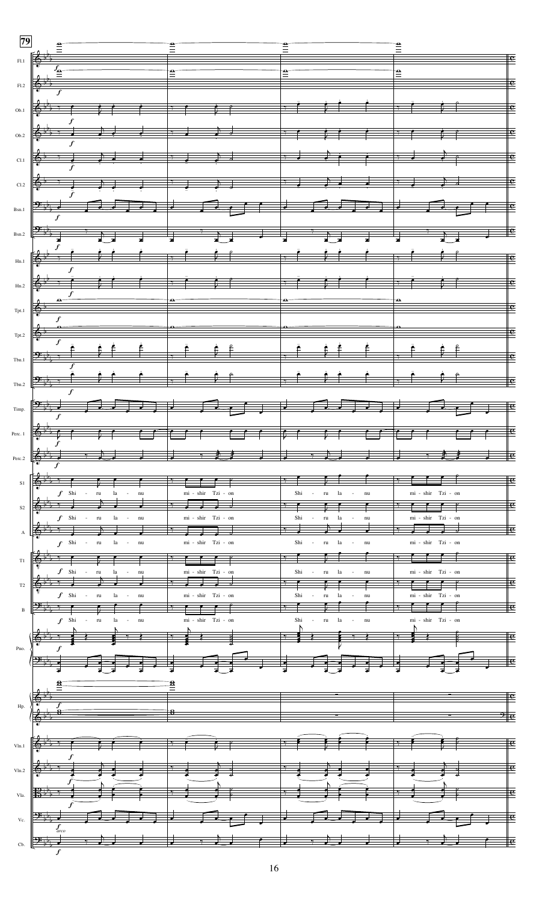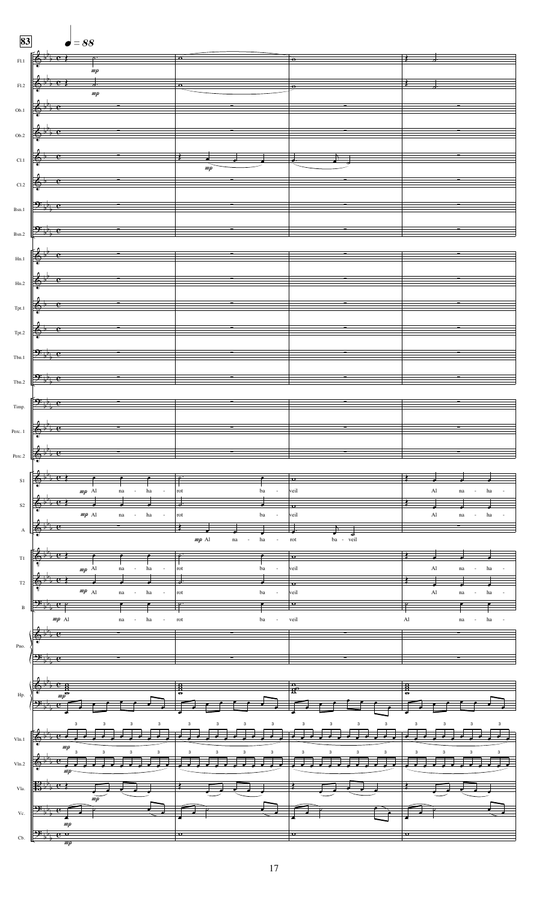| 83                  | $\bullet$ = 88                                                                                                                                                                                                                                                                                                                                                                                                                                                                                                                                                                                                                                                                                                      |                                                                                                                       |                                                              |                                              |
|---------------------|---------------------------------------------------------------------------------------------------------------------------------------------------------------------------------------------------------------------------------------------------------------------------------------------------------------------------------------------------------------------------------------------------------------------------------------------------------------------------------------------------------------------------------------------------------------------------------------------------------------------------------------------------------------------------------------------------------------------|-----------------------------------------------------------------------------------------------------------------------|--------------------------------------------------------------|----------------------------------------------|
|                     | $F1.1$ $\bigoplus_{9}^{1}$ $\bigoplus_{9}^{1}$ $\bigoplus_{9}^{1}$ $\bigoplus_{9}^{1}$ $\bigoplus_{9}^{1}$ $\bigoplus_{9}^{1}$ $\bigoplus_{9}^{1}$ $\bigoplus_{9}^{1}$ $\bigoplus_{9}^{1}$ $\bigoplus_{9}^{1}$ $\bigoplus_{9}^{1}$ $\bigoplus_{9}^{1}$ $\bigoplus_{9}^{1}$ $\bigoplus_{9}^{1}$ $\bigoplus_{9}^{1}$ $\bigoplus_{9}^{1}$ $\bigoplus_{$<br>$\begin{tabular}{ c c c c } \hline \quad \quad & \quad \quad & \quad \quad & \quad \quad \\ \hline \quad \quad & \quad \quad & \quad \quad & \quad \quad \\ \hline \quad \quad & \quad \quad & \quad \quad & \quad \quad \\ \hline \quad \quad & \quad \quad & \quad \quad \\ \hline \quad \quad & \quad \quad & \quad \quad \\ \hline \end{tabular}$<br>mp | $\overline{\bullet}$                                                                                                  | $\alpha$                                                     | ₹                                            |
| F1.2                | $\overline{\phantom{a}}$<br>$\frac{p}{2}$ e $\frac{p}{2}$                                                                                                                                                                                                                                                                                                                                                                                                                                                                                                                                                                                                                                                           | $\bullet$                                                                                                             | $\overline{\mathbf{o}}$                                      | ₹                                            |
| Ob.1                | mp<br>$\frac{2}{9}$ b c                                                                                                                                                                                                                                                                                                                                                                                                                                                                                                                                                                                                                                                                                             |                                                                                                                       |                                                              |                                              |
|                     |                                                                                                                                                                                                                                                                                                                                                                                                                                                                                                                                                                                                                                                                                                                     |                                                                                                                       |                                                              |                                              |
|                     | $0b.2$ $\frac{2}{9}$ $\frac{1}{9}$ $\frac{1}{10}$                                                                                                                                                                                                                                                                                                                                                                                                                                                                                                                                                                                                                                                                   |                                                                                                                       |                                                              |                                              |
|                     | $CL1$ $\oint$ $\frac{1}{2}$ $\frac{1}{2}$ $\frac{1}{2}$ $\frac{1}{2}$ $\frac{1}{2}$ $\frac{1}{2}$ $\frac{1}{2}$ $\frac{1}{2}$ $\frac{1}{2}$ $\frac{1}{2}$ $\frac{1}{2}$ $\frac{1}{2}$ $\frac{1}{2}$ $\frac{1}{2}$ $\frac{1}{2}$ $\frac{1}{2}$ $\frac{1}{2}$ $\frac{1}{2}$ $\frac{1}{2}$ $\frac{1}{2}$ $\frac{1}{2}$                                                                                                                                                                                                                                                                                                                                                                                                 | $\begin{array}{c c}\n & \circ \\  & \circ \\  & \circ \\  & \circ\n \end{array}$                                      | $\overline{\phantom{a}}$<br>$\rightarrow$                    |                                              |
|                     | $C1.2$ $\left  \begin{array}{ccc} 2 & 2 \\ 2 & 2 \end{array} \right $                                                                                                                                                                                                                                                                                                                                                                                                                                                                                                                                                                                                                                               |                                                                                                                       |                                                              |                                              |
|                     | $_{\rm Bsn.1}$ $\frac{9}{5}$ $\frac{1}{5}$ C<br><u> 1980 - Johann Stein, Amerikaansk politiker († 1908)</u>                                                                                                                                                                                                                                                                                                                                                                                                                                                                                                                                                                                                         |                                                                                                                       |                                                              |                                              |
|                     | $B_{\text{sn.2}}$ $\left[\frac{\mathbf{p}}{\mathbf{p}}, \frac{\mathbf{p}}{\mathbf{p}}, \mathbf{c}\right]$                                                                                                                                                                                                                                                                                                                                                                                                                                                                                                                                                                                                           |                                                                                                                       |                                                              |                                              |
|                     | Hn.1                                                                                                                                                                                                                                                                                                                                                                                                                                                                                                                                                                                                                                                                                                                |                                                                                                                       |                                                              |                                              |
|                     |                                                                                                                                                                                                                                                                                                                                                                                                                                                                                                                                                                                                                                                                                                                     |                                                                                                                       |                                                              |                                              |
|                     | $\mathcal{L}_{\text{Hn.2}}$                                                                                                                                                                                                                                                                                                                                                                                                                                                                                                                                                                                                                                                                                         | <u> a serie de la construcción de la construcción de la construcción de la construcción de la construcción de la </u> |                                                              |                                              |
|                     | $T_{\text{pt.1}}$ $\phi$ $\overline{c}$                                                                                                                                                                                                                                                                                                                                                                                                                                                                                                                                                                                                                                                                             |                                                                                                                       |                                                              |                                              |
|                     | $T_{\text{pt,2}}$ $\theta$ $\theta$                                                                                                                                                                                                                                                                                                                                                                                                                                                                                                                                                                                                                                                                                 |                                                                                                                       |                                                              |                                              |
| $_{\rm Tbn.1}$      | $\mathcal{F}_{\mathfrak{p}_b}$ e                                                                                                                                                                                                                                                                                                                                                                                                                                                                                                                                                                                                                                                                                    |                                                                                                                       |                                                              |                                              |
|                     | Tbn.2 $\left  \frac{\partial \cdot}{\partial \cdot} \right $ e                                                                                                                                                                                                                                                                                                                                                                                                                                                                                                                                                                                                                                                      |                                                                                                                       |                                                              |                                              |
|                     | $\mathbb{P}^{\cdot}$ e                                                                                                                                                                                                                                                                                                                                                                                                                                                                                                                                                                                                                                                                                              |                                                                                                                       |                                                              |                                              |
| Timp.               | $\mathbf{L}$                                                                                                                                                                                                                                                                                                                                                                                                                                                                                                                                                                                                                                                                                                        |                                                                                                                       |                                                              |                                              |
| Perc. 1             | $6^{\frac{p}{p}}$ e                                                                                                                                                                                                                                                                                                                                                                                                                                                                                                                                                                                                                                                                                                 |                                                                                                                       |                                                              |                                              |
| Perc.2              |                                                                                                                                                                                                                                                                                                                                                                                                                                                                                                                                                                                                                                                                                                                     |                                                                                                                       |                                                              |                                              |
| ${\bf S1}$          |                                                                                                                                                                                                                                                                                                                                                                                                                                                                                                                                                                                                                                                                                                                     |                                                                                                                       | $\mathbf{o}$                                                 | ⊀                                            |
| $\mathbf{S2}$       | $mp$ Al<br>ha<br>na                                                                                                                                                                                                                                                                                                                                                                                                                                                                                                                                                                                                                                                                                                 | ba<br>rot                                                                                                             | veil                                                         | $\rm Al$<br>ha<br>$\operatorname{na}$        |
| A                   | $m\!p\,$ Al<br>ha<br>$\mathbf{na}$                                                                                                                                                                                                                                                                                                                                                                                                                                                                                                                                                                                                                                                                                  | ba<br>rot                                                                                                             | veil                                                         | ${\rm Al}$<br>ha<br>$\operatorname{na}$      |
|                     |                                                                                                                                                                                                                                                                                                                                                                                                                                                                                                                                                                                                                                                                                                                     | $mp$ Al<br>na<br>ha                                                                                                   | - veil<br>ba<br>rot                                          |                                              |
| $\rm T1$            | $mp$ Al<br>ha<br>na                                                                                                                                                                                                                                                                                                                                                                                                                                                                                                                                                                                                                                                                                                 | ba<br>rot                                                                                                             | $\mathbf o$<br>veil                                          | ₹<br>${\rm Al}$<br>ha<br>$\operatorname{na}$ |
| $\operatorname{T2}$ | $\mathit{mp}_{\quad \  \mathrm{Al}}$<br>ha<br>na                                                                                                                                                                                                                                                                                                                                                                                                                                                                                                                                                                                                                                                                    | ba<br>rot                                                                                                             | $\sigma$<br>veil                                             | $\rm Al$<br>ha<br>na                         |
| $\, {\bf B}$        |                                                                                                                                                                                                                                                                                                                                                                                                                                                                                                                                                                                                                                                                                                                     |                                                                                                                       | $\mathbf \sigma$                                             |                                              |
|                     | $mp$ Al<br>ha<br>na                                                                                                                                                                                                                                                                                                                                                                                                                                                                                                                                                                                                                                                                                                 | rot<br>ba                                                                                                             | veil                                                         | A <sub>1</sub><br>ha<br>na                   |
| Pno.                |                                                                                                                                                                                                                                                                                                                                                                                                                                                                                                                                                                                                                                                                                                                     |                                                                                                                       |                                                              |                                              |
|                     |                                                                                                                                                                                                                                                                                                                                                                                                                                                                                                                                                                                                                                                                                                                     |                                                                                                                       |                                                              |                                              |
| Hp.                 | $mp^{\rightarrow}$                                                                                                                                                                                                                                                                                                                                                                                                                                                                                                                                                                                                                                                                                                  | $rac{1}{\sigma}$                                                                                                      | $\frac{1}{3}$                                                | $\frac{1}{3}$                                |
|                     |                                                                                                                                                                                                                                                                                                                                                                                                                                                                                                                                                                                                                                                                                                                     |                                                                                                                       |                                                              |                                              |
| $_{\rm Vln.1}$      |                                                                                                                                                                                                                                                                                                                                                                                                                                                                                                                                                                                                                                                                                                                     |                                                                                                                       |                                                              |                                              |
|                     | mp<br>3                                                                                                                                                                                                                                                                                                                                                                                                                                                                                                                                                                                                                                                                                                             | $_{\rm 3}$<br>$\mathbf{3}$<br>3                                                                                       | $\mathbf 3$<br>$\mathbf 3$<br>$\ensuremath{\mathsf{3}}$<br>3 |                                              |
| $_{\rm Vln.2}$      | mp                                                                                                                                                                                                                                                                                                                                                                                                                                                                                                                                                                                                                                                                                                                  |                                                                                                                       |                                                              |                                              |
| Vla.                | $\it{mp}$                                                                                                                                                                                                                                                                                                                                                                                                                                                                                                                                                                                                                                                                                                           |                                                                                                                       |                                                              |                                              |
| Vc.                 | mр                                                                                                                                                                                                                                                                                                                                                                                                                                                                                                                                                                                                                                                                                                                  |                                                                                                                       |                                                              |                                              |
| Cb.                 | $\cdot \cdot \cdot$<br><u>n o</u><br>$\overline{mp}$                                                                                                                                                                                                                                                                                                                                                                                                                                                                                                                                                                                                                                                                | $\mathbf{o}$                                                                                                          | $\Omega$                                                     | $\mathbf{o}$                                 |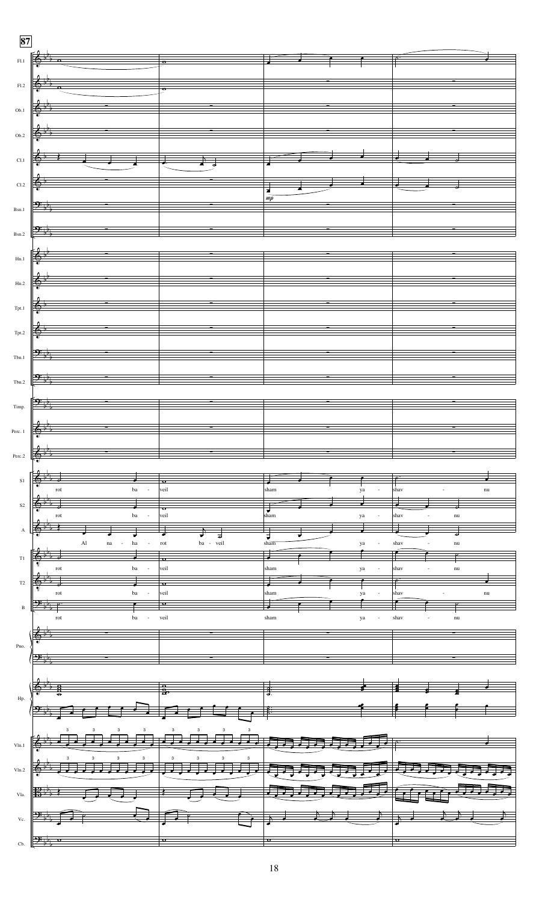| 87                             |                                                                                              |                             |                                                             |    |                         |                        |
|--------------------------------|----------------------------------------------------------------------------------------------|-----------------------------|-------------------------------------------------------------|----|-------------------------|------------------------|
|                                | F1.1                                                                                         | $\overline{\phantom{0}}$    |                                                             |    |                         |                        |
|                                |                                                                                              |                             |                                                             |    |                         |                        |
| F1.2                           |                                                                                              | $\overline{\bullet}$        |                                                             |    |                         |                        |
| Ob.1                           |                                                                                              |                             |                                                             |    |                         |                        |
|                                | $0b.2$ $\left(\frac{1}{2}\right)^{\frac{1}{2}}$                                              |                             |                                                             |    |                         |                        |
|                                |                                                                                              |                             |                                                             |    |                         |                        |
| $\text{C} \text{l} . \text{l}$ | $\phi$                                                                                       | $\overrightarrow{a}$        | Į                                                           |    |                         |                        |
|                                | C1.2                                                                                         |                             | ┆                                                           |    |                         |                        |
|                                | $\mathcal{P}$ , $\mathcal{P}_\mathfrak{p}$                                                   | $\overline{\phantom{a}}$    | $\frac{mp}{2}$                                              |    |                         |                        |
| Bsn.1                          |                                                                                              |                             |                                                             |    |                         |                        |
| Bsn.2                          | $\mathbf{P}$                                                                                 |                             |                                                             |    |                         |                        |
|                                | Hn.1                                                                                         |                             |                                                             |    |                         |                        |
|                                | $\blacksquare$                                                                               |                             |                                                             |    |                         |                        |
|                                | $\frac{1}{2}$ $\frac{1}{2}$                                                                  |                             |                                                             |    |                         |                        |
|                                | $T_{\text{pt.1}}$<br>$\overline{\phantom{a}}$ , and the contract of $\overline{\phantom{a}}$ |                             |                                                             |    |                         |                        |
| $_{\rm Tpt.2}$                 | $\frac{2}{9}$<br>$\overline{a}$ , and $\overline{a}$                                         |                             |                                                             |    |                         |                        |
|                                |                                                                                              |                             |                                                             |    |                         |                        |
| Tbn.1                          | $\mathcal{P}$                                                                                |                             |                                                             |    |                         |                        |
| Tbn.2                          | $2 +$                                                                                        |                             |                                                             |    |                         |                        |
| Timp.                          |                                                                                              |                             |                                                             |    |                         |                        |
|                                |                                                                                              |                             |                                                             |    |                         |                        |
| Perc. 1                        | 677<br>$\bullet$                                                                             |                             |                                                             |    |                         |                        |
| Perc.2                         |                                                                                              |                             |                                                             |    |                         |                        |
|                                |                                                                                              |                             |                                                             |    |                         |                        |
| $\mathbf{S}1$                  | ba<br>rot                                                                                    | veil                        | sham                                                        | ya | shav                    | $\mathbf{n}\mathbf{u}$ |
| S <sub>2</sub>                 |                                                                                              |                             |                                                             |    |                         |                        |
|                                | ba<br>rot                                                                                    | veil                        | $\overrightarrow{sham}$                                     | ya | shav                    | $\mathbf{nu}$          |
| $\mathbf A$                    |                                                                                              |                             |                                                             |    |                         |                        |
|                                | $\rm Al$<br>ha                                                                               | ba - veil                   | sham                                                        |    | shav                    | nu                     |
|                                | na                                                                                           | rot                         |                                                             | ya |                         |                        |
| $\rm T1$                       | ba<br>rot                                                                                    | $\mathbf{o}$<br>veil        | sham                                                        | ya | shav                    | $\mathbf{n}$ u         |
| $\rm{T2}$                      | 65                                                                                           |                             |                                                             |    |                         |                        |
|                                | ba                                                                                           | veil                        | sham                                                        | ya | shav                    | nu                     |
| $\, {\bf B}$                   |                                                                                              | $\mathbf{o}$                |                                                             |    |                         |                        |
|                                | ba<br>rot                                                                                    | veil                        | sham                                                        | ya | shav                    | nu                     |
|                                | $6F_{1}$                                                                                     |                             |                                                             |    |                         |                        |
| Pno.                           | $\mathbf{P}$                                                                                 |                             |                                                             |    |                         |                        |
|                                |                                                                                              |                             |                                                             |    |                         |                        |
|                                | $\frac{2}{3}$                                                                                | $\frac{1}{\frac{9}{9}}$     | $\frac{1}{\sqrt{\frac{4}{3}}}\frac{1}{\sqrt{\frac{4}{3}}}}$ |    |                         |                        |
| $_{\rm{Hp.}}$                  |                                                                                              |                             |                                                             |    |                         |                        |
|                                | $\mathbb{R}^n \cup \mathbb{R}^n \cup \mathbb{R}^n \cup \mathbb{R}^n$                         |                             |                                                             |    |                         |                        |
|                                |                                                                                              |                             |                                                             |    |                         |                        |
| $_{\rm Vln.1}$                 |                                                                                              |                             |                                                             |    |                         |                        |
|                                | ة <del>وترار وترار أول دار</del> الأمريكي أول دار الأمريكي براي الأم                         |                             |                                                             |    |                         |                        |
| Vln.2                          |                                                                                              |                             |                                                             |    | ندن ندك نشد ندك انتقاضا |                        |
| Vla.                           |                                                                                              | $\overline{\ast}$<br>$\Box$ |                                                             |    |                         |                        |
| $\rm{Vc.}$                     |                                                                                              | $\Rightarrow$               |                                                             |    |                         |                        |
|                                |                                                                                              |                             |                                                             |    |                         |                        |
|                                | $_{\text{Cb.}}$ $\left[\frac{9:10}{10}\right]$ o                                             | $\circ$                     | $\mathbf{o}$                                                |    | $\circ$                 |                        |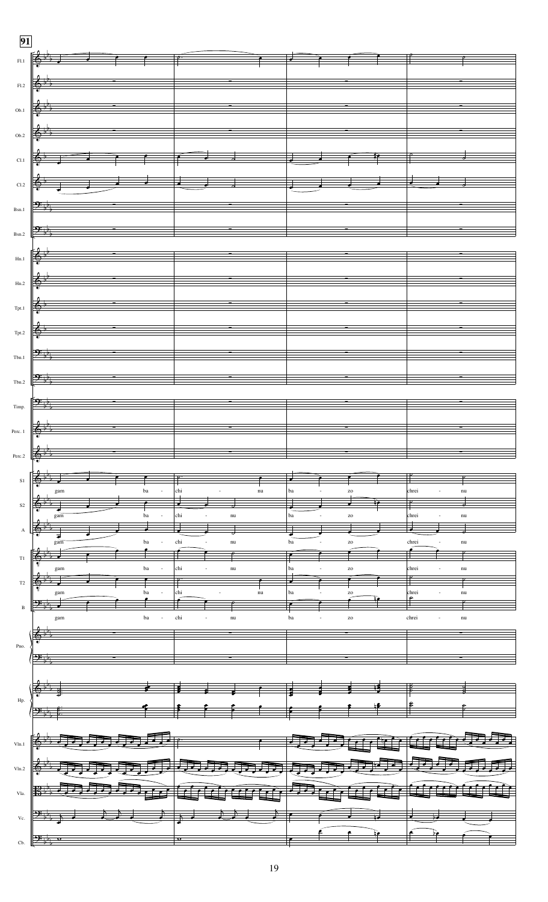| 91                          |                                                                                                                                                                                                                  |  |                          |   |    |                      |                                        |    |                          |                                                                                                                                                                                                                                                                                                                                                                              |
|-----------------------------|------------------------------------------------------------------------------------------------------------------------------------------------------------------------------------------------------------------|--|--------------------------|---|----|----------------------|----------------------------------------|----|--------------------------|------------------------------------------------------------------------------------------------------------------------------------------------------------------------------------------------------------------------------------------------------------------------------------------------------------------------------------------------------------------------------|
|                             | $F_{\rm H,1}$ $\left[\frac{Z_{\rm B}+Z_{\rm B}}{Z_{\rm B}+Z_{\rm B}}\right]^2$ $\left[\frac{Z_{\rm B}+Z_{\rm B}}{Z_{\rm B}+Z_{\rm B}}\right]^2$ $\left[\frac{Z_{\rm B}+Z_{\rm B}}{Z_{\rm B}+Z_{\rm B}}\right]^2$ |  |                          |   |    |                      |                                        |    |                          | $\bar{\hat{\mathbf{+}}}$                                                                                                                                                                                                                                                                                                                                                     |
|                             |                                                                                                                                                                                                                  |  |                          |   |    |                      |                                        |    |                          |                                                                                                                                                                                                                                                                                                                                                                              |
|                             |                                                                                                                                                                                                                  |  |                          |   |    |                      |                                        |    |                          |                                                                                                                                                                                                                                                                                                                                                                              |
| $\rm{F}l.2$                 | $6^{3}$                                                                                                                                                                                                          |  |                          |   |    |                      |                                        |    |                          |                                                                                                                                                                                                                                                                                                                                                                              |
|                             |                                                                                                                                                                                                                  |  |                          |   |    |                      |                                        |    |                          |                                                                                                                                                                                                                                                                                                                                                                              |
|                             | $_{\text{Ob.1}}$                                                                                                                                                                                                 |  |                          |   |    |                      |                                        |    |                          |                                                                                                                                                                                                                                                                                                                                                                              |
|                             |                                                                                                                                                                                                                  |  |                          |   |    |                      |                                        |    |                          |                                                                                                                                                                                                                                                                                                                                                                              |
|                             |                                                                                                                                                                                                                  |  |                          |   |    |                      |                                        |    |                          |                                                                                                                                                                                                                                                                                                                                                                              |
|                             | $_{\text{Ob.2}}$                                                                                                                                                                                                 |  |                          |   |    |                      |                                        |    |                          |                                                                                                                                                                                                                                                                                                                                                                              |
|                             |                                                                                                                                                                                                                  |  |                          |   |    |                      |                                        |    |                          |                                                                                                                                                                                                                                                                                                                                                                              |
|                             |                                                                                                                                                                                                                  |  |                          |   |    |                      |                                        |    |                          |                                                                                                                                                                                                                                                                                                                                                                              |
|                             | CL1<br>$\overline{\phantom{a}}$                                                                                                                                                                                  |  |                          | T |    | $\overrightarrow{a}$ |                                        |    | 丰                        |                                                                                                                                                                                                                                                                                                                                                                              |
|                             |                                                                                                                                                                                                                  |  |                          |   |    |                      |                                        |    |                          |                                                                                                                                                                                                                                                                                                                                                                              |
|                             |                                                                                                                                                                                                                  |  |                          |   |    |                      |                                        |    |                          |                                                                                                                                                                                                                                                                                                                                                                              |
|                             | $\frac{1}{2}$ $\frac{1}{2}$ $\frac{1}{2}$ $\frac{1}{2}$ $\frac{1}{2}$ $\frac{1}{2}$ $\frac{1}{2}$ $\frac{1}{2}$ $\frac{1}{2}$                                                                                    |  |                          |   |    |                      |                                        |    | $\overline{\phantom{a}}$ |                                                                                                                                                                                                                                                                                                                                                                              |
|                             |                                                                                                                                                                                                                  |  |                          |   |    |                      |                                        |    |                          |                                                                                                                                                                                                                                                                                                                                                                              |
| Bsn.1                       | $\mathbf{P}_{\mathbf{p}_1}$                                                                                                                                                                                      |  |                          |   |    |                      |                                        |    |                          |                                                                                                                                                                                                                                                                                                                                                                              |
|                             |                                                                                                                                                                                                                  |  |                          |   |    |                      |                                        |    |                          |                                                                                                                                                                                                                                                                                                                                                                              |
|                             |                                                                                                                                                                                                                  |  |                          |   |    |                      |                                        |    |                          |                                                                                                                                                                                                                                                                                                                                                                              |
| Bsn.2                       | $\mathbf{P}$                                                                                                                                                                                                     |  |                          |   |    |                      |                                        |    |                          |                                                                                                                                                                                                                                                                                                                                                                              |
|                             |                                                                                                                                                                                                                  |  |                          |   |    |                      |                                        |    |                          |                                                                                                                                                                                                                                                                                                                                                                              |
|                             | Hn.1                                                                                                                                                                                                             |  |                          |   |    |                      |                                        |    |                          |                                                                                                                                                                                                                                                                                                                                                                              |
|                             |                                                                                                                                                                                                                  |  |                          |   |    |                      |                                        |    |                          |                                                                                                                                                                                                                                                                                                                                                                              |
|                             |                                                                                                                                                                                                                  |  |                          |   |    |                      |                                        |    |                          |                                                                                                                                                                                                                                                                                                                                                                              |
|                             | $Hn.2$ $\frac{1}{\sqrt{2}}$ $\frac{1}{\sqrt{2}}$                                                                                                                                                                 |  |                          |   |    |                      |                                        |    |                          |                                                                                                                                                                                                                                                                                                                                                                              |
|                             |                                                                                                                                                                                                                  |  |                          |   |    |                      |                                        |    |                          |                                                                                                                                                                                                                                                                                                                                                                              |
|                             |                                                                                                                                                                                                                  |  |                          |   |    |                      |                                        |    |                          |                                                                                                                                                                                                                                                                                                                                                                              |
| $\label{eq:1} \text{Tpt.1}$ | $\frac{1}{2}$                                                                                                                                                                                                    |  |                          |   |    |                      |                                        |    |                          |                                                                                                                                                                                                                                                                                                                                                                              |
|                             |                                                                                                                                                                                                                  |  |                          |   |    |                      |                                        |    |                          |                                                                                                                                                                                                                                                                                                                                                                              |
|                             | Tpt.2                                                                                                                                                                                                            |  |                          |   |    |                      |                                        |    |                          |                                                                                                                                                                                                                                                                                                                                                                              |
|                             |                                                                                                                                                                                                                  |  |                          |   |    |                      |                                        |    |                          |                                                                                                                                                                                                                                                                                                                                                                              |
|                             |                                                                                                                                                                                                                  |  |                          |   |    |                      |                                        |    |                          |                                                                                                                                                                                                                                                                                                                                                                              |
| Tbn.1                       | $\mathbf{P}$                                                                                                                                                                                                     |  |                          |   |    |                      |                                        |    |                          |                                                                                                                                                                                                                                                                                                                                                                              |
|                             |                                                                                                                                                                                                                  |  |                          |   |    |                      |                                        |    |                          |                                                                                                                                                                                                                                                                                                                                                                              |
| Tbn.2                       | 9:1                                                                                                                                                                                                              |  |                          |   |    |                      |                                        |    |                          |                                                                                                                                                                                                                                                                                                                                                                              |
|                             |                                                                                                                                                                                                                  |  |                          |   |    |                      |                                        |    |                          |                                                                                                                                                                                                                                                                                                                                                                              |
|                             |                                                                                                                                                                                                                  |  |                          |   |    |                      |                                        |    |                          |                                                                                                                                                                                                                                                                                                                                                                              |
| Timp.                       | $\mathbf{\mathcal{P}}$                                                                                                                                                                                           |  |                          |   |    |                      |                                        |    |                          |                                                                                                                                                                                                                                                                                                                                                                              |
|                             |                                                                                                                                                                                                                  |  |                          |   |    |                      |                                        |    |                          |                                                                                                                                                                                                                                                                                                                                                                              |
|                             | $6$ <sup>b</sup>                                                                                                                                                                                                 |  |                          |   |    |                      |                                        |    |                          |                                                                                                                                                                                                                                                                                                                                                                              |
| Perc. 1                     |                                                                                                                                                                                                                  |  |                          |   |    |                      |                                        |    |                          |                                                                                                                                                                                                                                                                                                                                                                              |
|                             |                                                                                                                                                                                                                  |  |                          |   |    |                      |                                        |    |                          |                                                                                                                                                                                                                                                                                                                                                                              |
| Perc.2                      |                                                                                                                                                                                                                  |  |                          |   |    |                      |                                        |    |                          |                                                                                                                                                                                                                                                                                                                                                                              |
|                             |                                                                                                                                                                                                                  |  |                          |   |    |                      |                                        |    |                          |                                                                                                                                                                                                                                                                                                                                                                              |
|                             |                                                                                                                                                                                                                  |  |                          |   |    |                      |                                        |    |                          |                                                                                                                                                                                                                                                                                                                                                                              |
| S <sub>1</sub>              |                                                                                                                                                                                                                  |  |                          |   |    |                      |                                        |    |                          |                                                                                                                                                                                                                                                                                                                                                                              |
|                             |                                                                                                                                                                                                                  |  |                          |   |    | nu                   | ba                                     |    | chrei                    |                                                                                                                                                                                                                                                                                                                                                                              |
| S <sub>2</sub>              |                                                                                                                                                                                                                  |  |                          |   |    |                      |                                        |    |                          |                                                                                                                                                                                                                                                                                                                                                                              |
|                             |                                                                                                                                                                                                                  |  | chi                      |   |    |                      |                                        |    |                          |                                                                                                                                                                                                                                                                                                                                                                              |
|                             |                                                                                                                                                                                                                  |  |                          |   | nu |                      | ba                                     | ZO | chrei                    | nu                                                                                                                                                                                                                                                                                                                                                                           |
|                             | $\frac{1}{2}$                                                                                                                                                                                                    |  |                          |   |    |                      |                                        |    |                          |                                                                                                                                                                                                                                                                                                                                                                              |
|                             |                                                                                                                                                                                                                  |  | chi                      |   | nu |                      | ba                                     |    | chrei                    | nu                                                                                                                                                                                                                                                                                                                                                                           |
|                             |                                                                                                                                                                                                                  |  |                          |   |    |                      |                                        |    |                          |                                                                                                                                                                                                                                                                                                                                                                              |
| $\rm T1$                    |                                                                                                                                                                                                                  |  |                          |   |    |                      |                                        |    |                          |                                                                                                                                                                                                                                                                                                                                                                              |
|                             |                                                                                                                                                                                                                  |  | chi                      |   | nu |                      |                                        |    | chrei                    | nu                                                                                                                                                                                                                                                                                                                                                                           |
|                             |                                                                                                                                                                                                                  |  |                          |   |    |                      |                                        |    |                          |                                                                                                                                                                                                                                                                                                                                                                              |
| $\mathrm{T}2$               |                                                                                                                                                                                                                  |  |                          |   |    |                      |                                        |    |                          |                                                                                                                                                                                                                                                                                                                                                                              |
|                             |                                                                                                                                                                                                                  |  | chi                      |   |    | nu                   | ba                                     |    | chrei                    | nu                                                                                                                                                                                                                                                                                                                                                                           |
| $\, {\bf B}$                |                                                                                                                                                                                                                  |  |                          |   |    |                      |                                        |    |                          |                                                                                                                                                                                                                                                                                                                                                                              |
|                             | gam                                                                                                                                                                                                              |  | chi                      |   | nu |                      | ba                                     | ZO | chrei                    | nu                                                                                                                                                                                                                                                                                                                                                                           |
|                             |                                                                                                                                                                                                                  |  |                          |   |    |                      |                                        |    |                          |                                                                                                                                                                                                                                                                                                                                                                              |
|                             | 635                                                                                                                                                                                                              |  |                          |   |    |                      |                                        |    |                          |                                                                                                                                                                                                                                                                                                                                                                              |
| Pno.                        |                                                                                                                                                                                                                  |  |                          |   |    |                      |                                        |    |                          |                                                                                                                                                                                                                                                                                                                                                                              |
|                             | $9 - 1$                                                                                                                                                                                                          |  |                          |   |    |                      |                                        |    |                          |                                                                                                                                                                                                                                                                                                                                                                              |
|                             |                                                                                                                                                                                                                  |  |                          |   |    |                      |                                        |    |                          |                                                                                                                                                                                                                                                                                                                                                                              |
|                             |                                                                                                                                                                                                                  |  |                          |   |    |                      |                                        |    |                          |                                                                                                                                                                                                                                                                                                                                                                              |
|                             |                                                                                                                                                                                                                  |  |                          |   |    |                      |                                        |    |                          |                                                                                                                                                                                                                                                                                                                                                                              |
|                             |                                                                                                                                                                                                                  |  |                          |   |    |                      | $\leftarrow$ $\leftarrow$ $\leftarrow$ |    |                          |                                                                                                                                                                                                                                                                                                                                                                              |
| Hp.                         |                                                                                                                                                                                                                  |  |                          |   |    |                      |                                        |    |                          |                                                                                                                                                                                                                                                                                                                                                                              |
|                             |                                                                                                                                                                                                                  |  |                          |   |    |                      |                                        |    |                          |                                                                                                                                                                                                                                                                                                                                                                              |
|                             |                                                                                                                                                                                                                  |  |                          |   |    |                      |                                        |    |                          |                                                                                                                                                                                                                                                                                                                                                                              |
|                             |                                                                                                                                                                                                                  |  |                          |   |    |                      |                                        |    |                          |                                                                                                                                                                                                                                                                                                                                                                              |
|                             |                                                                                                                                                                                                                  |  |                          |   |    |                      |                                        |    |                          |                                                                                                                                                                                                                                                                                                                                                                              |
|                             |                                                                                                                                                                                                                  |  |                          |   |    |                      |                                        |    |                          |                                                                                                                                                                                                                                                                                                                                                                              |
| $_{\rm Vln.1}$              | $\mathbb{K}^{\mathbb{N}}$ , $\mathbb{F}$ , $\mathbb{F}$ , $\mathbb{F}$ , $\mathbb{F}$ , $\mathbb{F}$ , $\mathbb{F}$                                                                                              |  |                          |   |    |                      |                                        |    |                          | $\frac{1}{\sqrt{2}}\sum_{i=1}^{n} \frac{1}{\sqrt{2}}\sum_{i=1}^{n} \frac{1}{\sqrt{2}}\sum_{i=1}^{n} \frac{1}{\sqrt{2}}\sum_{i=1}^{n} \frac{1}{\sqrt{2}}\sum_{i=1}^{n} \frac{1}{\sqrt{2}}\sum_{i=1}^{n} \frac{1}{\sqrt{2}}\sum_{i=1}^{n} \frac{1}{\sqrt{2}}\sum_{i=1}^{n} \frac{1}{\sqrt{2}}\sum_{i=1}^{n} \frac{1}{\sqrt{2}}\sum_{i=1}^{n} \frac{1}{\sqrt{2}}\sum_{i=1}^{n}$ |
|                             |                                                                                                                                                                                                                  |  |                          |   |    |                      |                                        |    |                          |                                                                                                                                                                                                                                                                                                                                                                              |
| Vln.2                       | $6^{\frac{5}{2}}$                                                                                                                                                                                                |  |                          |   |    |                      |                                        |    |                          |                                                                                                                                                                                                                                                                                                                                                                              |
|                             |                                                                                                                                                                                                                  |  |                          |   |    |                      |                                        |    |                          | وتقافلنا ليردون ليروش فيزمن فقا الفراطة فتواصل فين المراطق فطاطف                                                                                                                                                                                                                                                                                                             |
|                             |                                                                                                                                                                                                                  |  |                          |   |    |                      |                                        |    |                          |                                                                                                                                                                                                                                                                                                                                                                              |
| $_{\rm Vla.}$               | المنكبة فلننا فلنا فلنا فلنا والمراكب والمراكب والمنافق والمنافس والمراكب والمنافقة والمراكبة                                                                                                                    |  |                          |   |    |                      |                                        |    |                          |                                                                                                                                                                                                                                                                                                                                                                              |
|                             |                                                                                                                                                                                                                  |  |                          |   |    |                      |                                        |    |                          |                                                                                                                                                                                                                                                                                                                                                                              |
| $\rm{Vc}.$                  | $\mathcal{P} \models$                                                                                                                                                                                            |  |                          |   |    |                      | $\pm$                                  |    |                          |                                                                                                                                                                                                                                                                                                                                                                              |
|                             |                                                                                                                                                                                                                  |  | $\Rightarrow$            |   |    |                      |                                        |    |                          |                                                                                                                                                                                                                                                                                                                                                                              |
|                             | $_{\text{Cb.}}$ $\left[\frac{\mathbf{p}}{\mathbf{p}}\right]$ o                                                                                                                                                   |  | $\overline{\phantom{0}}$ |   |    |                      | $\overline{\phantom{a}}$               |    |                          |                                                                                                                                                                                                                                                                                                                                                                              |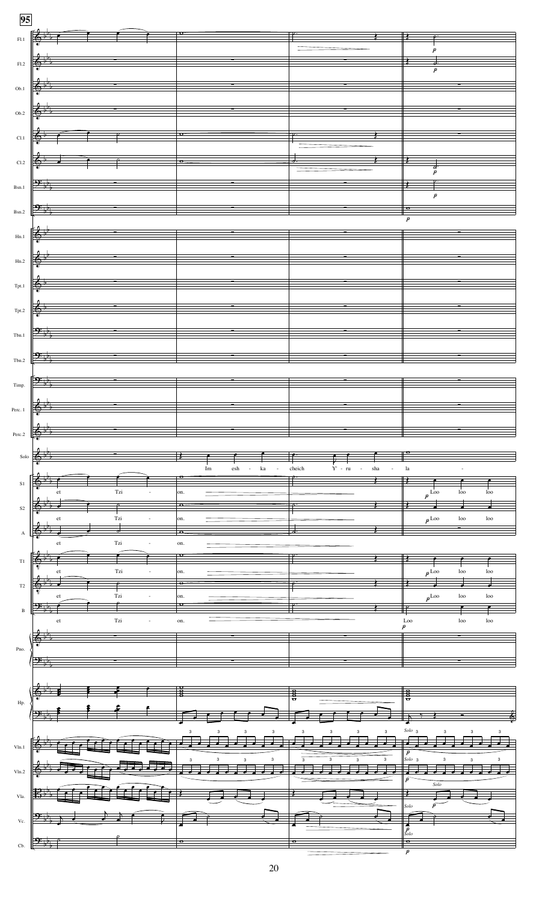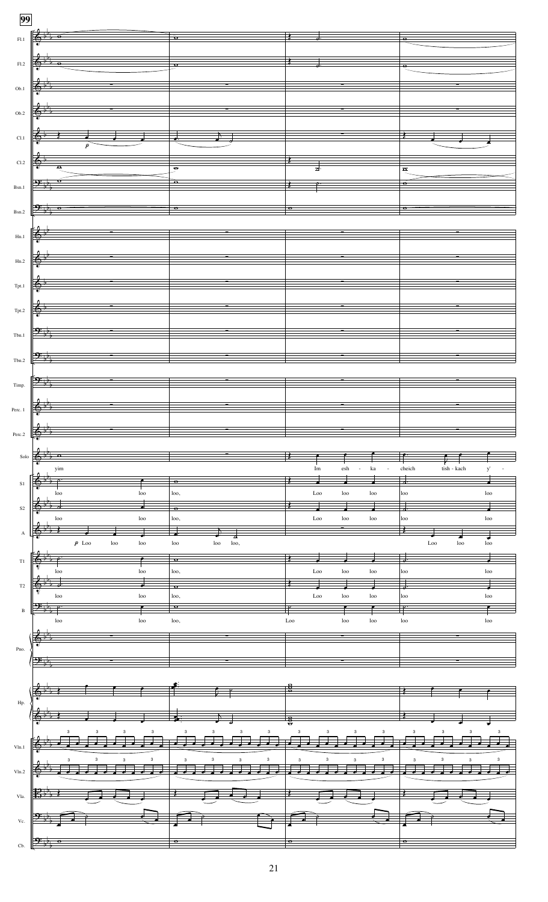| 99                    |                                                                                                                  |                                                         |                                                                        |                                                                          |
|-----------------------|------------------------------------------------------------------------------------------------------------------|---------------------------------------------------------|------------------------------------------------------------------------|--------------------------------------------------------------------------|
| $\rm Fl.1$            |                                                                                                                  | $\mathbf{\sigma}$                                       |                                                                        | $\bullet$                                                                |
| F1.2                  |                                                                                                                  | $\overline{\ }$                                         |                                                                        |                                                                          |
|                       |                                                                                                                  |                                                         |                                                                        |                                                                          |
| Ob.1                  |                                                                                                                  |                                                         |                                                                        |                                                                          |
|                       | $\frac{1}{\sqrt{2}}$                                                                                             |                                                         |                                                                        |                                                                          |
| Ob.2                  |                                                                                                                  |                                                         |                                                                        |                                                                          |
| $_{\rm Cl.1}$         | $\overline{\phantom{a}}$<br>嗪<br>$\frac{1}{p}$                                                                   | $\overline{\phantom{a}}$ .                              |                                                                        |                                                                          |
|                       | $ \frac{\mathbf{L}}{\mathbf{S}} $                                                                                |                                                         |                                                                        |                                                                          |
| $\rm Cl{.}2$          |                                                                                                                  | $\frac{1}{\sigma}$                                      | र्चुः                                                                  | $\overline{\overline{\overline{}}}$                                      |
| Bsn.1                 | $\mathbf{P}$                                                                                                     | $\overline{\bullet}$                                    |                                                                        | $\overline{\mathbf{o}}$                                                  |
| Bsn.2                 | $\mathbf{P}_{\flat}$ $\mathbf{P}_{\flat}$ or                                                                     | $\overline{\mathbf{o}}$                                 | $\circ$                                                                | $\mathbf{o}$                                                             |
|                       |                                                                                                                  |                                                         |                                                                        |                                                                          |
| Hn.1                  | $\frac{2}{3}$                                                                                                    | $\blacksquare$                                          |                                                                        |                                                                          |
| Hn.2                  | $\frac{1}{\sqrt{2}}$                                                                                             | <u> 1989 - Jan Stein Berger, mars e</u>                 |                                                                        |                                                                          |
|                       |                                                                                                                  |                                                         |                                                                        |                                                                          |
|                       | Tpt.1                                                                                                            |                                                         |                                                                        |                                                                          |
| $_{\rm Tpt.2}$        | $\frac{1}{2}$                                                                                                    |                                                         |                                                                        |                                                                          |
|                       |                                                                                                                  |                                                         |                                                                        |                                                                          |
| Tbn.1                 |                                                                                                                  |                                                         |                                                                        |                                                                          |
| Tbn.2                 | $\mathbf{P}_{\mathbf{p}}$                                                                                        |                                                         |                                                                        |                                                                          |
| Timp.                 | $\mathbf{P}$                                                                                                     |                                                         |                                                                        |                                                                          |
|                       |                                                                                                                  |                                                         |                                                                        |                                                                          |
| Perc. 1               | $\bullet$                                                                                                        |                                                         |                                                                        |                                                                          |
| Perc.2                |                                                                                                                  |                                                         |                                                                        |                                                                          |
|                       |                                                                                                                  |                                                         |                                                                        |                                                                          |
| $\operatorname{Solo}$ |                                                                                                                  |                                                         | ₹<br>Im<br>$_{\rm esh}$<br>ka                                          | cheich<br>$\operatorname{tish}$ - $\operatorname{kach}$<br>$\mathbf{y}'$ |
| ${\bf S1}$            | yim                                                                                                              | $\mathbf{o}$                                            |                                                                        |                                                                          |
|                       | $100$<br>loo                                                                                                     | loo,                                                    | Loo<br>loo<br>loo                                                      | loo<br>loo                                                               |
| $\mathbf{S2}$         | ╌<br>◢<br>100<br>loo                                                                                             | $\Omega$<br>loo,                                        | Loo<br>$\log$<br>100                                                   | loo<br>loo                                                               |
| $\mathbf A$           |                                                                                                                  |                                                         |                                                                        |                                                                          |
|                       | $p$ Loo<br>100<br>100                                                                                            | €<br>loo,<br>loo<br>loo                                 |                                                                        | $\overrightarrow{100}$<br>Loo<br>100                                     |
| $\rm T1$              | ٠                                                                                                                | $\mathbf{o}$                                            |                                                                        |                                                                          |
| $\operatorname{T2}$   | loo<br>loo<br>٠                                                                                                  | loo,<br>$\Omega$                                        | Loo<br>loo<br>loo                                                      | loo<br>loo                                                               |
|                       | $\rm loo$<br>loo                                                                                                 | loo,                                                    | Loo<br>100<br>loo                                                      | $\log$<br>loo                                                            |
| $\, {\bf B}$          | $\rm loo$<br>loo                                                                                                 | $\Omega$<br>loo,                                        | Loo<br>$\log$<br>loo                                                   | $\overline{\rho}$<br>$100$<br>loo                                        |
|                       |                                                                                                                  |                                                         |                                                                        |                                                                          |
| Pno.                  |                                                                                                                  |                                                         |                                                                        |                                                                          |
|                       | $2 +$                                                                                                            |                                                         |                                                                        |                                                                          |
|                       |                                                                                                                  |                                                         | $\frac{8}{6}$                                                          |                                                                          |
| $_{\rm Hp.}$          |                                                                                                                  |                                                         |                                                                        |                                                                          |
|                       |                                                                                                                  |                                                         | $\frac{8}{\sigma}$                                                     |                                                                          |
|                       |                                                                                                                  |                                                         | $\mathbf{3}$<br>$\mathbf{3}$                                           |                                                                          |
| Vln.1                 |                                                                                                                  | $\overrightarrow{a}$<br>$\overline{\phantom{a}}$        |                                                                        |                                                                          |
| $Vln.2$               | $\frac{1}{2}$ , $\frac{1}{2}$ , $\frac{1}{2}$ , $\frac{1}{2}$ , $\frac{1}{2}$<br>3                               | $\frac{3}{2}$<br>$\overline{\mathbf{3}}$<br>7. J. J. J. | $\ensuremath{\mathsf{3}}$<br>$\mathbf 3$<br>$^{\rm 3}$<br>$\mathbf{3}$ | $_{\rm 3}$<br>$\mathbf{3}$<br>3                                          |
|                       |                                                                                                                  |                                                         |                                                                        |                                                                          |
| Vla.                  |                                                                                                                  |                                                         |                                                                        |                                                                          |
| $\mbox{Vc.}$          | $\mathbb{P}^1$ , and the set of $\mathbb{P}^1$ , and the set of $\mathbb{P}^1$ , $\mathbb{P}^1$ , $\mathbb{P}^1$ |                                                         |                                                                        |                                                                          |
|                       |                                                                                                                  |                                                         |                                                                        |                                                                          |
| Cb.                   | $\mathbf{9}$                                                                                                     | $\circ$                                                 | $\vert \cdot \rangle$                                                  | $\vert \cdot \rangle$                                                    |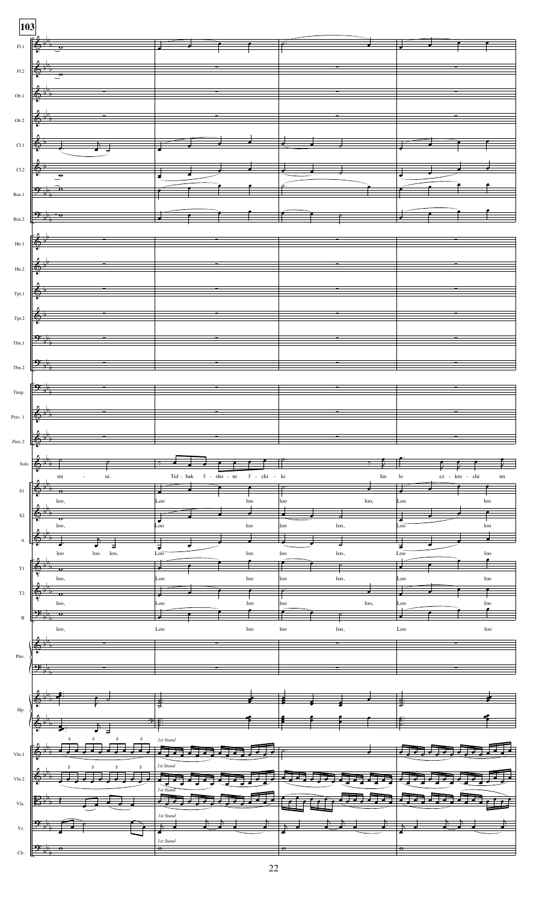| $\vert 103 \vert$                |                                                                  |                                                                                                               |                                                                                  |              |                                                                                                     |                         |                      |
|----------------------------------|------------------------------------------------------------------|---------------------------------------------------------------------------------------------------------------|----------------------------------------------------------------------------------|--------------|-----------------------------------------------------------------------------------------------------|-------------------------|----------------------|
|                                  | F1.1<br>$\overrightarrow{p}$                                     |                                                                                                               |                                                                                  |              | $\overline{\phantom{0}}$                                                                            |                         |                      |
|                                  |                                                                  |                                                                                                               |                                                                                  |              |                                                                                                     |                         |                      |
|                                  | F1.2                                                             |                                                                                                               |                                                                                  |              |                                                                                                     |                         |                      |
|                                  |                                                                  |                                                                                                               |                                                                                  |              |                                                                                                     |                         |                      |
|                                  | $_{\text{Ob.1}}$ $\left \bigoplus_{i=1}^{n} \frac{1}{i} \right $ |                                                                                                               |                                                                                  |              |                                                                                                     |                         |                      |
|                                  |                                                                  |                                                                                                               |                                                                                  |              |                                                                                                     |                         |                      |
|                                  | $0b.2$ $\frac{2}{5}$                                             |                                                                                                               |                                                                                  |              |                                                                                                     |                         |                      |
|                                  |                                                                  |                                                                                                               |                                                                                  |              |                                                                                                     |                         |                      |
|                                  |                                                                  |                                                                                                               |                                                                                  |              |                                                                                                     | $\overline{\mathbf{r}}$ |                      |
|                                  |                                                                  |                                                                                                               |                                                                                  |              |                                                                                                     |                         |                      |
|                                  | C1.2                                                             | $\frac{1}{2}$ , $\frac{1}{2}$ , $\frac{1}{2}$ , $\frac{1}{2}$ , $\frac{1}{2}$ , $\frac{1}{2}$ , $\frac{1}{2}$ |                                                                                  |              |                                                                                                     |                         |                      |
|                                  |                                                                  |                                                                                                               |                                                                                  |              |                                                                                                     |                         |                      |
| Bsn.1                            | $\mathbf{P}$<br>$^{\circ}$                                       | r                                                                                                             |                                                                                  |              |                                                                                                     |                         |                      |
|                                  |                                                                  |                                                                                                               |                                                                                  |              |                                                                                                     |                         |                      |
|                                  | $Bsn.2$ $\theta$ $\theta$                                        | $\Box$                                                                                                        | $\begin{array}{ccc} \bullet & \bullet & \bullet & \bullet \\ \hline \end{array}$ |              |                                                                                                     |                         |                      |
|                                  |                                                                  |                                                                                                               |                                                                                  |              |                                                                                                     |                         |                      |
|                                  | Hn.1                                                             |                                                                                                               |                                                                                  |              |                                                                                                     |                         |                      |
|                                  |                                                                  |                                                                                                               |                                                                                  |              |                                                                                                     |                         |                      |
|                                  | Hn.2                                                             |                                                                                                               |                                                                                  |              |                                                                                                     |                         |                      |
|                                  |                                                                  |                                                                                                               |                                                                                  |              |                                                                                                     |                         |                      |
|                                  | $T_{\text{pt}}$ . $\frac{1}{\sqrt{2}}$                           |                                                                                                               |                                                                                  |              |                                                                                                     |                         |                      |
|                                  |                                                                  |                                                                                                               |                                                                                  |              |                                                                                                     |                         |                      |
|                                  | Tpt.2                                                            |                                                                                                               |                                                                                  |              |                                                                                                     |                         |                      |
|                                  |                                                                  |                                                                                                               |                                                                                  |              |                                                                                                     |                         |                      |
| Tbn.1                            | $\mathbf{P}$                                                     |                                                                                                               |                                                                                  |              |                                                                                                     |                         |                      |
|                                  | $\mathbb{P}_{\mathbb{H}}$                                        |                                                                                                               |                                                                                  |              |                                                                                                     |                         |                      |
| Tbn.2                            |                                                                  |                                                                                                               |                                                                                  |              |                                                                                                     |                         |                      |
|                                  | $\mathcal{P}$                                                    |                                                                                                               |                                                                                  |              |                                                                                                     |                         |                      |
| Timp.                            |                                                                  |                                                                                                               |                                                                                  |              |                                                                                                     |                         |                      |
| Perc. $1$                        | $\frac{2}{6}$                                                    |                                                                                                               |                                                                                  |              |                                                                                                     |                         |                      |
|                                  |                                                                  |                                                                                                               |                                                                                  |              |                                                                                                     |                         |                      |
|                                  |                                                                  |                                                                                                               |                                                                                  |              |                                                                                                     |                         |                      |
|                                  |                                                                  |                                                                                                               |                                                                                  |              |                                                                                                     |                         |                      |
|                                  |                                                                  |                                                                                                               |                                                                                  |              |                                                                                                     |                         |                      |
| Solo                             |                                                                  |                                                                                                               |                                                                                  |              |                                                                                                     |                         |                      |
|                                  | $\rm{ni.}$<br>mi                                                 | Tid - bak                                                                                                     | l' - chi - ki<br>$l' - sho - ni$                                                 |              | Im                                                                                                  | lo                      | im<br>ez - kre - chi |
| $\mbox{Perc.2}$<br>$\mathbf{S}1$ |                                                                  |                                                                                                               |                                                                                  |              |                                                                                                     |                         |                      |
|                                  | loo,                                                             | Loo                                                                                                           | loo                                                                              | loo          | loo,                                                                                                | Loo                     | loo                  |
| $\mathbf{S2}$                    |                                                                  |                                                                                                               |                                                                                  |              |                                                                                                     |                         |                      |
|                                  | loo,                                                             | ₹<br>Loo                                                                                                      | loo                                                                              | loo          | loo,                                                                                                | ₹<br>Loo                | loo                  |
| A                                |                                                                  |                                                                                                               |                                                                                  |              |                                                                                                     |                         |                      |
|                                  | 날<br>loo,<br>loo<br>loo                                          | Loo                                                                                                           | loo                                                                              | loo          | loo,                                                                                                | Loo                     | loo                  |
| $\rm T1$                         |                                                                  |                                                                                                               |                                                                                  |              |                                                                                                     |                         |                      |
|                                  | loo,                                                             | Loo                                                                                                           | loo                                                                              | loo          | loo,                                                                                                | Loo                     | loo                  |
| $\operatorname{T2}$              |                                                                  |                                                                                                               |                                                                                  |              |                                                                                                     |                         |                      |
|                                  | loo,                                                             | Loo                                                                                                           | loo                                                                              | loo          | loo,                                                                                                | Loo                     | loo                  |
| $\, {\bf B}$                     |                                                                  |                                                                                                               |                                                                                  |              |                                                                                                     |                         |                      |
|                                  | loo,                                                             | Loo                                                                                                           | loo                                                                              | loo          | loo,                                                                                                | Loo                     | loo                  |
|                                  |                                                                  |                                                                                                               |                                                                                  |              |                                                                                                     |                         |                      |
| Pno.                             |                                                                  |                                                                                                               |                                                                                  |              |                                                                                                     |                         |                      |
|                                  | $\rightarrow$                                                    |                                                                                                               |                                                                                  |              |                                                                                                     |                         |                      |
|                                  |                                                                  |                                                                                                               |                                                                                  |              |                                                                                                     |                         |                      |
|                                  |                                                                  |                                                                                                               |                                                                                  |              |                                                                                                     |                         |                      |
| Hp.                              |                                                                  |                                                                                                               |                                                                                  |              |                                                                                                     |                         |                      |
|                                  |                                                                  |                                                                                                               |                                                                                  |              |                                                                                                     |                         |                      |
|                                  |                                                                  |                                                                                                               |                                                                                  |              |                                                                                                     |                         |                      |
|                                  |                                                                  | 1st Stand                                                                                                     |                                                                                  |              |                                                                                                     |                         |                      |
| Vln.1                            |                                                                  |                                                                                                               |                                                                                  |              |                                                                                                     |                         |                      |
|                                  | $\mathbf{3}$<br>$\mathbf{3}$<br>3                                | 1st Stand                                                                                                     |                                                                                  |              |                                                                                                     |                         |                      |
| Vln.2                            |                                                                  |                                                                                                               |                                                                                  |              |                                                                                                     |                         |                      |
|                                  |                                                                  |                                                                                                               |                                                                                  |              |                                                                                                     |                         |                      |
| Vla.                             |                                                                  |                                                                                                               |                                                                                  |              | $\overline{1}$ , $\overline{1}$ , $\overline{1}$ , $\overline{1}$ , $\overline{1}$ , $\overline{1}$ |                         |                      |
|                                  | $\Omega$ :                                                       | <b>Ist Stand</b>                                                                                              |                                                                                  |              |                                                                                                     |                         | ۰                    |
| Vc.                              |                                                                  |                                                                                                               |                                                                                  |              |                                                                                                     |                         |                      |
| Cb.                              | $\frac{9.1}{2}$ o                                                | 1st Stand<br>$\mathbf{o}$                                                                                     |                                                                                  | $\mathbf{o}$ |                                                                                                     | $\sigma$                |                      |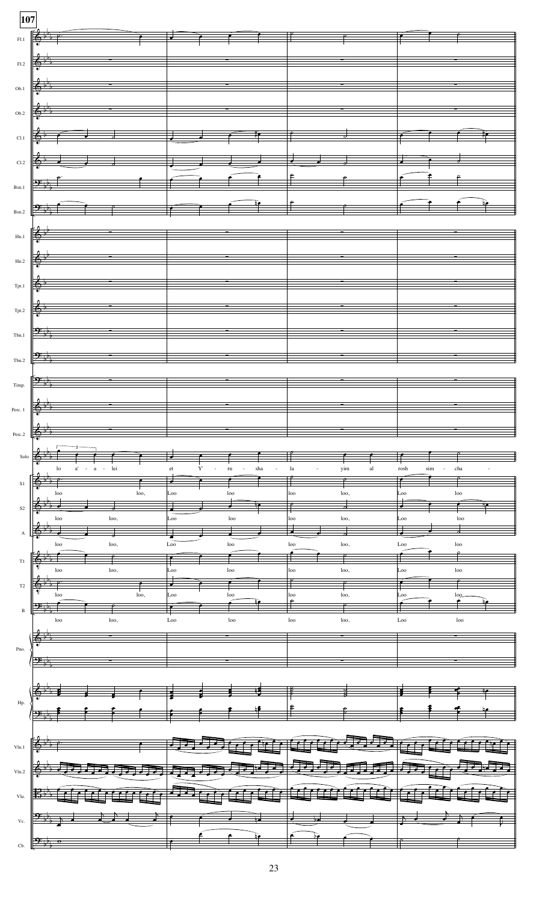| $\vert$ 107         |                                                                                                                                                                                                                                |                                                                                                                       |                                                                                                               |                                                            |                                        |             |                          |
|---------------------|--------------------------------------------------------------------------------------------------------------------------------------------------------------------------------------------------------------------------------|-----------------------------------------------------------------------------------------------------------------------|---------------------------------------------------------------------------------------------------------------|------------------------------------------------------------|----------------------------------------|-------------|--------------------------|
|                     | F1.1<br>$\overrightarrow{ }$                                                                                                                                                                                                   | $\overline{\phantom{a}}$<br>$\rightarrow$                                                                             |                                                                                                               | $\equiv$<br>$\sim$ $\sim$ $\sim$                           |                                        |             |                          |
|                     | F1.2                                                                                                                                                                                                                           |                                                                                                                       |                                                                                                               |                                                            |                                        |             |                          |
|                     |                                                                                                                                                                                                                                |                                                                                                                       |                                                                                                               |                                                            |                                        |             |                          |
|                     | $_{\text{Ob.1}}$ $\phi$                                                                                                                                                                                                        |                                                                                                                       |                                                                                                               |                                                            |                                        |             |                          |
|                     | $0b.2$ $\phi$ <sup>b</sup>                                                                                                                                                                                                     |                                                                                                                       |                                                                                                               |                                                            |                                        |             |                          |
|                     |                                                                                                                                                                                                                                |                                                                                                                       |                                                                                                               |                                                            | $\overline{\phantom{a}}$               |             |                          |
|                     | C1.2                                                                                                                                                                                                                           |                                                                                                                       |                                                                                                               | $\overline{\phantom{a}}$                                   |                                        |             |                          |
| Bsn.1               | $\mathcal{P}_{\mathfrak{p}}$                                                                                                                                                                                                   |                                                                                                                       |                                                                                                               | $\begin{array}{c c}\n\mathbf{P} & \mathbf{P}\n\end{array}$ |                                        |             |                          |
|                     | $B_{\rm Sn.2}$ $\left\{ \frac{9}{b} \right\}$                                                                                                                                                                                  | $\sim$ $\sim$ $\sim$                                                                                                  |                                                                                                               | $\mathbb{P}$                                               | $\overline{\phantom{a}}^{\phantom{a}}$ |             |                          |
|                     |                                                                                                                                                                                                                                |                                                                                                                       |                                                                                                               |                                                            |                                        |             |                          |
|                     | Hn.1                                                                                                                                                                                                                           |                                                                                                                       |                                                                                                               |                                                            |                                        |             |                          |
|                     | $Hn.2$ $\frac{1}{\sqrt{2}}$ $\frac{1}{\sqrt{2}}$                                                                                                                                                                               |                                                                                                                       |                                                                                                               |                                                            |                                        |             |                          |
|                     | $T_{\text{pt.1}}$                                                                                                                                                                                                              |                                                                                                                       |                                                                                                               |                                                            |                                        |             |                          |
|                     | Tpt.2                                                                                                                                                                                                                          | <u> 1989 - Jan Sterling von de Berling von de Berling von de Berling von de Berling von de Berling von de Berling</u> |                                                                                                               |                                                            |                                        |             |                          |
| Tbn.1               |                                                                                                                                                                                                                                |                                                                                                                       |                                                                                                               |                                                            |                                        |             |                          |
| Tbn.2               | $\mathbf{P}$                                                                                                                                                                                                                   |                                                                                                                       |                                                                                                               |                                                            |                                        |             |                          |
| Timp.               | $\mathbf{P}_{b}$                                                                                                                                                                                                               |                                                                                                                       |                                                                                                               |                                                            |                                        |             |                          |
| Perc. 1             | $\mathbb{Z}^+$                                                                                                                                                                                                                 |                                                                                                                       |                                                                                                               |                                                            |                                        |             |                          |
|                     |                                                                                                                                                                                                                                |                                                                                                                       |                                                                                                               |                                                            |                                        |             |                          |
| Perc.2              |                                                                                                                                                                                                                                |                                                                                                                       |                                                                                                               |                                                            |                                        |             |                          |
| Solo                | lei                                                                                                                                                                                                                            | Y<br>et                                                                                                               | ru<br>sha                                                                                                     | la                                                         | $\mathbf{a} \mathbf{l}$<br>yim         | rosh<br>sim | cha                      |
| $\mathbf{S}1$       |                                                                                                                                                                                                                                |                                                                                                                       |                                                                                                               |                                                            |                                        |             |                          |
| $\mathbf{S2}$       | loo,                                                                                                                                                                                                                           | Loo                                                                                                                   | loo                                                                                                           | loo                                                        | loo,                                   | Loo         | loo                      |
| $\mathbf A$         | loo,<br>loo                                                                                                                                                                                                                    | Loo                                                                                                                   | loo                                                                                                           | loo                                                        | loo,                                   | Loo         | loo                      |
|                     | loo<br>loo,                                                                                                                                                                                                                    | Loo                                                                                                                   | loo                                                                                                           | loo                                                        | loo,                                   | Loo         | loo                      |
| $\rm T1$            | loo,<br>loo                                                                                                                                                                                                                    | Loo                                                                                                                   | loo                                                                                                           | loo                                                        | loo,                                   | Loo         | loo                      |
| $\operatorname{T2}$ | loo,<br>loo                                                                                                                                                                                                                    | Loo                                                                                                                   | loo                                                                                                           | loo                                                        | loo,                                   | Loo         | loo                      |
| $\, {\bf B}$        | loo,<br>loo                                                                                                                                                                                                                    | Loo                                                                                                                   | 100                                                                                                           | P<br>100                                                   | loo,                                   | Loo         | loo                      |
|                     | $6\frac{1}{2}$                                                                                                                                                                                                                 |                                                                                                                       |                                                                                                               |                                                            |                                        |             |                          |
| Pno.                | $9 +$                                                                                                                                                                                                                          |                                                                                                                       |                                                                                                               |                                                            |                                        |             |                          |
|                     |                                                                                                                                                                                                                                |                                                                                                                       |                                                                                                               |                                                            |                                        |             |                          |
| $_{\rm{Hp.}}$       |                                                                                                                                                                                                                                |                                                                                                                       |                                                                                                               |                                                            |                                        |             |                          |
|                     | $\mathbb{P}^1$                                                                                                                                                                                                                 |                                                                                                                       |                                                                                                               |                                                            |                                        |             |                          |
| Vln.1               |                                                                                                                                                                                                                                |                                                                                                                       | The first state of the state of the state of the state of the state of the state of the state of the state of |                                                            |                                        |             |                          |
| $_{\rm Vln.2}$      | وتراويتي ومواقع وكالتفاض والمواقع والمواقع والمراوية والمراوية والمراوية والمراوية والمراوية والمراوية                                                                                                                         |                                                                                                                       |                                                                                                               |                                                            |                                        |             |                          |
| $_{\rm Vla.}$       | Bhiography and the contract of the contract of the contract of the contract of the contract of the contract of the contract of the contract of the contract of the contract of the contract of the contract of the contract of |                                                                                                                       |                                                                                                               |                                                            |                                        |             |                          |
|                     |                                                                                                                                                                                                                                |                                                                                                                       |                                                                                                               |                                                            |                                        |             |                          |
| Vc.                 | $\frac{9.33}{2}$<br>$\overline{\phantom{a}}$<br>∸                                                                                                                                                                              | ∷                                                                                                                     | $\overline{\phantom{a}}$<br>$\cdot$ $\cdot$                                                                   | ≖<br>$\overline{\phantom{a}}$                              |                                        | ÷<br>Ŧ      | $\overline{\phantom{a}}$ |
| Cb.                 | $\mathbf{P}_{\flat}$ $\mathbf{P}_{\flat}$ $\mathbf{P}_{\flat}$                                                                                                                                                                 | ►                                                                                                                     |                                                                                                               | $\overline{\mathbf{t}}$                                    |                                        | 套           |                          |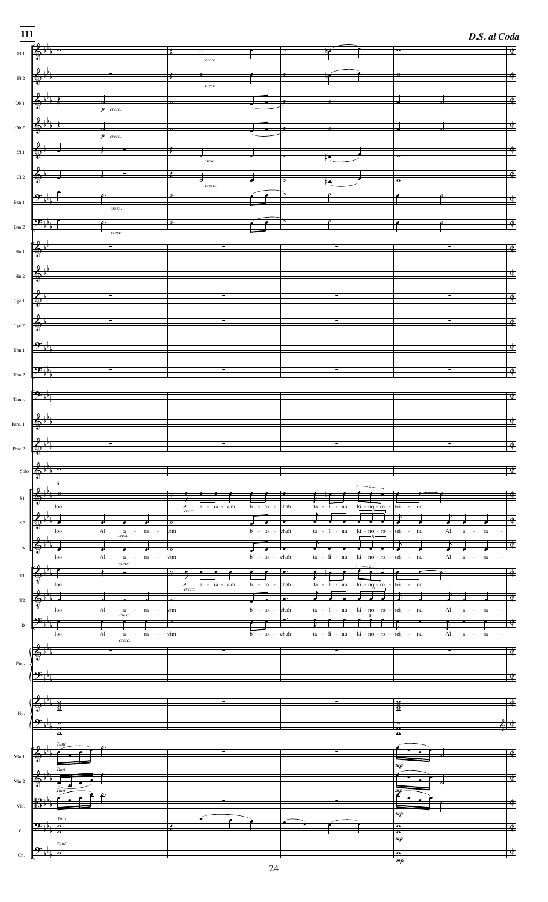| D.S. al Coda |  |
|--------------|--|
|              |  |

| 111                            |                                                                                                                                                              |                                                                          |                                                                           | D.S. al Coda                                                                                     |
|--------------------------------|--------------------------------------------------------------------------------------------------------------------------------------------------------------|--------------------------------------------------------------------------|---------------------------------------------------------------------------|--------------------------------------------------------------------------------------------------|
| $\rm{F}l.1$                    |                                                                                                                                                              |                                                                          |                                                                           | $\overline{\blacktriangleright}$<br>o                                                            |
| $\rm{F}l.2$                    |                                                                                                                                                              | cresc.<br>ł                                                              |                                                                           | $\overline{\mathbf{e}}$<br>$\mathbf{o}$                                                          |
|                                |                                                                                                                                                              | cresc.                                                                   |                                                                           |                                                                                                  |
| $_{\rm Ob.1}$                  | $p$ cresc.                                                                                                                                                   | <del>₽</del>                                                             |                                                                           | $\overline{\mathbf{e}}$                                                                          |
| $_{\rm Ob.2}$                  |                                                                                                                                                              |                                                                          |                                                                           | $\overline{\bullet}$                                                                             |
|                                | $p$ cresc.                                                                                                                                                   |                                                                          |                                                                           |                                                                                                  |
| $\rm C1.1$                     |                                                                                                                                                              | cresc.                                                                   |                                                                           | $\overline{\bullet}$                                                                             |
| $\rm Cl.2$                     |                                                                                                                                                              | cresc.                                                                   |                                                                           | $\overline{\bullet}$                                                                             |
| $_{\rm Bsn.1}$                 | cresc.                                                                                                                                                       |                                                                          |                                                                           | $\overline{\bullet}$                                                                             |
| $_{\rm Bsn.2}$                 |                                                                                                                                                              |                                                                          |                                                                           | $\vert \mathbf{e} \vert$                                                                         |
| $\rm Hn.1$                     | cresc.                                                                                                                                                       |                                                                          |                                                                           | $\overline{\ket{\mathfrak{e}}}$                                                                  |
|                                |                                                                                                                                                              |                                                                          |                                                                           | $\overline{\mathbf{e}}$                                                                          |
| $_{\rm Hn.2}$                  |                                                                                                                                                              |                                                                          |                                                                           |                                                                                                  |
| $\operatorname{Tpt}.1$         |                                                                                                                                                              |                                                                          |                                                                           | $\overline{\bullet}$                                                                             |
| $_\mathrm{Tpt.2}$              |                                                                                                                                                              |                                                                          |                                                                           | $\vert \mathbf{e} \vert$                                                                         |
| Tbn.1                          | $\frac{1}{2}$                                                                                                                                                |                                                                          |                                                                           | $\overline{\bullet}$                                                                             |
| $_{\rm Tbn.2}$                 | $\mathbf{9}$                                                                                                                                                 |                                                                          |                                                                           | $\overline{\mathbf{e}}$                                                                          |
| Timp.                          | $\mathbf{2}$                                                                                                                                                 |                                                                          |                                                                           | $\overline{\mathbf{e}}$                                                                          |
| Perc. 1                        | $\Leftrightarrow$                                                                                                                                            |                                                                          |                                                                           | $\overline{\phantom{a}}$                                                                         |
| $\ensuremath{\mathsf{Perc}}.2$ |                                                                                                                                                              |                                                                          |                                                                           | $\mathbf{\overline{+}\mathbf{\overline{e}}}$                                                     |
| $\operatorname{Solo}$          | $\mathbf{o}$                                                                                                                                                 |                                                                          |                                                                           | $\overline{\bullet}$                                                                             |
|                                | ٠.<br>ti.                                                                                                                                                    |                                                                          | ┍<br>-3                                                                   |                                                                                                  |
| $\mathbf{S}1$                  | þ<br>loo.                                                                                                                                                    | $\rightarrow$<br>Al<br>$a - ra - vim$<br>$b' -$<br>to<br>$\sim$          | ₩<br>chah<br>$ki - no - no - no$<br>$ta - li - nu$                        | $\overline{\parallel \mathfrak{e}}$<br>tei -<br>nu                                               |
| $\mathbf{S2}$                  | $\rm Al$                                                                                                                                                     | $\mathit{cresc}.$                                                        | ∙<br>chah                                                                 | ¢<br>${\rm Al}$                                                                                  |
| $\mathbf{A}$                   | loo.<br>$\begin{matrix} \mathbf{a} & \mathbf{-c} \\ \mathbf{c} \mathbf{r} \mathbf{e} \mathbf{s} \mathbf{c} \mathbf{.} \end{matrix}$<br>$^{\rm ra}$<br>$\sim$ | $b' - to -$<br>vim                                                       | $ta - li - nu$<br>$ki - no - ro -  tei -$<br>-3                           | $\mathop{\rm nu}\nolimits$<br>ra<br>$\rm{a}$<br>$\sim$<br>$\vert \mathbf{e} \vert$               |
|                                | $\rm Al$<br>loo.<br>$\rm{a}$<br>$^{\rm ra}$<br>$\sim$<br>$\sim$<br>$\mathit{cresc}.$                                                                         | $b' - to - chah$<br>vim                                                  | $ta - li - nu$<br>ki - no - ro - tei<br>$-3$                              | ${\rm Al}$<br>$\mathop{\rm nu}\nolimits$<br>$\sim$<br>$\rm{a}$<br>ra<br>$\overline{\phantom{a}}$ |
| $\rm T1$                       | loo.                                                                                                                                                         | ₹<br>$\mathop{\rm Al}\nolimits$<br>$b' - to$<br>$a - ra - vim$<br>$\sim$ | $\overline{\phantom{a}}$<br>₩<br>chah<br>$ta - li - nu$<br>$k_1 - nq - r$ | $\mathbf{ \mathbf{\epsilon} }$<br>tei -<br>$\mathop{\rm nu}\nolimits$                            |
| $\operatorname{T2}$            |                                                                                                                                                              | $\it{cresc}.$<br>₫                                                       | ÷                                                                         | $\vert \mathbf{e} \vert$                                                                         |
| $\, {\bf B}$                   | A1<br>loo.<br>$\mathbf{ra}$ $\equiv$<br>$a - -$<br>cresc.                                                                                                    | $b' - to - chah$<br>vim                                                  | $ta - li - nu$<br>$\mathrm{ki}$ - no - ro - tei - nu                      | A1<br>ra<br>$\mathbf{a}$<br>$\sim$<br>÷,<br>$\left  \right.$                                     |
|                                | A1<br>loo.<br>$\mathbf{a}$<br>$^{\rm ra}$<br>$\overline{\phantom{a}}$<br>$\overline{\phantom{a}}$<br>$\mathit{cresc}.$                                       | $b' - to - chah$<br>vim                                                  | $ta - li - nu$<br>ki - no - ro - tei                                      | ${\rm Al}$<br>ra<br>nu<br>$\rm{a}$<br>$\sim$<br>$\sim$                                           |
| Pno.                           |                                                                                                                                                              |                                                                          |                                                                           | $\overline{\parallel \mathfrak{E}}$                                                              |
|                                | $\rightarrow$ : $\rightarrow$                                                                                                                                |                                                                          |                                                                           | $\overline{\bullet}$                                                                             |
|                                |                                                                                                                                                              |                                                                          |                                                                           | $\frac{1}{16}$<br>$\frac{1}{2}$                                                                  |
| Hp.                            | $\cdot$ $\cdot$ $\cdot$ $\cdot$<br>$\mathbf{o}$<br>$\frac{\text{e}}{\text{e}}$                                                                               |                                                                          |                                                                           | $\mathbf{o}$<br>$\frac{\theta}{\theta}$                                                          |
|                                | Tutti                                                                                                                                                        |                                                                          |                                                                           |                                                                                                  |
| Vln.1                          | Tutti                                                                                                                                                        |                                                                          |                                                                           | $\vert \epsilon \vert$<br>$\emph{mp}$                                                            |
| $V\!In.2$                      | Tutti                                                                                                                                                        |                                                                          |                                                                           | $\overline{\bullet}$<br>$\overline{p}$                                                           |
| Vla.                           |                                                                                                                                                              |                                                                          |                                                                           | $\overline{\bullet}$<br>$\it{mp}$                                                                |
| Vc.                            | Tutti<br>$\mathbf{D}$ :<br>$\mathbb{P}^{\mathbf{p}}$                                                                                                         | ╄                                                                        |                                                                           | $\mathbf{u}$<br>$\mathbf{r}$<br>$\overline{\bullet}$                                             |
| Cb.                            | $\frac{Tutti}{b}$                                                                                                                                            |                                                                          |                                                                           | $\it{mp}$<br>$\overline{\bullet}$<br>$\frac{1}{\frac{1}{mp}}$                                    |
|                                |                                                                                                                                                              |                                                                          |                                                                           |                                                                                                  |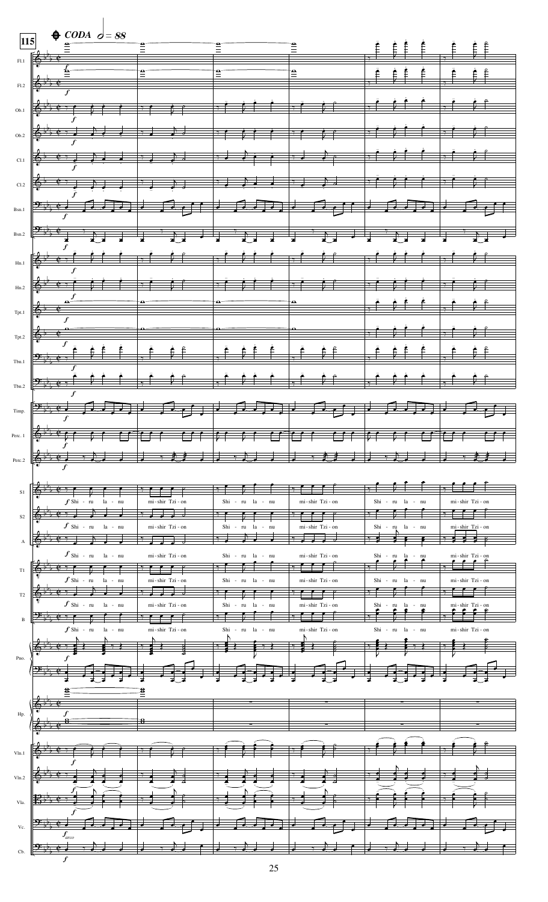